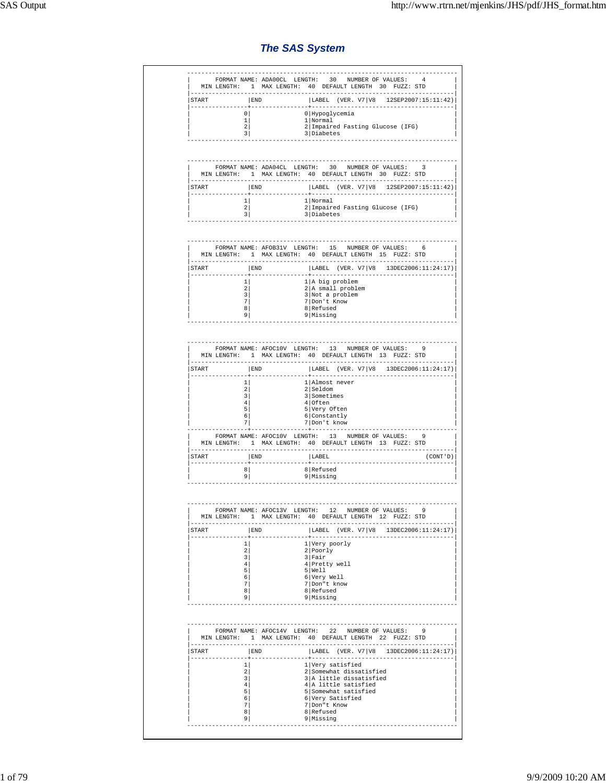|                    | MIN LENGTH:         | 1 MAX LENGTH: 40 DEFAULT LENGTH 30 FUZZ: STD |                                                                                                                                                                     |
|--------------------|---------------------|----------------------------------------------|---------------------------------------------------------------------------------------------------------------------------------------------------------------------|
| START<br>--------- |                     | END                                          | LABEL (VER. V7   V8 12SEP2007:15:11:42)                                                                                                                             |
|                    | $\circ$<br>1        |                                              | 0 Hypoglycemia<br>1 Normal                                                                                                                                          |
|                    | 2                   |                                              | 2   Impaired Fasting Glucose (IFG)                                                                                                                                  |
|                    | 3                   |                                              | 3 Diabetes                                                                                                                                                          |
|                    |                     |                                              | --------------------------------------<br>FORMAT NAME: ADA04CL LENGTH: 30 NUMBER OF VALUES: 3                                                                       |
|                    |                     | $---$                                        | MIN LENGTH: 1 MAX LENGTH: 40 DEFAULT LENGTH 30 FUZZ: STD<br>----------------------------------                                                                      |
| START              |                     | END                                          | LABEL (VER. V7   V8 12SEP2007:15:11:42)<br>1 Normal                                                                                                                 |
|                    | 1 <br>2 <br>3       |                                              | 2 Impaired Fasting Glucose (IFG)<br>3 Diabetes                                                                                                                      |
|                    |                     |                                              |                                                                                                                                                                     |
|                    |                     |                                              | FORMAT NAME: AFOB31V LENGTH: 15 NUMBER OF VALUES:<br>- 6                                                                                                            |
|                    |                     |                                              | MIN LENGTH: 1 MAX LENGTH: 40 DEFAULT LENGTH 15 FUZZ: STD                                                                                                            |
| START              |                     | END                                          | LABEL (VER. V7   V8 13DEC2006:11:24:17)                                                                                                                             |
|                    | 1                   |                                              | ----+-----------<br>$1   A \nbig$ problem                                                                                                                           |
|                    | 2 <br>3             |                                              | $2 A \text{ small problem}$<br>3 Not a problem                                                                                                                      |
|                    | 7                   |                                              | 7 Don't Know                                                                                                                                                        |
|                    | 8<br>9              |                                              | 8 Refused<br>9 Missing                                                                                                                                              |
|                    |                     |                                              |                                                                                                                                                                     |
|                    |                     |                                              | FORMAT NAME: AFOC10V LENGTH: 13 NUMBER OF VALUES: 9<br>MIN LENGTH: 1 MAX LENGTH: 40 DEFAULT LENGTH 13 FUZZ: STD                                                     |
| START              |                     | END                                          | LABEL (VER. V7   V8 13DEC2006:11:24:17)<br>------                                                                                                                   |
|                    | 1                   |                                              | 1 Almost never                                                                                                                                                      |
|                    | 2 <br>3             |                                              | $2 $ Seldom<br>3 Sometimes                                                                                                                                          |
|                    | 4                   |                                              | $4$   Often                                                                                                                                                         |
|                    | 5<br>6              |                                              | 5 Very Often<br>6 Constantly                                                                                                                                        |
|                    |                     |                                              | 7 Don't know<br>--+--------                                                                                                                                         |
|                    |                     |                                              | FORMAT NAME: AFOC10V LENGTH: 13 NUMBER OF VALUES: 9<br>MIN LENGTH: 1 MAX LENGTH: 40 DEFAULT LENGTH 13 FUZZ: STD                                                     |
| START              |                     | END                                          | LABEL<br>(CONT'D)                                                                                                                                                   |
|                    |                     | -----+----------------+--------              | 8 Refused                                                                                                                                                           |
|                    |                     |                                              | 9 Missing                                                                                                                                                           |
|                    | 8 <sup>1</sup><br>9 |                                              |                                                                                                                                                                     |
|                    |                     |                                              | -----------------------                                                                                                                                             |
|                    |                     | FORMAT NAME: AFOC13V LENGTH:                 | NUMBER OF VALUES:<br>12<br>MIN LENGTH: 1 MAX LENGTH: 40 DEFAULT LENGTH 12 FUZZ: STD                                                                                 |
| START              | .                   | $ $ END                                      | ------------+----------------                                                                                                                                       |
|                    | 1                   |                                              | 1 Very poorly                                                                                                                                                       |
|                    | 2 <br>$\frac{3}{ }$ |                                              | 2 Poorly<br>3   Fair                                                                                                                                                |
|                    | 4 <sup>1</sup>      |                                              | 4 Pretty well                                                                                                                                                       |
|                    | 5 <br>6             |                                              | 5 We11 <br>6 Very Well                                                                                                                                              |
|                    | 7 <br>8             |                                              | 7 Don"t know<br>8 Refused                                                                                                                                           |
|                    |                     |                                              |                                                                                                                                                                     |
|                    | 9                   | ---------                                    | 9 Missing<br>--------------                                                                                                                                         |
|                    |                     |                                              | FORMAT NAME: AFOC14V LENGTH: 22 NUMBER OF VALUES: 9<br>MIN LENGTH: 1 MAX LENGTH: 40 DEFAULT LENGTH 22 FUZZ: STD                                                     |
| START              |                     | END                                          |                                                                                                                                                                     |
|                    | 1                   |                                              | 1 Very satisfied                                                                                                                                                    |
|                    | 2 <br>$\frac{3}{2}$ |                                              | LABEL (VER. V7   V8 13DEC2006:11:24:17)  <br>-------------------<br> LABEL (VER. V7   V8 13DEC2006:11:24:17) <br>2 Somewhat dissatisfied<br>3 A little dissatisfied |
|                    | 4 <br>5             |                                              | 4 A little satisfied                                                                                                                                                |
|                    | 6                   |                                              | 5 Somewhat satisfied<br>6 Very Satisfied                                                                                                                            |
|                    | 7<br>8              |                                              | 7 Don"t Know<br>8 Refused                                                                                                                                           |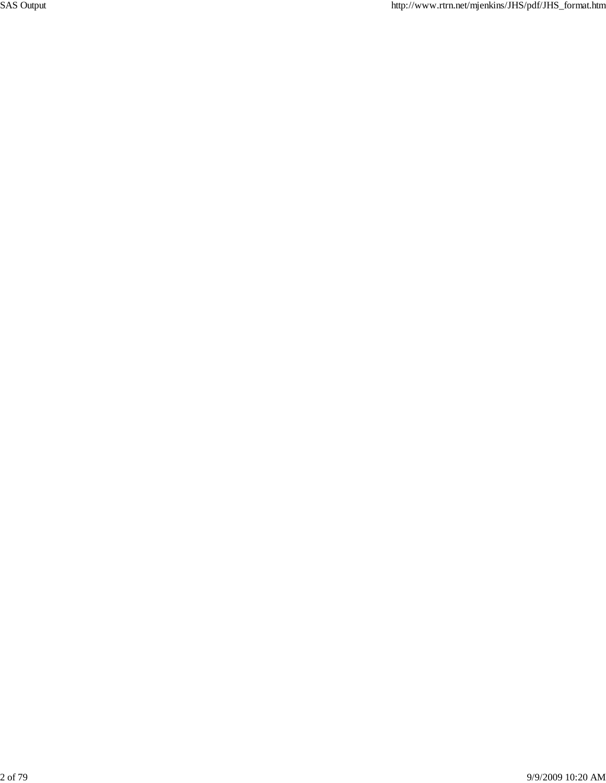SAS Output http://www.rtrn.net/mjenkins/JHS/pdf/JHS\_format.htm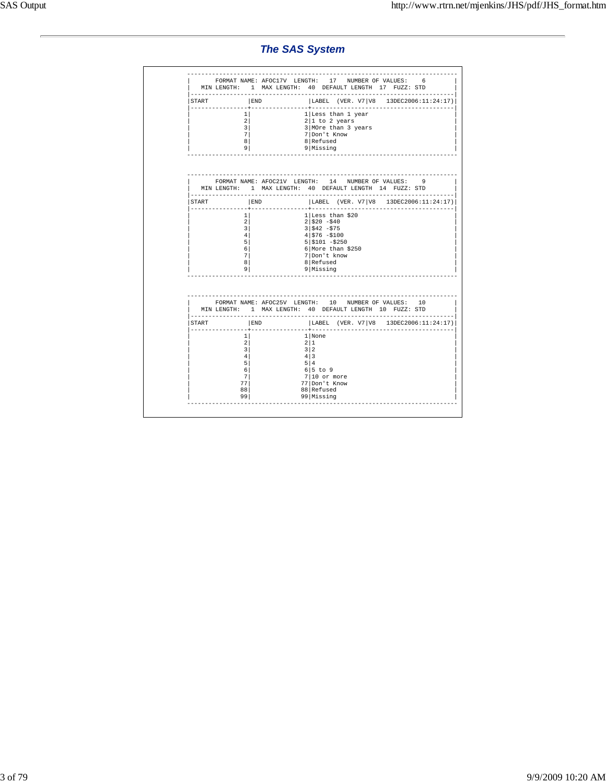|              | MIN LENGTH:                      |            | FORMAT NAME: AFOC17V LENGTH: 17 NUMBER OF VALUES:<br>-6<br>1 MAX LENGTH: 40 DEFAULT LENGTH 17 FUZZ: STD                                                      |
|--------------|----------------------------------|------------|--------------------------------------------------------------------------------------------------------------------------------------------------------------|
| START        | -------------------              | END        | LABEL (VER. V7 V8<br>13DEC2006:11:24:17)<br>____________________                                                                                             |
|              | $1 \vert$                        |            | 1 Less than 1 year                                                                                                                                           |
|              | 2 <sup>1</sup>                   |            | $2 1$ to 2 years                                                                                                                                             |
|              | 3 <sup>1</sup><br>7              |            | 3 MOre than 3 years                                                                                                                                          |
|              | 8                                |            | 7 Don't Know<br>8 Refused                                                                                                                                    |
|              | 9                                |            | 9 Missing                                                                                                                                                    |
|              |                                  |            | FORMAT NAME: AFOC21V LENGTH: 14 NUMBER OF VALUES: 9<br>MIN LENGTH: 1 MAX LENGTH: 40 DEFAULT LENGTH 14 FUZZ: STD                                              |
|              | ---------------------            |            |                                                                                                                                                              |
| <b>START</b> |                                  | <b>END</b> | LABEL (VER. V7   V8 13DEC2006:11:24:17)                                                                                                                      |
|              | 11                               |            | $1$ Less than \$20                                                                                                                                           |
|              | 2 <sup>1</sup><br>3 <sup>1</sup> |            | $2 520 - 540$<br>$3 542 - 575$                                                                                                                               |
|              | 4                                |            | $4 $76 - $100$                                                                                                                                               |
|              | 5                                |            | $5 $101 - $250$                                                                                                                                              |
|              | 6                                |            | $6$ More than \$250                                                                                                                                          |
|              | 7                                |            | 7 Don't know                                                                                                                                                 |
|              | 8                                |            | 8 Refused                                                                                                                                                    |
|              | 9                                |            | 9 Missing                                                                                                                                                    |
| START        |                                  | <b>END</b> | FORMAT NAME: AFOC25V LENGTH: 10 NUMBER OF VALUES: 10<br>MIN LENGTH: 1 MAX LENGTH: 40 DEFAULT LENGTH 10 FUZZ: STD<br> LABEL (VER. V7   V8 13DEC2006:11:24:17) |
|              | 11                               |            | $1 $ None                                                                                                                                                    |
|              | 2                                |            | 2 1                                                                                                                                                          |
|              | 3                                |            | 3 2                                                                                                                                                          |
|              | 4<br>5                           |            | 4 3<br>5 4                                                                                                                                                   |
|              | $6 \mid$                         |            | $6 5$ to 9                                                                                                                                                   |
|              |                                  |            | $7 10$ or more                                                                                                                                               |
|              | $7\vert$                         |            |                                                                                                                                                              |
|              | 771                              |            | 77 Don't Know                                                                                                                                                |
|              | 88<br>99                         |            | 88 Refused<br>99 Missing                                                                                                                                     |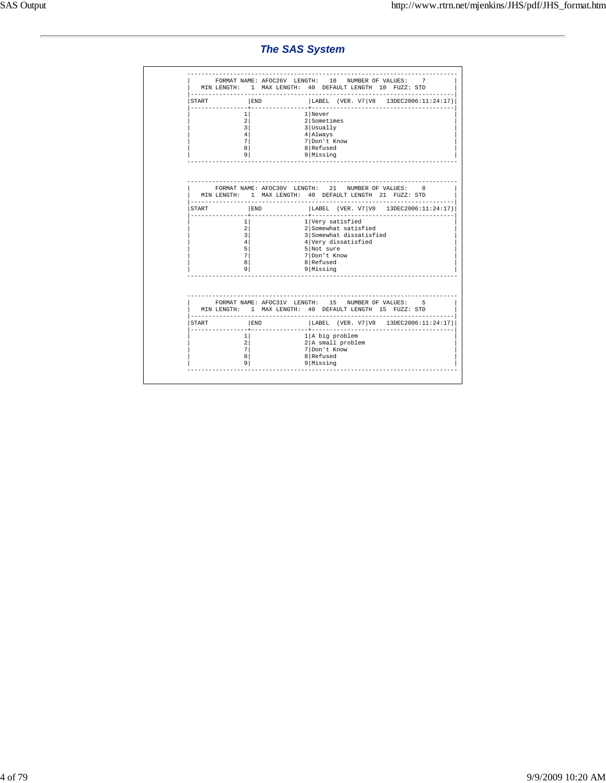|       |                         | FORMAT NAME: AFOC26V LENGTH: | 10<br>NUMBER OF VALUES:<br>MIN LENGTH: 1 MAX LENGTH: 40 DEFAULT LENGTH 10 FUZZ: STD                                |
|-------|-------------------------|------------------------------|--------------------------------------------------------------------------------------------------------------------|
| START |                         | <b>END</b>                   | LABEL (VER. V7   V8 13DEC2006:11:24:17)                                                                            |
|       | 1                       |                              | 1 Never                                                                                                            |
|       | 2 <sup>1</sup>          |                              | 2 Sometimes                                                                                                        |
|       | $\overline{\mathbf{3}}$ |                              | 3 Usually                                                                                                          |
|       | 4                       |                              | $4$   Always                                                                                                       |
|       | 7                       |                              | 7 Don't Know                                                                                                       |
|       | 8                       |                              | 8 Refused                                                                                                          |
|       | 9                       |                              | 9 Missing                                                                                                          |
|       |                         |                              | FORMAT NAME: AFOC30V LENGTH: 21 NUMBER OF VALUES:<br>8<br>MIN LENGTH: 1 MAX LENGTH: 40 DEFAULT LENGTH 21 FUZZ: STD |
| START |                         | <b>END</b>                   | LABEL (VER. V7   V8 13DEC2006:11:24:17)                                                                            |
|       | 11                      |                              | the property of the control of the<br>1 Very satisfied                                                             |
|       | 2 <sup>1</sup>          |                              | 2 Somewhat satisfied                                                                                               |
|       | 3                       |                              | 3 Somewhat dissatisfied                                                                                            |
|       | 4                       |                              | 4 Very dissatisfied                                                                                                |
|       | 5                       |                              | 5 Not sure                                                                                                         |
|       | 7 <sup>1</sup>          |                              | 7 Don't Know                                                                                                       |
|       | 8                       |                              | 8 Refused                                                                                                          |
|       | 9                       |                              | 9 Missing                                                                                                          |
|       | MIN LENGTH:             | 1 MAX LENGTH:                | FORMAT NAME: AFOC31V LENGTH: 15 NUMBER OF VALUES:<br>5<br>40 DEFAULT LENGTH 15 FUZZ: STD                           |
|       |                         |                              |                                                                                                                    |
| START |                         | END                          |                                                                                                                    |
|       | 1                       |                              | $1   A \nbig $ big problem                                                                                         |
|       | 2                       |                              | 2 A small problem                                                                                                  |
|       | 7                       |                              | 7 Don't Know                                                                                                       |
|       | 8<br>9                  |                              | LABEL (VER. V7   V8 13DEC2006:11:24:17)<br>8 Refused<br>9 Missing                                                  |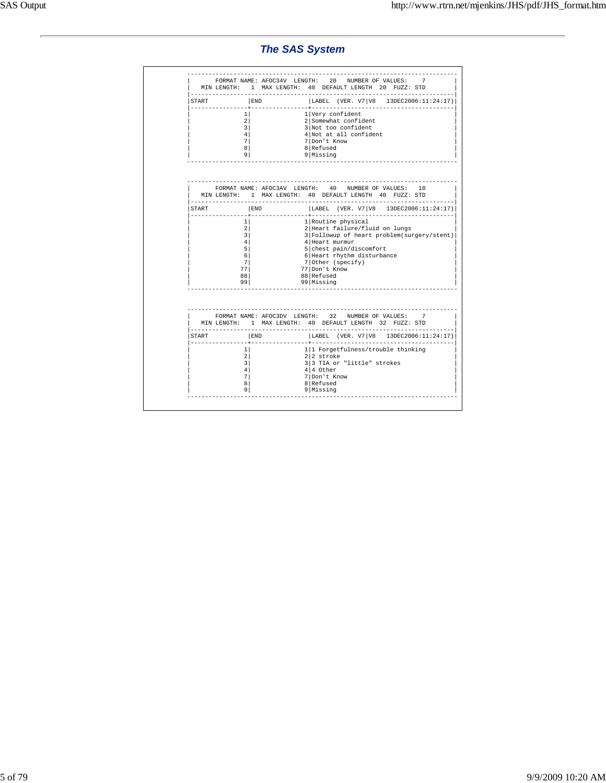|       | .                   |            | FORMAT NAME: AFOC34V LENGTH: 20 NUMBER OF VALUES:<br>- 7<br>MIN LENGTH: 1 MAX LENGTH: 40 DEFAULT LENGTH 20 FUZZ: STD |
|-------|---------------------|------------|----------------------------------------------------------------------------------------------------------------------|
| START |                     | <b>END</b> | LABEL (VER. $V7$   $V8$ 13DEC2006:11:24:17)<br>---------------------                                                 |
|       | 1                   |            | 1 Very confident                                                                                                     |
|       | 2 <sup>1</sup>      |            | 2 Somewhat confident                                                                                                 |
|       | 3 <sup>1</sup>      |            | 3 Not too confident                                                                                                  |
|       | 4                   |            | 4 Not at all confident                                                                                               |
|       | 71                  |            | 7 Don't Know                                                                                                         |
|       | 8                   |            | 8 Refused                                                                                                            |
|       | 9                   |            | 9 Missing                                                                                                            |
|       | MIN LENGTH:         |            | FORMAT NAME: AFOC3AV LENGTH: 40 NUMBER OF VALUES:<br>10<br>1 MAX LENGTH: 40 DEFAULT LENGTH 40 FUZZ: STD              |
| START |                     | END        | LABEL (VER. V7   V8 13DEC2006:11:24:17)<br>. _ _ _ _ _ _ _ _ _ _ _<br>-----------                                    |
|       | 1                   |            | 1 Routine physical                                                                                                   |
|       | 2 <sub>1</sub>      |            | 2 Heart failure/fluid on lungs                                                                                       |
|       | 3                   |            | 3 Followup of heart problem (surgery/stent)                                                                          |
|       | 4 <sup>1</sup>      |            | 4 Heart murmur                                                                                                       |
|       | 5                   |            | 5 chest pain/discomfort                                                                                              |
|       | 6 <br>7             |            | 6 Heart rhythm disturbance                                                                                           |
|       | 771                 |            | 7 Other (specify)<br>77 Don't Know                                                                                   |
|       | 881                 |            | 88 Refused                                                                                                           |
|       | 99                  |            | 99 Missing                                                                                                           |
|       | MIN LENGTH:         |            | FORMAT NAME: AFOC3DV LENGTH: 32 NUMBER OF VALUES:<br>7<br>1 MAX LENGTH: 40 DEFAULT LENGTH 32 FUZZ: STD               |
| START |                     | END        | LABEL (VER. V7   V8 13DEC2006:11:24:17)                                                                              |
|       | 1                   |            | 1 1 Forgetfulness/trouble thinking                                                                                   |
|       |                     |            | $2 2$ stroke                                                                                                         |
|       | 2 <sub>1</sub>      |            |                                                                                                                      |
|       | 3                   |            | 3 3 TIA or "little" strokes                                                                                          |
|       | 4 <sup>1</sup>      |            | $4 4$ Other                                                                                                          |
|       | 7 <sup>1</sup><br>8 |            | 7 Don't Know<br>8 Refused                                                                                            |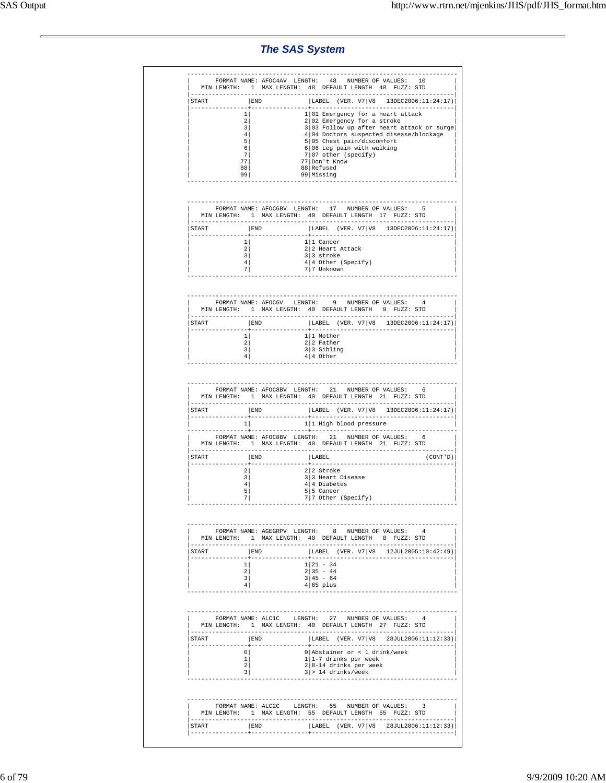|       |                       |                                | MIN LENGTH: 1 MAX LENGTH: 48 DEFAULT LENGTH 48 FUZZ: STD                                                              |
|-------|-----------------------|--------------------------------|-----------------------------------------------------------------------------------------------------------------------|
| START | ----------------+---- | END                            | LABEL (VER. V7   V8 13DEC2006:11:24:17)                                                                               |
|       | 1 <br>2 <sup>1</sup>  |                                | 1 01 Emergency for a heart attack<br>$2 02$ Emergency for a stroke                                                    |
|       | 3                     |                                | 3 03 Follow up after heart attack or surge                                                                            |
|       | $\overline{4}$<br>5   |                                | 4   04 Doctors suspected disease/blockage<br>5 05 Chest pain/discomfort                                               |
|       | 6                     |                                | $6 06$ Leg pain with walking                                                                                          |
|       | 7<br>77               |                                | $7 07$ other (specify)<br>77 Don't Know                                                                               |
|       | 88                    |                                | 88 Refused                                                                                                            |
|       | 99                    |                                | 99 Missing                                                                                                            |
|       |                       |                                |                                                                                                                       |
|       |                       |                                | FORMAT NAME: AFOC6BV LENGTH: 17 NUMBER OF VALUES:<br>$-5$<br>MIN LENGTH: 1 MAX LENGTH: 40 DEFAULT LENGTH 17 FUZZ: STD |
| START |                       | $ $ END                        | LABEL (VER. V7   V8 13DEC2006:11:24:17)                                                                               |
|       | 1                     | --+----------------+---------- | $1 1$ Cancer                                                                                                          |
|       | 2                     |                                | 2 2 Heart Attack                                                                                                      |
|       | 3                     |                                | $3 3$ stroke                                                                                                          |
|       | 4 <br>7               |                                | 4   4 Other (Specify)<br>7 7 Unknown                                                                                  |
|       |                       |                                |                                                                                                                       |
|       |                       | -----------------------        | FORMAT NAME: AFOC6V LENGTH: 9 NUMBER OF VALUES:<br>- 4                                                                |
|       |                       |                                | MIN LENGTH: 1 MAX LENGTH: 40 DEFAULT LENGTH 9 FUZZ: STD                                                               |
| START |                       | END                            | LABEL (VER. V7   V8 13DEC2006:11:24:17)<br>--+------<br>------                                                        |
|       | 1 <br>2               |                                | $1 1$ Mother<br>$2 2$ Father                                                                                          |
|       | 3                     |                                | $3 3$ Sibling                                                                                                         |
|       | 4                     |                                | $4 4$ Other                                                                                                           |
|       |                       |                                | FORMAT NAME: AFOC8BV LENGTH: 21 NUMBER OF VALUES: 6<br>MIN LENGTH: 1 MAX LENGTH: 40 DEFAULT LENGTH 21 FUZZ: STD       |
| START |                       | END                            | LABEL (VER. V7   V8 13DEC2006:11:24:17)<br>----+--------------------                                                  |
|       |                       |                                |                                                                                                                       |
|       | 1                     |                                | 1 1 High blood pressure                                                                                               |
|       |                       |                                | FORMAT NAME: AFOC8BV LENGTH: 21 NUMBER OF VALUES: 6<br>MIN LENGTH: 1 MAX LENGTH: 40 DEFAULT LENGTH 21 FUZZ: STD       |
| START | END                   | -----------------              | LABEL                                                                                                                 |
|       | $\overline{2}$        |                                | 2 2 Stroke                                                                                                            |
|       | 3                     |                                | 3 3 Heart Disease                                                                                                     |
|       | 4                     |                                | $4 4$ Diabetes                                                                                                        |
|       | 5 <br>7               |                                | $5 5$ Cancer<br>7   7 Other (Specify)                                                                                 |
|       |                       |                                |                                                                                                                       |
|       |                       |                                | FORMAT NAME: AGEGRPV LENGTH: 8 NUMBER OF VALUES: 4                                                                    |
| START |                       |                                | MIN LENGTH: 1 MAX LENGTH: 40 DEFAULT LENGTH 8 FUZZ: STD<br>-----------------                                          |
|       |                       | END                            | ------------+--------------<br>.                                                                                      |
|       | 11<br>$\overline{2}$  |                                | $1 21 - 34$<br>$2 35 - 44$                                                                                            |
|       | 3                     |                                | $3 45 - 64$                                                                                                           |
|       | 4                     |                                | $4 65$ plus                                                                                                           |
|       |                       |                                |                                                                                                                       |
|       |                       |                                | FORMAT NAME: ALC1C LENGTH: 27 NUMBER OF VALUES: 4<br>MIN LENGTH: 1 MAX LENGTH: 40 DEFAULT LENGTH 27 FUZZ: STD         |
| START |                       | END                            | ------------<br>--------------<br>LABEL (VER. V7   V8                                                                 |
|       | 0 <sup>1</sup>        | $- + + - -$                    | ____________________________                                                                                          |
|       | 1                     |                                | $0$ Abstainer or < 1 drink/week<br>$1 1-7$ drinks per week                                                            |
|       | 2                     |                                | (CONT'D)<br> LABEL (VER. V7   V8 12JUL2005:10:42:49)  <br>28JUL2006:11:12:33)<br>$2 8-14$ drinks per week             |
|       | 3                     |                                | $3 > 14$ drinks/week                                                                                                  |
|       |                       | . <u>.</u> .                   | ----------                                                                                                            |
|       |                       | FORMAT NAME: ALC2C LENGTH: 55  | NUMBER OF VALUES:                                                                                                     |
|       | --------------        | ----------------<br>$ $ END    | MIN LENGTH: 1 MAX LENGTH: 55 DEFAULT LENGTH 55 FUZZ: STD                                                              |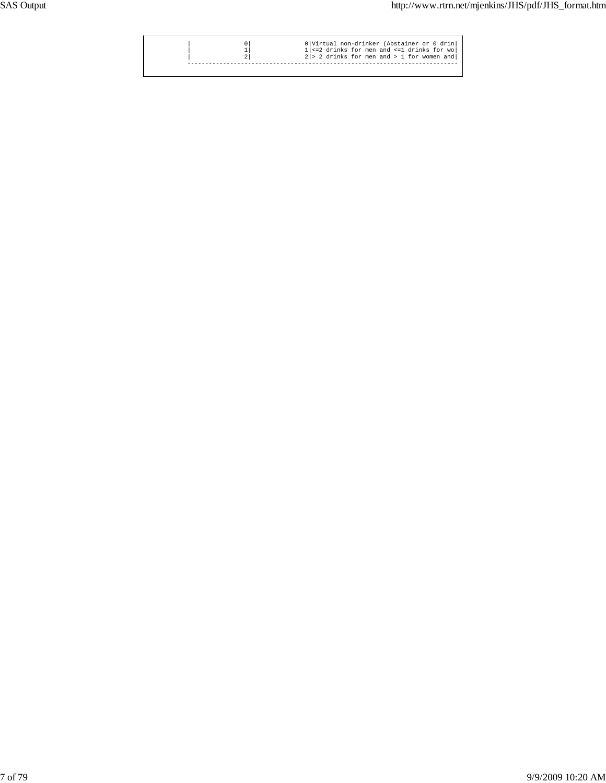|  | 0 Virtual non-drinker (Abstainer or 0 drin)          |  |  |  |  |
|--|------------------------------------------------------|--|--|--|--|
|  | $1 \leq 2$ drinks for men and $\leq 1$ drinks for wo |  |  |  |  |
|  | $2$ > 2 drinks for men and > 1 for women and         |  |  |  |  |
|  |                                                      |  |  |  |  |
|  |                                                      |  |  |  |  |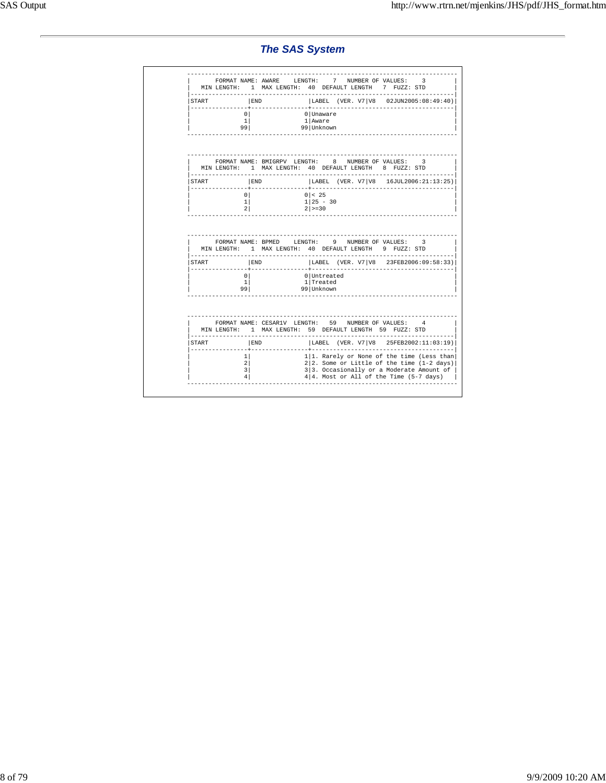|                        |                              | FORMAT NAME: AWARE              | LENGTH: 7 NUMBER OF VALUES:<br>MIN LENGTH: 1 MAX LENGTH: 40 DEFAULT LENGTH 7 FUZZ: STD                       | - 3                 |
|------------------------|------------------------------|---------------------------------|--------------------------------------------------------------------------------------------------------------|---------------------|
| START                  |                              | <b>END</b><br>$- - + - - - - -$ | LABEL (VER. V7   V8 02JUN2005:08:49:40)<br>.                                                                 |                     |
|                        | $1 \vert$<br>99              | 0 <sup>1</sup>                  | 0 Unaware<br>1 Aware<br>99   Unknown                                                                         |                     |
|                        |                              | FORMAT NAME: BMIGRPV LENGTH:    | 8<br>NUMBER OF VALUES:<br>MIN LENGTH: 1 MAX LENGTH: 40 DEFAULT LENGTH 8 FUZZ: STD                            |                     |
| START                  |                              | $ $ END                         | $ \, {\tt LABEL} \quad ({\tt VER.~V7}\,  \, {\tt V8} \quad \ 16 {\tt JUL2006:21:13:25}\,)$<br>-------------- |                     |
|                        | $\circ$<br>$1 \vert$<br>2    |                                 | 0 < 25<br>$1 25 - 30$<br>$2 \mid z = 30$                                                                     |                     |
|                        |                              | FORMAT NAME: BPMED<br>LENGTH:   | 9 NUMBER OF VALUES:                                                                                          | 3                   |
| START                  |                              | END                             | MIN LENGTH: 1 MAX LENGTH: 40 DEFAULT LENGTH 9 FUZZ: STD                                                      |                     |
|                        | $\Omega$<br>$1 \mid$<br>99 I |                                 | LABEL (VER. V7   V8 23FEB2006:09:58:33)<br>0 Untreated<br>1 Treated<br>99 Unknown                            |                     |
|                        |                              |                                 | FORMAT NAME: CESAR1V LENGTH: 59 NUMBER OF VALUES: 4                                                          |                     |
| -------------<br>START |                              | <b>END</b>                      | MIN LENGTH: 1 MAX LENGTH: 59 DEFAULT LENGTH 59 FUZZ: STD<br>LABEL (VER. V7 V8                                | 25FEB2002:11:03:19) |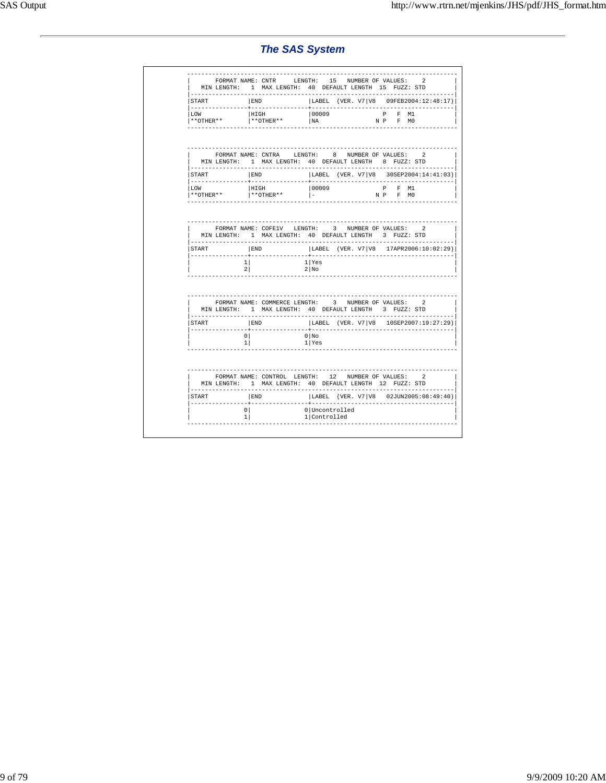|                                | MIN LENGTH:<br>----------------- |                               | FORMAT NAME: CNTR LENGTH: 15 NUMBER OF VALUES:<br>$\mathcal{L}$<br>1 MAX LENGTH: 40 DEFAULT LENGTH 15 FUZZ: STD |
|--------------------------------|----------------------------------|-------------------------------|-----------------------------------------------------------------------------------------------------------------|
| START                          |                                  | <b>END</b>                    | LABEL $(VER. V7 V8)$<br>09FEB2004:12:48:1                                                                       |
| LOW<br>**OTHER**               |                                  | HIGH<br>$\star$ *OTHER**      | 00009<br>$\mathbb{P}$<br>F M1<br>NA<br>NP F MO                                                                  |
|                                |                                  |                               |                                                                                                                 |
|                                | FORMAT NAME: CNTRA               | LENGTH:                       | 8 NUMBER OF VALUES:<br>$\mathbf{2}^{\circ}$<br>MIN LENGTH: 1 MAX LENGTH: 40 DEFAULT LENGTH 8 FUZZ: STD          |
| START                          |                                  | END                           | LABEL (VER. V7   V8 30SEP2004:14:41:03)                                                                         |
| LOW<br>$**$ OTHER * *          |                                  | HIGH<br>$\star$ *OTHER**      | $ 00009$<br>P F M1<br>$\sim$ $-$<br>NP F MO                                                                     |
| --------------<br><b>START</b> |                                  | ---------------<br>  END      | MIN LENGTH: 1 MAX LENGTH: 40 DEFAULT LENGTH 3 FUZZ: STD<br> LABEL (VER. V7   V8 17APR2006:10:02:29)             |
|                                |                                  |                               | FORMAT NAME: COFE1V LENGTH: 3 NUMBER OF VALUES:<br>2                                                            |
|                                | 11                               |                               | 1 Yes                                                                                                           |
|                                |                                  | $2 \mid$                      | 2 N <sub>O</sub>                                                                                                |
|                                |                                  |                               |                                                                                                                 |
| ---------                      |                                  | FORMAT NAME: COMMERCE LENGTH: | 3 NUMBER OF VALUES:<br>2<br>MIN LENGTH: 1 MAX LENGTH: 40 DEFAULT LENGTH 3 FUZZ: STD                             |
| START                          |                                  | END<br>--------------         | LABEL (VER. V7 V8<br>10SEP2007:19:27:29)                                                                        |
|                                | 0<br>1 <sup>1</sup>              |                               | 0 N <sub>O</sub><br>$1$  Yes                                                                                    |
|                                |                                  |                               | FORMAT NAME: CONTROL LENGTH: 12 NUMBER OF VALUES: 2<br>MIN LENGTH: 1 MAX LENGTH: 40 DEFAULT LENGTH 12 FUZZ: STD |
|                                |                                  | END                           | LABEL (VER. V7 V8<br>02JUN2005:08:49:40)                                                                        |
| -----------<br>START           |                                  |                               |                                                                                                                 |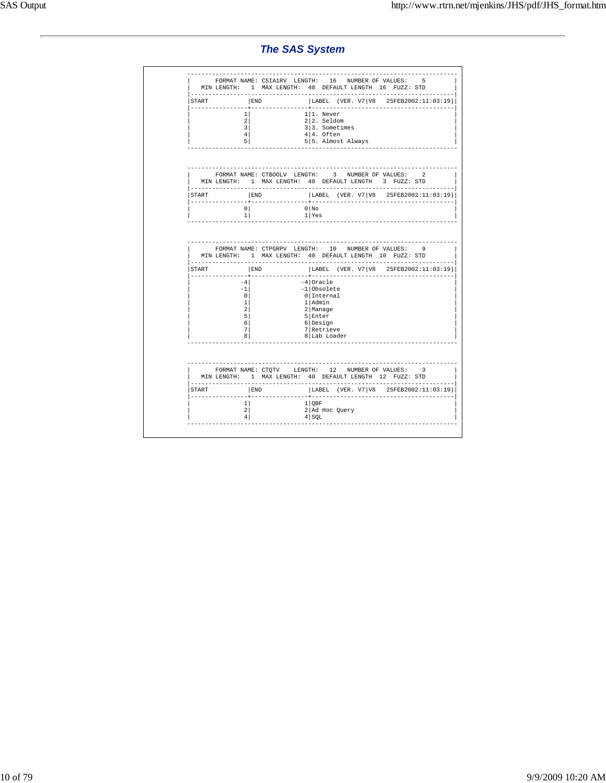| START        | -------------------<br>1  <br>2 <sup>1</sup><br>3 | <b>END</b> |                              |                  |                                                                                                                 |
|--------------|---------------------------------------------------|------------|------------------------------|------------------|-----------------------------------------------------------------------------------------------------------------|
|              |                                                   |            |                              |                  | LABEL (VER. V7 V8<br>25FEB2002:11:03:19)                                                                        |
|              |                                                   |            |                              |                  | 1 1. Never                                                                                                      |
|              |                                                   |            |                              |                  | $2 2.$ Seldom                                                                                                   |
|              | 4                                                 |            |                              |                  | 3 3. Sometimes<br>4 4. Often                                                                                    |
|              | 5                                                 |            |                              |                  | 5 5. Almost Always                                                                                              |
|              |                                                   |            |                              |                  |                                                                                                                 |
|              |                                                   |            | FORMAT NAME: CTBOOLV LENGTH: |                  | 3<br>NUMBER OF VALUES:<br>2                                                                                     |
| ----------   |                                                   |            |                              |                  | MIN LENGTH: 1 MAX LENGTH: 40 DEFAULT LENGTH 3 FUZZ: STD<br>-----------                                          |
| <b>START</b> |                                                   | <b>END</b> | ---+----------------+-       |                  | LABEL (VER. V7 V8<br>25FEB2002:11:03:19)<br>__________________                                                  |
|              |                                                   | 0          |                              | 0 N <sub>O</sub> |                                                                                                                 |
|              | 1                                                 |            |                              | $1$  Yes         |                                                                                                                 |
|              | -------------------                               |            |                              |                  | FORMAT NAME: CTPGRPV LENGTH: 10 NUMBER OF VALUES: 9<br>MIN LENGTH: 1 MAX LENGTH: 40 DEFAULT LENGTH 10 FUZZ: STD |
| START        |                                                   | <b>END</b> |                              |                  | LABEL (VER. V7 V8<br>25FEB2002:11:03:19)                                                                        |
|              | $-4$                                              |            |                              |                  | $-4$ Oracle                                                                                                     |
|              | $-1$<br>$\circ$                                   |            |                              |                  | $-1$ Obsolete<br>0 Internal                                                                                     |
|              | $\mathbf{1}$                                      |            |                              |                  | 1 Admin                                                                                                         |
|              | 2                                                 |            |                              |                  | 2 Manage                                                                                                        |
|              | 5                                                 |            |                              |                  | 5 Enter                                                                                                         |
|              | 6<br>7                                            |            |                              |                  | 6 Design<br>7 Retrieve                                                                                          |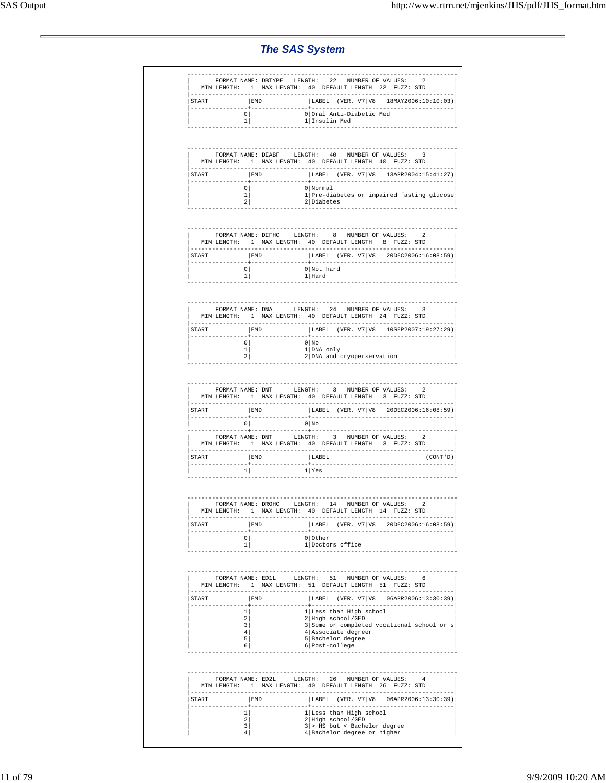|       |                                 |                      | FORMAT NAME: DBTYPE LENGTH: 22 NUMBER OF VALUES:<br>MIN LENGTH: 1 MAX LENGTH: 40 DEFAULT LENGTH 22 FUZZ: STD                           |
|-------|---------------------------------|----------------------|----------------------------------------------------------------------------------------------------------------------------------------|
| START |                                 | END                  | LABEL (VER. V7   V8 18MAY2006:10:10:03)                                                                                                |
|       | $0$                             |                      | ----------------<br>0 Oral Anti-Diabetic Med                                                                                           |
|       | 1                               |                      | 1 Insulin Med                                                                                                                          |
|       |                                 |                      |                                                                                                                                        |
|       |                                 | ----------------     | FORMAT NAME: DIABF LENGTH: 40 NUMBER OF VALUES: 3<br>MIN LENGTH: 1 MAX LENGTH: 40 DEFAULT LENGTH 40 FUZZ: STD<br>--------------------- |
| START |                                 | END                  | LABEL (VER. V7 V8<br>13APR2004:15:41:27)                                                                                               |
|       | $\circ$<br>$1\vert$<br>$2 \mid$ |                      | 0 Normal<br>1 Pre-diabetes or impaired fasting glucose<br>$2$ Diabetes                                                                 |
|       |                                 |                      | FORMAT NAME: DIFHC LENGTH: 8 NUMBER OF VALUES: 2<br>MIN LENGTH: 1 MAX LENGTH: 40 DEFAULT LENGTH 8 FUZZ: STD                            |
| START |                                 | END                  | LABEL (VER. V7 V8 20DEC2006:16:08:59)                                                                                                  |
|       | $0$                             |                      | $0 $ Not hard                                                                                                                          |
|       | 1                               |                      | 1 Hard                                                                                                                                 |
|       |                                 |                      |                                                                                                                                        |
|       |                                 |                      | FORMAT NAME: DNA LENGTH: 24 NUMBER OF VALUES: 3<br>MIN LENGTH: 1 MAX LENGTH: 40 DEFAULT LENGTH 24 FUZZ: STD                            |
| START |                                 | END                  | $ LABEL$ (VER. V7   V8<br>10SEP2007:19:27:29)                                                                                          |
|       | $\circ$                         |                      | $0 $ No                                                                                                                                |
|       | 1 <br>$2 \mid$                  |                      | $1$ DNA only<br>2 DNA and cryoperservation                                                                                             |
|       |                                 |                      |                                                                                                                                        |
|       |                                 | .<br>--------------- | FORMAT NAME: DNT LENGTH: 3 NUMBER OF VALUES:<br>$\overline{2}$                                                                         |
|       |                                 |                      | MIN LENGTH: 1 MAX LENGTH: 40 DEFAULT LENGTH 3 FUZZ: STD                                                                                |
| START |                                 | END                  | LABEL (VER. V7 V8 20DEC2006:16:08:59)                                                                                                  |
|       | 0 <sup>1</sup>                  |                      | $0 N$ o                                                                                                                                |
|       |                                 |                      | FORMAT NAME: DNT LENGTH: 3 NUMBER OF VALUES:<br>$\mathcal{L}$<br>MIN LENGTH: 1 MAX LENGTH: 40 DEFAULT LENGTH 3 FUZZ: STD               |
| START |                                 | END                  | LABEL<br>(CONT'D)                                                                                                                      |
|       | $1\vert$                        |                      | 1 Yes                                                                                                                                  |
|       |                                 |                      |                                                                                                                                        |
|       |                                 |                      |                                                                                                                                        |
|       | MIN LENGTH:                     | $\mathbf{1}$         | FORMAT NAME: DROHC LENGTH: 14 NUMBER OF VALUES: 2<br>MAX LENGTH: 40 DEFAULT LENGTH 14 FUZZ: STD                                        |
| START |                                 | $ $ END              | LABEL (VER. V7   V8 20DEC2006:16:08:59)                                                                                                |
|       | $\circ$                         | -----------+--       | $0   0$ ther                                                                                                                           |
|       | 1                               |                      | 1 Doctors office<br>--------------------------------                                                                                   |
|       |                                 |                      |                                                                                                                                        |
|       |                                 |                      | FORMAT NAME: ED1L LENGTH: 51 NUMBER OF VALUES: 6                                                                                       |
|       |                                 |                      | MIN LENGTH: 1 MAX LENGTH: 51 DEFAULT LENGTH 51 FUZZ: STD                                                                               |
| START |                                 | <b>END</b>           | LABEL (VER. V7   V8 06APR2006:13:30:39)                                                                                                |
|       | 1 <br>2                         |                      | 1 Less than High school<br>2 High school/GED                                                                                           |
|       | $\frac{3}{2}$<br>4 <sup>1</sup> |                      | 3 Some or completed vocational school or s<br>4 Associate degreer                                                                      |
|       | 5<br>6                          |                      | 5 Bachelor degree<br>6 Post-college                                                                                                    |
|       |                                 |                      |                                                                                                                                        |
|       |                                 |                      | FORMAT NAME: ED2L LENGTH: 26 NUMBER OF VALUES: 4                                                                                       |
|       |                                 | ------------------   | MIN LENGTH: 1 MAX LENGTH: 40 DEFAULT LENGTH 26 FUZZ: STD                                                                               |
|       |                                 | END                  | LABEL (VER. V7   V8 06APR2006:13:30:39)                                                                                                |
| START |                                 |                      |                                                                                                                                        |
|       | 1                               |                      | 1 Less than High school                                                                                                                |
|       | 2 <br>3 <br>4                   |                      | 2 High school/GED<br>$3$ > HS but < Bachelor degree<br>4 Bachelor degree or higher                                                     |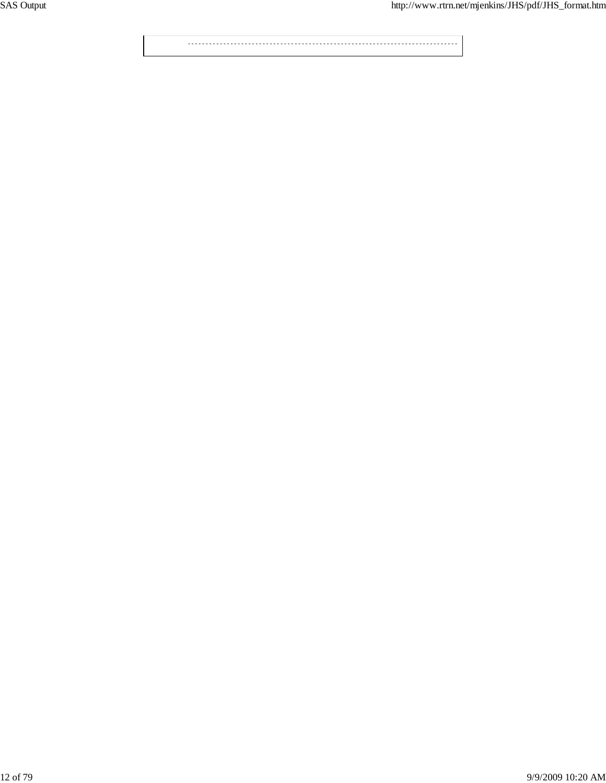----------------------------------------------------------------------------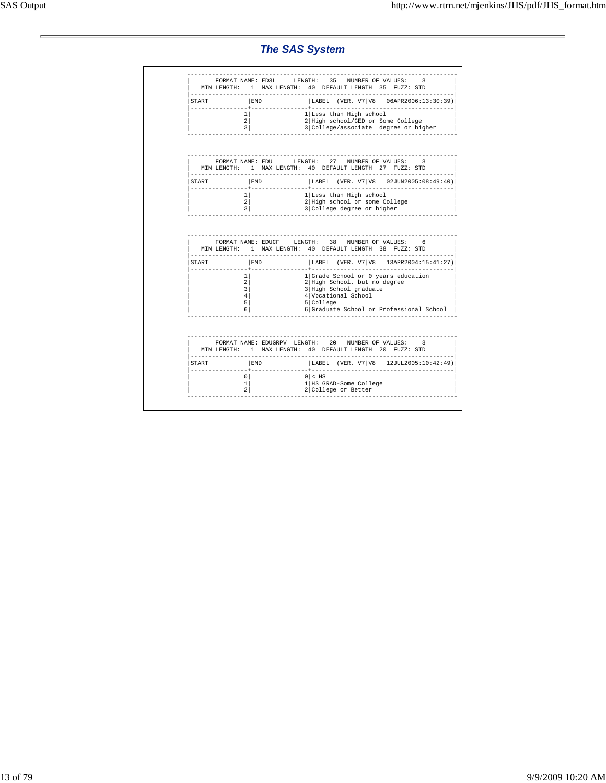|              | ---------------- | MIN LENGTH: 1 MAX LENGTH:<br>---------- | FORMAT NAME: ED3L LENGTH: 35 NUMBER OF VALUES:<br>- 3<br>40 DEFAULT LENGTH 35 FUZZ: STD                            |
|--------------|------------------|-----------------------------------------|--------------------------------------------------------------------------------------------------------------------|
| START        |                  | <b>END</b>                              | LABEL (VER. V7   V8 06APR2006:13:30:39)<br>-------------                                                           |
|              | $1 \vert$<br>21  | $3$                                     | 1 Less than High school<br>2 High school/GED or Some College<br>3 College/associate degree or higher               |
|              |                  |                                         |                                                                                                                    |
| ------------ |                  |                                         | FORMAT NAME: EDU LENGTH: 27 NUMBER OF VALUES: 3<br>MIN LENGTH: 1 MAX LENGTH: 40 DEFAULT LENGTH 27 FUZZ: STD        |
| START        |                  | END                                     | LABEL (VER. V7   V8 02JUN2005:08:49:40)                                                                            |
|              | $1 \vert$<br>21  | $3 \mid$                                | 1 Less than High school<br>2 High school or some College<br>3 College degree or higher                             |
|              | MIN LENGTH:      | FORMAT NAME: EDUCF                      | LENGTH: 38 NUMBER OF VALUES:<br>6<br>1 MAX LENGTH: 40 DEFAULT LENGTH 38 FUZZ: STD                                  |
| START        |                  | END                                     |                                                                                                                    |
|              | 11               |                                         | LABEL (VER. V7   V8 13APR2004:15:41:27)<br>1 Grade School or 0 years education                                     |
|              | $2 \mid$<br>3    |                                         | 2 High School, but no degree<br>3 High School graduate                                                             |
|              | 4  <br>5         |                                         | 4 Vocational School<br>$5$ College                                                                                 |
|              | 61               |                                         | FORMAT NAME: EDUGRPV LENGTH: 20 NUMBER OF VALUES:<br>3<br>MIN LENGTH: 1 MAX LENGTH: 40 DEFAULT LENGTH 20 FUZZ: STD |
| START        | 0 <sup>1</sup>   | END                                     | 6 Graduate School or Professional School<br> LABEL (VER. V7   V8 $12JUL2005:10:42:49$ )<br>$0 <$ HS                |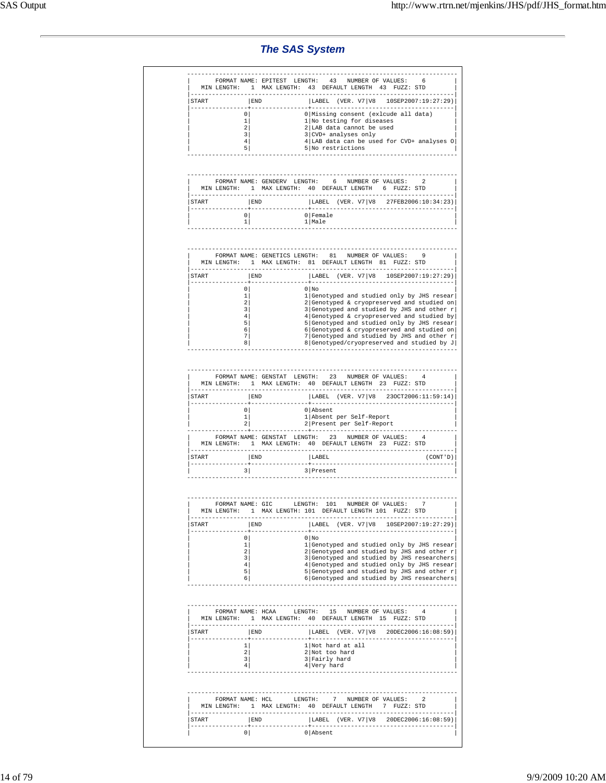| START     |                               | $ $ END                   | LABEL (VER. V7 V8<br>10SEP2007:19:27:29)                                                                                                                                                                                                                                                          |
|-----------|-------------------------------|---------------------------|---------------------------------------------------------------------------------------------------------------------------------------------------------------------------------------------------------------------------------------------------------------------------------------------------|
| --------- | $\circ$                       | --+---------              | ----+-----------------------------<br>0 Missing consent (exlcude all data)                                                                                                                                                                                                                        |
|           | 1                             |                           | 1 No testing for diseases                                                                                                                                                                                                                                                                         |
|           | 2 <br>3                       |                           | 2 LAB data cannot be used<br>3 CVD+ analyses only                                                                                                                                                                                                                                                 |
|           | 4 <sup>1</sup><br>5           |                           | 4 LAB data can be used for CVD+ analyses O<br>5 No restrictions                                                                                                                                                                                                                                   |
|           |                               |                           |                                                                                                                                                                                                                                                                                                   |
|           |                               |                           | FORMAT NAME: GENDERV LENGTH: 6 NUMBER OF VALUES:<br>MIN LENGTH: 1 MAX LENGTH: 40 DEFAULT LENGTH 6 FUZZ: STD                                                                                                                                                                                       |
|           |                               |                           |                                                                                                                                                                                                                                                                                                   |
| START     |                               | END<br>-----------+------ | LABEL (VER. V7 V8<br>27FEB2006:10:34:23)                                                                                                                                                                                                                                                          |
|           | 0 <br>$1\vert$                |                           | $0$   Female<br>1 Male                                                                                                                                                                                                                                                                            |
|           |                               |                           |                                                                                                                                                                                                                                                                                                   |
|           |                               | -----------               | FORMAT NAME: GENETICS LENGTH: 81 NUMBER OF VALUES:                                                                                                                                                                                                                                                |
|           |                               |                           | MIN LENGTH: 1 MAX LENGTH: 81 DEFAULT LENGTH 81 FUZZ: STD                                                                                                                                                                                                                                          |
| START     |                               | $ $ END                   | LABEL (VER. V7   V8 10SEP2007:19:27:29)<br>-------------------                                                                                                                                                                                                                                    |
|           | 0 <sup>1</sup>                |                           | 0 NQ                                                                                                                                                                                                                                                                                              |
|           | 1 <br>$\overline{2}$          |                           | 1 Genotyped and studied only by JHS resear<br>2 Genotyped & cryopreserved and studied on                                                                                                                                                                                                          |
|           | 3                             |                           | 3 Genotyped and studied by JHS and other r                                                                                                                                                                                                                                                        |
|           | 4<br>5                        |                           | 4 Genotyped & cryopreserved and studied by<br>5 Genotyped and studied only by JHS resear                                                                                                                                                                                                          |
|           | 6                             |                           | 6 Genotyped & cryopreserved and studied on                                                                                                                                                                                                                                                        |
|           | 7<br>8                        |                           | 7 Genotyped and studied by JHS and other r<br>8 Genotyped/cryopreserved and studied by J                                                                                                                                                                                                          |
| START     | 0 <sup>1</sup>                | END                       | LABEL (VER. V7   V8 230CT2006:11:59:14)                                                                                                                                                                                                                                                           |
|           |                               |                           |                                                                                                                                                                                                                                                                                                   |
|           | 1 <br>2                       |                           | $0$ Absent<br>1 Absent per Self-Report<br>2 Present per Self-Report                                                                                                                                                                                                                               |
|           |                               |                           | ----+-----------<br>-------<br>FORMAT NAME: GENSTAT LENGTH: 23 NUMBER OF VALUES:<br>$\overline{4}$<br>MIN LENGTH: 1 MAX LENGTH: 40 DEFAULT LENGTH 23 FUZZ: STD                                                                                                                                    |
| START     |                               | END                       | LABEL                                                                                                                                                                                                                                                                                             |
|           | 3                             |                           | 3 Present                                                                                                                                                                                                                                                                                         |
|           |                               |                           |                                                                                                                                                                                                                                                                                                   |
|           |                               |                           | .<br>. _ _ _ _ _ _ _ _ _ _<br>FORMAT NAME: GIC LENGTH: 101 NUMBER OF VALUES:<br>$\overline{7}$<br>MIN LENGTH: 1 MAX LENGTH: 101 DEFAULT LENGTH 101 FUZZ: STD<br>-------------                                                                                                                     |
| START     |                               | $ $ END                   |                                                                                                                                                                                                                                                                                                   |
|           | $\circ$                       |                           | 0 N <sub>O</sub>                                                                                                                                                                                                                                                                                  |
|           | $\mathbf{1}$                  |                           | (CONT'D)<br> LABEL (VER. V7 V8 10SEP2007:19:27:29)<br>1 Genotyped and studied only by JHS resear                                                                                                                                                                                                  |
|           | 2 <br>$\overline{\mathbf{3}}$ |                           |                                                                                                                                                                                                                                                                                                   |
|           | $\overline{4}$                |                           |                                                                                                                                                                                                                                                                                                   |
|           | 5<br>6                        |                           |                                                                                                                                                                                                                                                                                                   |
|           |                               |                           |                                                                                                                                                                                                                                                                                                   |
|           |                               |                           | FORMAT NAME: HCAA LENGTH: 15 NUMBER OF VALUES:<br>$\overline{4}$                                                                                                                                                                                                                                  |
|           |                               |                           | MIN LENGTH: 1 MAX LENGTH: 40 DEFAULT LENGTH 15 FUZZ: STD                                                                                                                                                                                                                                          |
| START     |                               | $ $ END                   | -----------+----------------                                                                                                                                                                                                                                                                      |
|           | 1                             |                           | 2 Genotyped and studied by JHS and other r<br>3 Genotyped and studied by JHS researchers<br>4 Genotyped and studied only by JHS resear<br>5 Genotyped and studied by JHS and other r<br>6 Genotyped and studied by JHS researchers<br> LABEL (VER. V7 V8 20DEC2006:16:08:59)<br>1 Not hard at all |
|           | 2 <br>3                       |                           | 2 Not too hard                                                                                                                                                                                                                                                                                    |
|           | 4                             |                           | 3 Fairly hard<br>4 Very hard                                                                                                                                                                                                                                                                      |
|           |                               | ------------------------- | -------------------                                                                                                                                                                                                                                                                               |
|           |                               | FORMAT NAME: HCL          | LENGTH:<br>7 NUMBER OF VALUES:<br>$\overline{2}$<br>MIN LENGTH: 1 MAX LENGTH: 40 DEFAULT LENGTH 7 FUZZ: STD                                                                                                                                                                                       |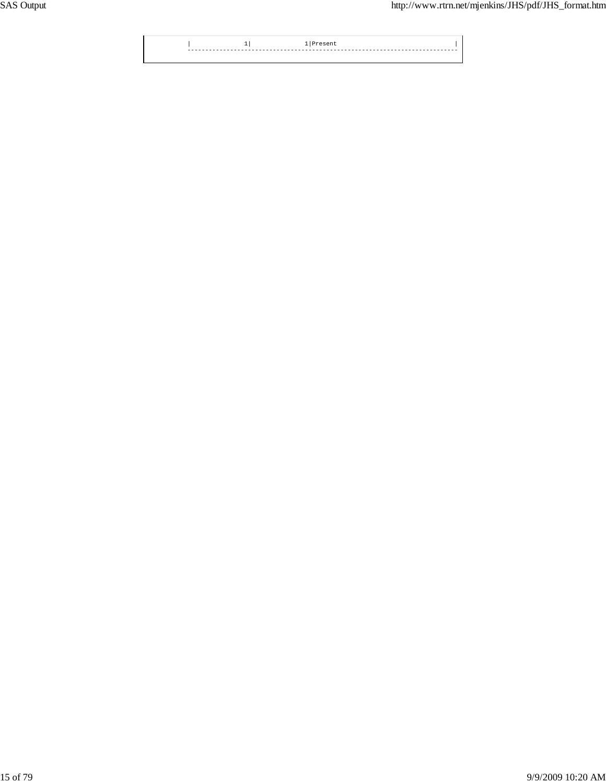| 1| 1|Present | ----------------------------------------------------------------------------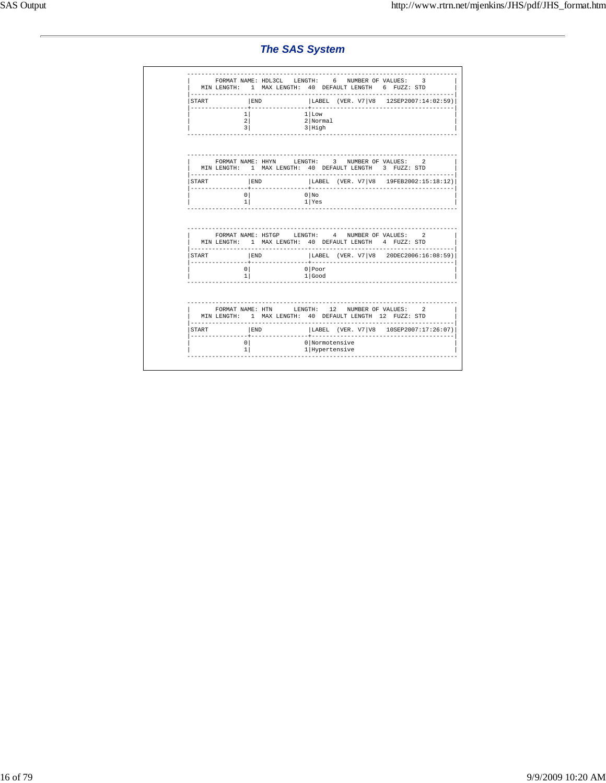|              |                      | FORMAT NAME: HDL3CL<br>LENGTH: | 6<br>NUMBER OF VALUES:<br>MIN LENGTH: 1 MAX LENGTH: 40 DEFAULT LENGTH 6 FUZZ: STD                              |
|--------------|----------------------|--------------------------------|----------------------------------------------------------------------------------------------------------------|
| START        |                      | <b>END</b>                     | LABEL (VER. V7   V8 12SEP 2007:14:02:59)                                                                       |
|              | 1  <br>$2 \mid$<br>3 |                                | $1$ Low<br>2 Normal<br>3 High                                                                                  |
|              | FORMAT NAME: HHYN    |                                | LENGTH:<br>3 NUMBER OF VALUES:<br>2<br>MIN LENGTH: 1 MAX LENGTH: 40 DEFAULT LENGTH 3 FUZZ: STD                 |
| <b>START</b> |                      | <b>END</b>                     | LABEL (VER. V7   V8 19FEB2002:15:18:12)                                                                        |
|              | $0$                  |                                | $0 $ No                                                                                                        |
|              | 1                    |                                | $1$  Yes                                                                                                       |
|              | . <u>.</u> .         |                                | FORMAT NAME: HSTGP LENGTH: 4 NUMBER OF VALUES:<br>2<br>MIN LENGTH: 1 MAX LENGTH: 40 DEFAULT LENGTH 4 FUZZ: STD |
| START        |                      | END                            | LABEL (VER. V7   V8 20DEC2006:16:08:59)                                                                        |
|              | 0 <sup>1</sup><br>1  |                                | $0$  Poor<br>1 Good                                                                                            |
|              |                      |                                | FORMAT NAME: HTN LENGTH: 12 NUMBER OF VALUES: 2<br>MIN LENGTH: 1 MAX LENGTH: 40 DEFAULT LENGTH 12 FUZZ: STD    |
| START        |                      | END<br>$-4 - - - - -$          | LABEL (VER. V7   V8 10SEP2007:17:26:07)<br>--+------------------                                               |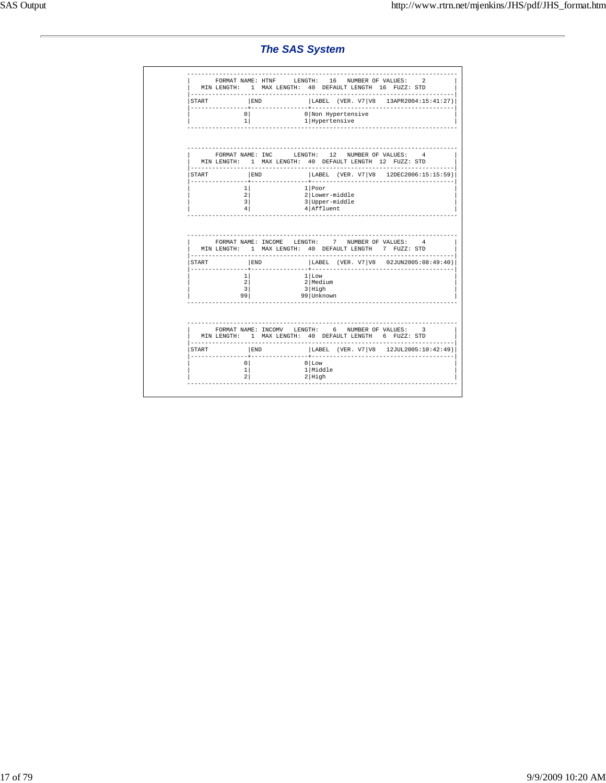| LABEL (VER. V7 V8<br>$ $ END<br>START<br>. <u>.</u> .<br>$- + - - - - -$<br>$- - - - -$<br>0 Non Hypertensive<br>0  <br>1 Hypertensive<br>1 <br>FORMAT NAME: INC LENGTH: 12 NUMBER OF VALUES:<br>$\frac{4}{3}$<br>MIN LENGTH: 1 MAX LENGTH: 40 DEFAULT LENGTH 12 FUZZ: STD<br>---------------<br>START<br>  END<br>$1 $ Poor<br>$1 \mid$<br>$2 \mid$<br>2 Lower-middle<br>3 I<br>3 Upper-middle<br>4 Affluent<br>4<br>FORMAT NAME: INCOME LENGTH: 7 NUMBER OF VALUES:<br>- 4<br>MIN LENGTH: 1 MAX LENGTH: 40 DEFAULT LENGTH 7 FUZZ: STD<br>START<br>  END<br>1 <sup>1</sup><br>$1$   Low<br>2 <sup>1</sup><br>2 Medium<br>3 <br>3 High<br>99 Unknown<br>99 <sub>1</sub> |  | FORMAT NAME: HTNF LENGTH: 16 NUMBER OF VALUES:<br>- 2.<br>MIN LENGTH: 1 MAX LENGTH: 40 DEFAULT LENGTH 16 FUZZ: STD |
|-------------------------------------------------------------------------------------------------------------------------------------------------------------------------------------------------------------------------------------------------------------------------------------------------------------------------------------------------------------------------------------------------------------------------------------------------------------------------------------------------------------------------------------------------------------------------------------------------------------------------------------------------------------------------|--|--------------------------------------------------------------------------------------------------------------------|
| LABEL (VER. V7   V8 12DEC2006:15:15:59)<br> LABEL (VER. V7   V8 02JUN2005:08:49:40)                                                                                                                                                                                                                                                                                                                                                                                                                                                                                                                                                                                     |  | 13APR2004:15:41:27)                                                                                                |
|                                                                                                                                                                                                                                                                                                                                                                                                                                                                                                                                                                                                                                                                         |  |                                                                                                                    |
|                                                                                                                                                                                                                                                                                                                                                                                                                                                                                                                                                                                                                                                                         |  |                                                                                                                    |
|                                                                                                                                                                                                                                                                                                                                                                                                                                                                                                                                                                                                                                                                         |  |                                                                                                                    |
|                                                                                                                                                                                                                                                                                                                                                                                                                                                                                                                                                                                                                                                                         |  |                                                                                                                    |
|                                                                                                                                                                                                                                                                                                                                                                                                                                                                                                                                                                                                                                                                         |  |                                                                                                                    |
|                                                                                                                                                                                                                                                                                                                                                                                                                                                                                                                                                                                                                                                                         |  |                                                                                                                    |
|                                                                                                                                                                                                                                                                                                                                                                                                                                                                                                                                                                                                                                                                         |  |                                                                                                                    |
|                                                                                                                                                                                                                                                                                                                                                                                                                                                                                                                                                                                                                                                                         |  |                                                                                                                    |
|                                                                                                                                                                                                                                                                                                                                                                                                                                                                                                                                                                                                                                                                         |  |                                                                                                                    |
|                                                                                                                                                                                                                                                                                                                                                                                                                                                                                                                                                                                                                                                                         |  |                                                                                                                    |
| FORMAT NAME: INCOMV LENGTH: 6 NUMBER OF VALUES:<br>3<br>40 DEFAULT LENGTH 6 FUZZ: STD<br>MIN LENGTH: 1 MAX LENGTH:                                                                                                                                                                                                                                                                                                                                                                                                                                                                                                                                                      |  |                                                                                                                    |
| $ LABEL$ (VER. V7   V8 12JUL 2005:10:42:49)<br><b>END</b><br>START                                                                                                                                                                                                                                                                                                                                                                                                                                                                                                                                                                                                      |  |                                                                                                                    |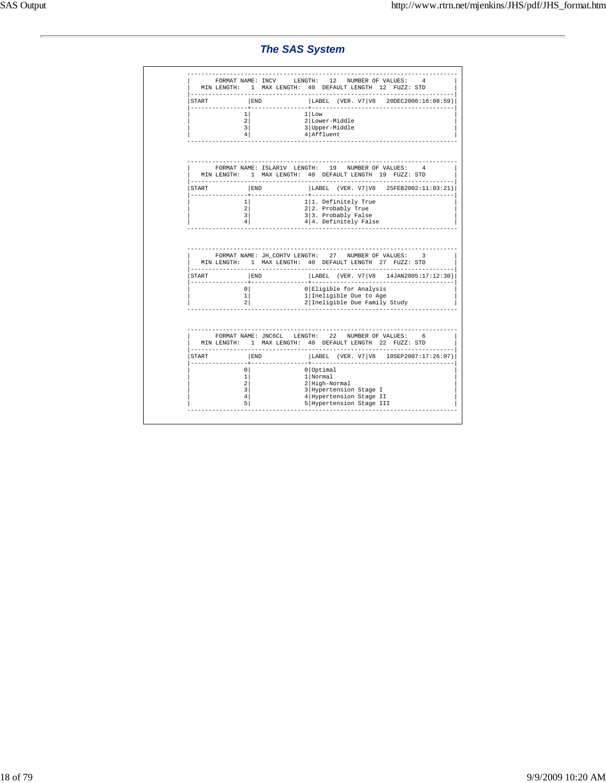|       | -----------------                       | FORMAT NAME: INCV LENGTH: 12 NUMBER OF VALUES:<br>MIN LENGTH: 1 MAX LENGTH: | $\overline{4}$<br>40 DEFAULT LENGTH 12 FUZZ: STD                                                     |
|-------|-----------------------------------------|-----------------------------------------------------------------------------|------------------------------------------------------------------------------------------------------|
| START |                                         | <b>END</b>                                                                  | LABEL (VER. V7 V8<br>20DEC2006:16:08:59)                                                             |
|       | $2 \mid$<br>3 <br>4                     | $1 \mid$                                                                    | $1$ Low<br>2 Lower-Middle<br>3 Upper-Middle<br>4 Affluent                                            |
|       |                                         | FORMAT NAME: ISLAR1V LENGTH:                                                | 19<br>NUMBER OF VALUES:<br>MIN LENGTH: 1 MAX LENGTH: 40 DEFAULT LENGTH 19 FUZZ: STD                  |
| START |                                         | END                                                                         | LABEL (VER. V7   V8 25FEB2002:11:03:21)                                                              |
|       | 2 <sup>1</sup><br>3 I<br>4 <sup>1</sup> |                                                                             | 1 1. Definitely True<br>2 2. Probably True<br>3 3. Probably False<br>4 4. Definitely False           |
|       |                                         |                                                                             | FORMAT NAME: JH_COHTV LENGTH: 27 NUMBER OF VALUES:<br>3                                              |
|       | MIN LENGTH:                             |                                                                             | 1 MAX LENGTH: 40 DEFAULT LENGTH 27 FUZZ: STD                                                         |
| START | 2                                       | <b>END</b><br>$0$  <br>$1 \vert$                                            | -----------<br>0 Eligible for Analysis<br>1   Ineligible Due to Age<br>2 Ineligible Due Family Study |
|       |                                         | FORMAT NAME: JNC6CL<br>LENGTH:                                              | 22<br>NUMBER OF VALUES:<br>6<br>MIN LENGTH: 1 MAX LENGTH: 40 DEFAULT LENGTH 22 FUZZ: STD             |
| START |                                         | END                                                                         | $ LABEL$ (VER. V7 V8 14JAN2005:17:12:30)<br> LABEL (VER. V7 V8 10SEP2007:17:26:07)                   |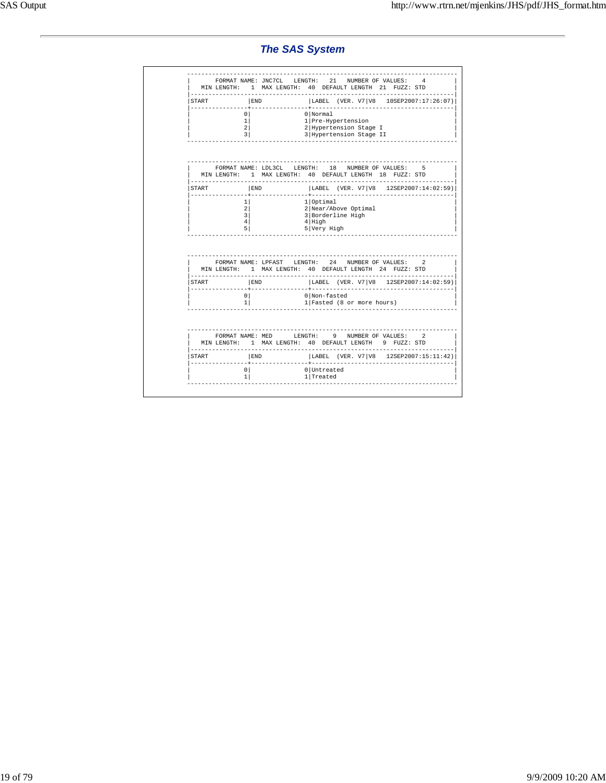|       |                                | FORMAT NAME: JNC7CL           | LENGTH: 21 NUMBER OF VALUES:<br>MIN LENGTH: 1 MAX LENGTH: 40 DEFAULT LENGTH 21 FUZZ: STD                    |
|-------|--------------------------------|-------------------------------|-------------------------------------------------------------------------------------------------------------|
| START |                                | <b>END</b><br>--+------------ | LABEL (VER. V7 V8<br>10SEP2007:17:26:07)<br>---+-----------------------                                     |
|       | 0 I                            |                               | 0   Normal                                                                                                  |
|       | 1 <sup>1</sup>                 |                               | 1   Pre-Hypertension                                                                                        |
|       | 2 <sup>1</sup>                 |                               | 2 Hypertension Stage I                                                                                      |
|       | 3                              |                               | 3 Hypertension Stage II                                                                                     |
|       |                                |                               |                                                                                                             |
|       |                                | FORMAT NAME: LDL3CL           | 18 NUMBER OF VALUES:<br>LENGTH:<br>5<br>MIN LENGTH: 1 MAX LENGTH: 40 DEFAULT LENGTH 18 FUZZ: STD            |
| START |                                | END                           | LABEL (VER. V7 V8<br>12SEP2007:14:02:59)                                                                    |
|       | 1                              |                               | $1$ Optimal                                                                                                 |
|       | 2 <sup>1</sup>                 |                               | 2 Near/Above Optimal                                                                                        |
|       |                                |                               |                                                                                                             |
|       | 31                             |                               | 3 Borderline High                                                                                           |
|       | 4<br>5                         |                               | 4 High<br>5 Very High                                                                                       |
|       | MIN LENGTH:<br>--------------- |                               | FORMAT NAME: LPFAST LENGTH: 24 NUMBER OF VALUES: 2<br>1 MAX LENGTH: 40 DEFAULT LENGTH 24 FUZZ: STD          |
| START |                                | <b>END</b>                    | LABEL (VER. V7 V8                                                                                           |
|       | 0  <br>$1 \vert$               |                               | $0 Non-fasted$<br>1 Fasted (8 or more hours)                                                                |
|       | FORMAT NAME: MED               |                               | LENGTH:<br>9 NUMBER OF VALUES:<br>$\overline{2}$<br>MIN LENGTH: 1 MAX LENGTH: 40 DEFAULT LENGTH 9 FUZZ: STD |
| START |                                | END                           | 12SEP2007:14:02:59)<br> LABEL (VER. V7   V8 12SEP2007:15:11:42)                                             |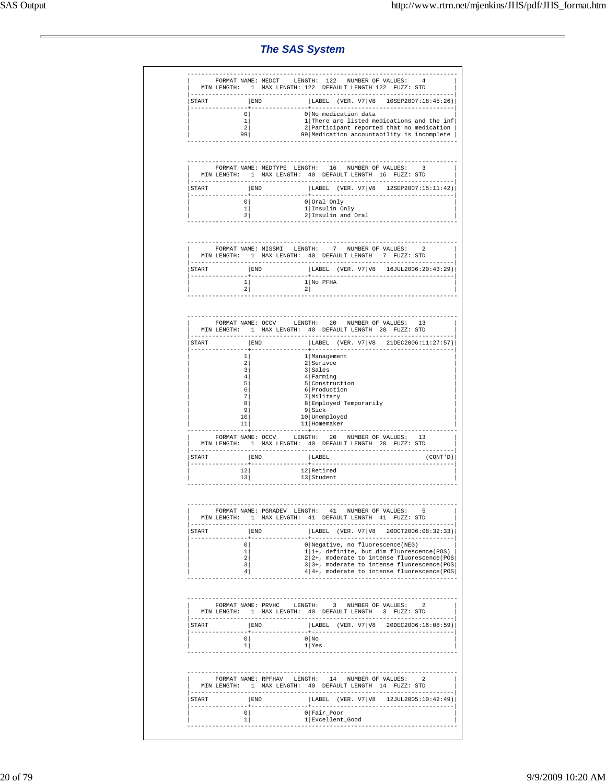|                      |                                  |                                          | MIN LENGTH: 1 MAX LENGTH: 122 DEFAULT LENGTH 122 FUZZ: STD                                                                                                    |
|----------------------|----------------------------------|------------------------------------------|---------------------------------------------------------------------------------------------------------------------------------------------------------------|
| START                |                                  | END                                      | LABEL (VER. V7   V8 10SEP2007:18:45:26)                                                                                                                       |
|                      | 0 <sup>1</sup><br>1 <br>2 <br>99 |                                          | 0 No medication data<br>1 There are listed medications and the inf<br>2 Participant reported that no medication<br>99 Medication accountability is incomplete |
|                      |                                  |                                          | ----------------<br>FORMAT NAME: MEDTYPE LENGTH: 16 NUMBER OF VALUES:                                                                                         |
| -----------<br>START |                                  | END                                      | MIN LENGTH: 1 MAX LENGTH: 40 DEFAULT LENGTH 16 FUZZ: STD<br>LABEL (VER. V7 V8<br>12SEP2007:15:11:42)                                                          |
|                      | 0 <sup>1</sup>                   | $- + - - - -$                            | --+-------------------<br>$0 0$ ral $0nly$                                                                                                                    |
|                      | $1 \vert$<br>2                   |                                          | 1 Insulin Only<br>2 Insulin and Oral                                                                                                                          |
|                      |                                  |                                          | FORMAT NAME: MISSMI LENGTH: 7 NUMBER OF VALUES:<br>$\overline{2}$<br>MIN LENGTH: 1 MAX LENGTH: 40 DEFAULT LENGTH 7 FUZZ: STD                                  |
| START                |                                  | END                                      | LABEL (VER. V7 V8<br>16JUL2006:20:43:29)                                                                                                                      |
|                      | 1                                |                                          | -+---------<br>$1 $ No PFHA                                                                                                                                   |
|                      | 2                                | 2                                        |                                                                                                                                                               |
|                      |                                  | -----------------<br>. <u>.</u> .        | . <u>.</u> .<br>FORMAT NAME: OCCV LENGTH: 20 NUMBER OF VALUES: 13                                                                                             |
|                      |                                  |                                          | MIN LENGTH: 1 MAX LENGTH: 40 DEFAULT LENGTH 20 FUZZ: STD                                                                                                      |
| START                |                                  | END                                      | LABEL (VER. V7 V8<br>21DEC2006:11:27:57)<br>-+-------------------                                                                                             |
|                      | 1 <br>2                          |                                          | 1   Management<br>2 Serivce                                                                                                                                   |
|                      | 3 <br>4                          |                                          | 3 Sales<br>4 Farming                                                                                                                                          |
|                      | 5 <sup>1</sup><br>6              |                                          | 5 Construction<br>6 Production                                                                                                                                |
|                      | 7<br>8                           |                                          | 7 Military<br>8 Employed Temporarily                                                                                                                          |
|                      | 9<br>10                          |                                          | 9 Sick                                                                                                                                                        |
|                      | 11                               | .                                        | 10 Unemployed<br>11 Homemaker                                                                                                                                 |
|                      |                                  | FORMAT NAME: OCCV<br>LENGTH:             | 20 NUMBER OF VALUES: 13<br>MIN LENGTH: 1 MAX LENGTH: 40 DEFAULT LENGTH 20 FUZZ: STD                                                                           |
| START                |                                  | <b>END</b>                               | LABEL<br>(CONT'D)                                                                                                                                             |
|                      | 12<br>13                         |                                          | 12 Retired<br>13 Student                                                                                                                                      |
|                      |                                  |                                          |                                                                                                                                                               |
|                      |                                  | FORMAT NAME: PGRADEV LENGTH:             | 41<br>NUMBER OF VALUES:<br>MIN LENGTH: 1 MAX LENGTH: 41 DEFAULT LENGTH 41 FUZZ: STD                                                                           |
| START                |                                  | END                                      | LABEL (VER. V7 V8<br>200CT2006:08:32:33)                                                                                                                      |
| ------------         | 0 <sup>1</sup>                   |                                          | --+----------------------------<br>0   Negative, no fluorescence (NEG)                                                                                        |
|                      | 1 <br>2                          |                                          | $1 1+$ , definite, but dim fluorescence(POS)<br>$2 2+$ , moderate to intense fluorescence (POS                                                                |
|                      | 3 <br>4                          |                                          | 3 3+, moderate to intense fluorescence (POS<br>4   4+, moderate to intense fluorescence (POS)                                                                 |
|                      |                                  |                                          |                                                                                                                                                               |
|                      |                                  |                                          | FORMAT NAME: PRVHC LENGTH: 3 NUMBER OF VALUES: 2<br>MIN LENGTH: 1 MAX LENGTH: 40 DEFAULT LENGTH 3 FUZZ: STD                                                   |
|                      |                                  | END<br>-------------+--------<br>---+--- | LABEL (VER. V7   V8<br>20DEC2006:16:08:59)                                                                                                                    |
| START                |                                  |                                          | $0 $ No<br>1   Yes                                                                                                                                            |
|                      | 0<br>1                           |                                          |                                                                                                                                                               |
|                      |                                  |                                          |                                                                                                                                                               |
|                      |                                  |                                          | FORMAT NAME: RPFHAV LENGTH: 14 NUMBER OF VALUES: 2<br>MIN LENGTH: 1 MAX LENGTH: 40 DEFAULT LENGTH 14 FUZZ: STD                                                |
| START                |                                  | $ $ END                                  | LABEL (VER. V7 V8 12JUL2005:10:42:49)                                                                                                                         |
|                      | 0<br>1                           |                                          | 0 Fair_Poor<br>1 Excellent_Good                                                                                                                               |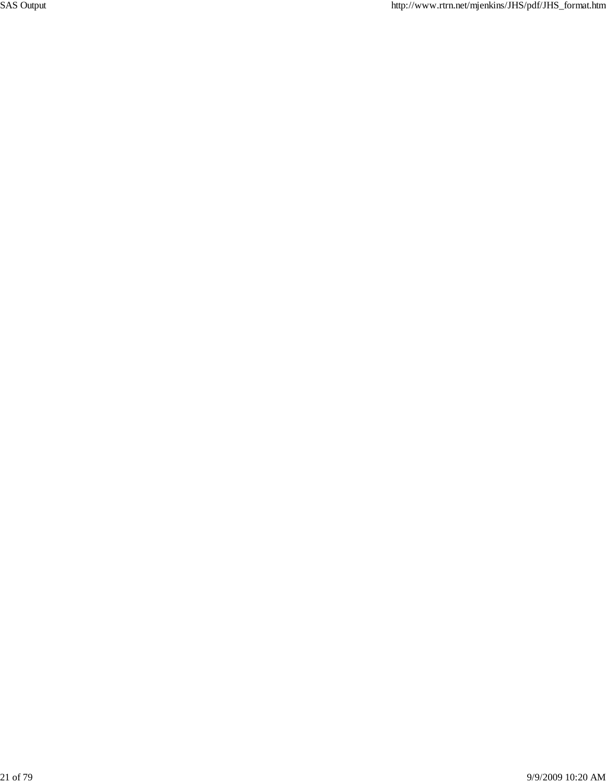SAS Output http://www.rtrn.net/mjenkins/JHS/pdf/JHS\_format.htm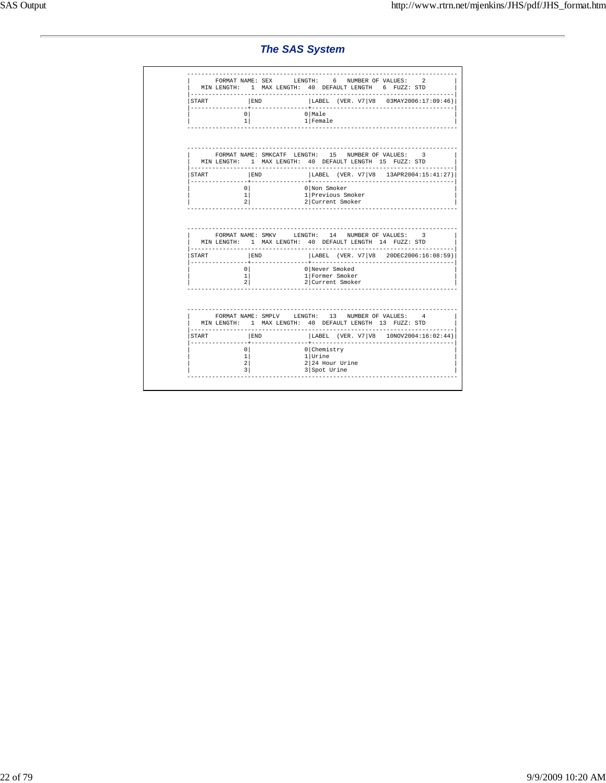|       | FORMAT NAME: SEX              | LENGTH:    | 6<br>NUMBER OF VALUES:<br>2<br>MIN LENGTH: 1 MAX LENGTH: 40 DEFAULT LENGTH 6 FUZZ: STD                             |
|-------|-------------------------------|------------|--------------------------------------------------------------------------------------------------------------------|
| START |                               | END        | LABEL (VER. V7   V8 03MAY2006:17:09:46)<br>------------                                                            |
|       | $\overline{0}$                | $1 \vert$  | OlMale<br>$1$ Female                                                                                               |
|       |                               |            |                                                                                                                    |
|       |                               |            | FORMAT NAME: SMKCATF LENGTH: 15 NUMBER OF VALUES:<br>3<br>MIN LENGTH: 1 MAX LENGTH: 40 DEFAULT LENGTH 15 FUZZ: STD |
| START |                               | END        | LABEL (VER. V7   V8 13APR2004:15:41:27)                                                                            |
|       | $1 \vert$<br>2                | $0 \mid$   | 0 Non Smoker<br>1 Previous Smoker                                                                                  |
|       | FORMAT NAME: SMKV             |            | 2 Current Smoker<br>LENGTH: 14 NUMBER OF VALUES:                                                                   |
| START | MIN LENGTH:                   | <b>END</b> | 1 MAX LENGTH: 40 DEFAULT LENGTH 14 FUZZ: STD<br>LABEL (VER. V7   V8                                                |
|       | 0  <br>$1 \vert$<br>2         |            | 0 Never Smoked<br>1 Former Smoker<br>2 Current Smoker                                                              |
|       |                               |            | FORMAT NAME: SMPLV LENGTH: 13 NUMBER OF VALUES: 4                                                                  |
|       | MIN LENGTH:<br>-------------- |            | 1 MAX LENGTH: 40 DEFAULT LENGTH 13 FUZZ: STD                                                                       |
| START |                               | <b>END</b> | -----------+----------------                                                                                       |
|       |                               | 0          | $0$ Chemistry                                                                                                      |
|       | 11<br>21                      |            | 20DEC2006:16:08:59)<br> LABEL (VER. V7   V8 10NOV2004:16:02:44)<br>$1$ Urine<br>2 24 Hour Urine                    |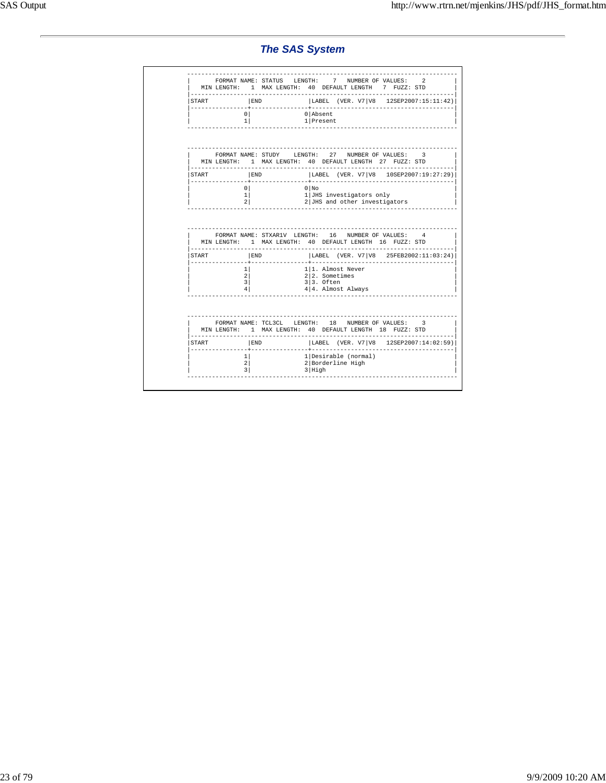|                       |                 | FORMAT NAME: STATUS            | LENGTH:<br>NUMBER OF VALUES:<br>7<br>MIN LENGTH: 1 MAX LENGTH: 40 DEFAULT LENGTH 7 FUZZ: STD                                      |
|-----------------------|-----------------|--------------------------------|-----------------------------------------------------------------------------------------------------------------------------------|
| START                 |                 | END                            | LABEL (VER. V7   V8 12SEP2007:15:11:42)<br>---------                                                                              |
|                       | 01              | $1 \vert$                      | 0 Absent<br>1 Present                                                                                                             |
|                       |                 |                                |                                                                                                                                   |
|                       |                 |                                | FORMAT NAME: STUDY LENGTH: 27 NUMBER OF VALUES: 3<br>MIN LENGTH: 1 MAX LENGTH: 40 DEFAULT LENGTH 27 FUZZ: STD                     |
| ------------<br>START |                 | END<br>$--- + -$               | LABEL (VER. V7 V8 10SEP2007:19:27:29)                                                                                             |
|                       | 0  <br>2        | 11                             | 0 N <sub>O</sub><br>1 JHS investigators only<br>2 JHS and other investigators                                                     |
|                       |                 |                                | FORMAT NAME: STXAR1V LENGTH: 16 NUMBER OF VALUES:<br>4<br>MIN LENGTH: 1 MAX LENGTH: 40 DEFAULT LENGTH 16 FUZZ: STD                |
| START                 |                 | END                            |                                                                                                                                   |
|                       | 1  <br>3 I<br>4 | $2 \mid$                       | LABEL (VER. V7   V8 25FEB2002:11:03:24)<br>---------<br>1 1. Almost Never<br>212. Sometimes<br>$3 3.$ Often<br>4 4. Almost Always |
|                       |                 | FORMAT NAME: TCL3CL LENGTH: 18 | NUMBER OF VALUES:<br>- 3<br>MIN LENGTH: 1 MAX LENGTH: 40 DEFAULT LENGTH 18 FUZZ: STD                                              |
| START                 |                 | $ $ END                        | LABEL (VER. V7   V8 12SEP2007:14:02:59)<br>------------                                                                           |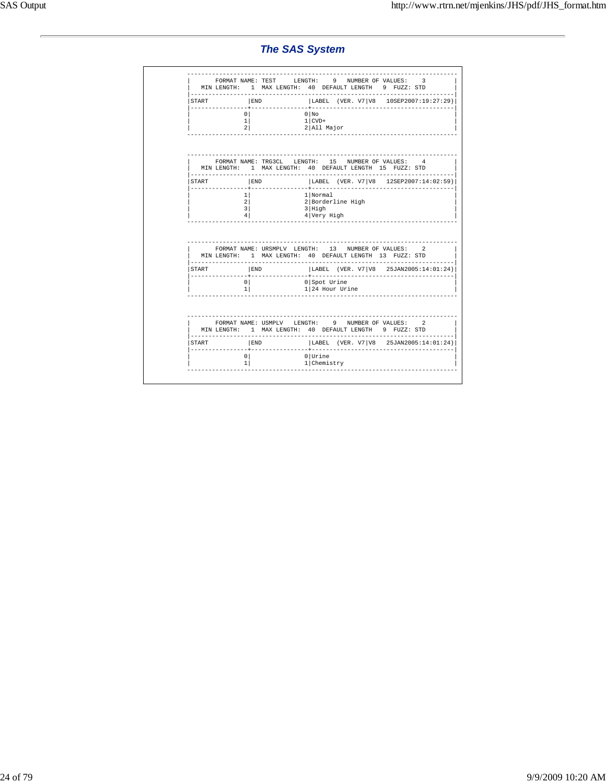|       |                                  | FORMAT NAME: TEST            | LENGTH: 9 NUMBER OF VALUES:<br>-3<br>MIN LENGTH: 1 MAX LENGTH: 40 DEFAULT LENGTH 9 FUZZ: STD                                   |
|-------|----------------------------------|------------------------------|--------------------------------------------------------------------------------------------------------------------------------|
| START |                                  | $ $ END                      | LABEL (VER. V7 V8<br>10SEP2007:19:27:29)                                                                                       |
|       | 0 I<br>$1 \mid$<br>2             |                              | 0 N <sub>O</sub><br>$1$ CVD+<br>2 All Major                                                                                    |
|       | MIN LENGTH:                      |                              | FORMAT NAME: TRG3CL LENGTH: 15 NUMBER OF VALUES: 4<br>1 MAX LENGTH: 40 DEFAULT LENGTH 15 FUZZ: STD                             |
| START | --------------                   | END                          | LABEL (VER. V7 V8 12SEP2007:14:02:59)<br>. +                                                                                   |
|       | $1 \mid$                         | $2 \mid$                     | 1   Normal<br>2 Borderline High                                                                                                |
|       | 3 I<br>4                         |                              | 3 High<br>4 Very High                                                                                                          |
|       |                                  |                              | FORMAT NAME: URSMPLV LENGTH: 13 NUMBER OF VALUES:<br>$\mathcal{L}$<br>MIN LENGTH: 1 MAX LENGTH: 40 DEFAULT LENGTH 13 FUZZ: STD |
| START |                                  | END                          | LABEL (VER. V7 V8 25JAN2005:14:01:24)                                                                                          |
|       | 0 <sup>1</sup><br>1 <sup>1</sup> |                              | ----+------------<br>0 Spot Urine<br>1 24 Hour Urine                                                                           |
|       | MIN LENGTH:                      |                              | FORMAT NAME: USMPLV LENGTH: 9 NUMBER OF VALUES: 2<br>1 MAX LENGTH: 40 DEFAULT LENGTH 9 FUZZ: STD                               |
| START | ----------------                 | END<br>-------------+------- | LABEL (VER. V7   V8 25JAN 2005 : 14 : 01 : 24)                                                                                 |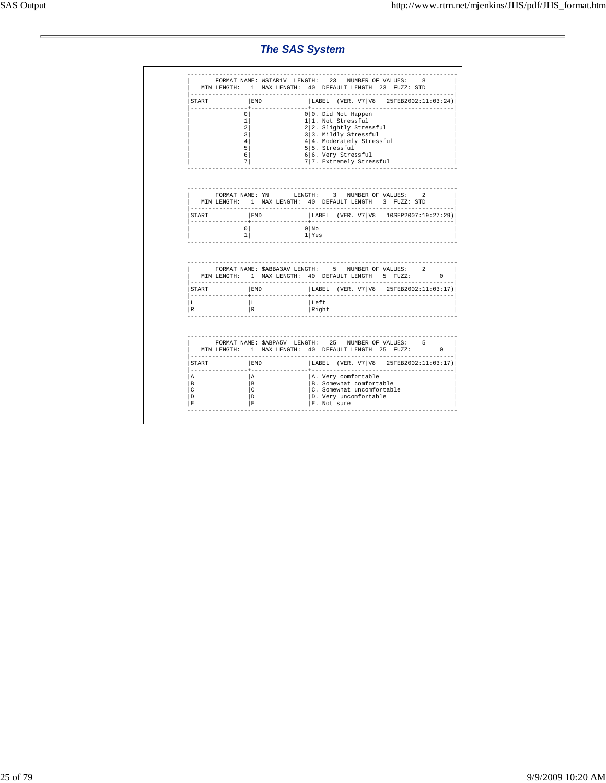|          |                     | FORMAT NAME: WSIAR1V LENGTH:  | 23<br>NUMBER OF VALUES:<br>MIN LENGTH: 1 MAX LENGTH: 40 DEFAULT LENGTH 23 FUZZ: STD                            |
|----------|---------------------|-------------------------------|----------------------------------------------------------------------------------------------------------------|
| START    |                     | <b>END</b><br>$- + - - - - -$ | LABEL (VER. V7   V8<br>25FEB2002:11:03:24)<br>--------------------<br>$- - + - -$                              |
|          | 0 <sup>1</sup>      |                               | $0 0.$ Did Not Happen                                                                                          |
|          | 11                  |                               | 1 1. Not Stressful                                                                                             |
|          | 2                   |                               | 2 2. Slightly Stressful                                                                                        |
|          | 3                   |                               | 3 3. Mildly Stressful                                                                                          |
|          | $\overline{4}$<br>5 |                               | 4   4. Moderately Stressful<br>5 5. Stressful                                                                  |
|          | 6                   |                               | 6 6. Very Stressful                                                                                            |
|          | 7                   |                               | 7 7. Extremely Stressful                                                                                       |
|          | FORMAT NAME: YN     |                               | LENGTH:<br>3 NUMBER OF VALUES:<br>2<br>MIN LENGTH: 1 MAX LENGTH: 40 DEFAULT LENGTH 3 FUZZ: STD                 |
| START    |                     | <b>END</b>                    | LABEL (VER. V7 V8<br>10SEP2007:19:27:29)                                                                       |
|          |                     |                               |                                                                                                                |
|          | $1 \mid$            | 0 <sup>1</sup>                | 0 N <sub>O</sub><br>$1$  Yes                                                                                   |
|          |                     |                               | FORMAT NAME: \$ABBA3AV LENGTH: 5 NUMBER OF VALUES:<br>2<br>MIN LENGTH: 1 MAX LENGTH: 40 DEFAULT LENGTH 5 FUZZ: |
| START    | ---------------     | END                           | ----------------------------                                                                                   |
|          |                     |                               |                                                                                                                |
| L<br>l R |                     | L.<br>$\overline{R}$          | LABEL (VER. V7   V8 25FEB2002:11:03:17)<br> Left<br>Right                                                      |
|          | MIN LENGTH:         | 1 MAX LENGTH:                 | FORMAT NAME: \$ABPA5V LENGTH: 25 NUMBER OF VALUES:<br>5<br>40 DEFAULT LENGTH 25 FUZZ:                          |
| START    |                     | END                           | LABEL (VER. V7 V8                                                                                              |
| Α        |                     | A                             | A. Very comfortable                                                                                            |
| В        |                     | B                             | B. Somewhat comfortable                                                                                        |
| C        |                     | l C                           | 25FEB2002:11:03:17)<br>C. Somewhat uncomfortable                                                               |
| D<br>lΕ  |                     | ID.<br>lΕ                     | D. Very uncomfortable<br>E. Not sure                                                                           |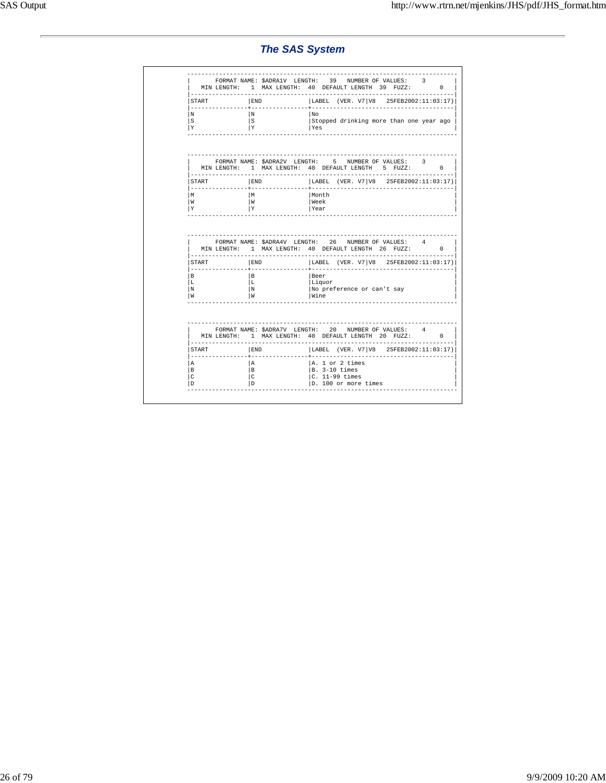|              | MIN LENGTH:<br>--------------- | 1 MAX LENGTH:      | FORMAT NAME: \$ADRA1V LENGTH: 39 NUMBER OF VALUES:<br>3<br>40 DEFAULT LENGTH 39 FUZZ:<br>0                                           |
|--------------|--------------------------------|--------------------|--------------------------------------------------------------------------------------------------------------------------------------|
| START        |                                | END<br>---------   | LABEL (VER. V7 V8<br>25FEB2002:11:03:17)<br>--------------                                                                           |
| N            |                                | l N                | ∣ No                                                                                                                                 |
| S            |                                | l s                | Stopped drinking more than one year ago                                                                                              |
| ΙY.          |                                | ΙY                 | <b>Yes</b>                                                                                                                           |
|              |                                |                    | FORMAT NAME: \$ADRA2V LENGTH: 5 NUMBER OF VALUES:<br>3<br>MIN LENGTH: 1 MAX LENGTH: 40 DEFAULT LENGTH<br>5 FUZZ:<br>$\Omega$         |
| START        |                                | <b>END</b>         | LABEL (VER. V7 V8 25FEB2002:11:03:17)                                                                                                |
| М            |                                | -----------<br>l M | Month                                                                                                                                |
| W            |                                | l W                | Week                                                                                                                                 |
| ΙY           |                                |                    |                                                                                                                                      |
|              |                                | Y                  | Year<br>FORMAT NAME: \$ADRA4V LENGTH: 26 NUMBER OF VALUES:<br>$\overline{4}$                                                         |
|              |                                |                    | MIN LENGTH: 1 MAX LENGTH: 40 DEFAULT LENGTH 26 FUZZ:<br>$\Omega$                                                                     |
| <b>START</b> |                                | <b>END</b>         | LABEL (VER. V7   V8 25FEB2002:11:03:17)                                                                                              |
| в            |                                | l B                | Beer                                                                                                                                 |
| L            |                                | lL.                | Liquor                                                                                                                               |
| N            |                                | l N                | No preference or can't say                                                                                                           |
| W            |                                | l W                | Wine<br>FORMAT NAME: \$ADRA7V LENGTH: 20 NUMBER OF VALUES:<br>$\overline{4}$<br>MIN LENGTH: 1 MAX LENGTH: 40 DEFAULT LENGTH 20 FUZZ: |
| START        | ---------------                | <b>END</b>         | 0<br>LABEL (VER. V7 V8<br>25FEB2002:11:03:17)                                                                                        |
| Α            |                                | l A                | A. 1 or 2 times                                                                                                                      |
| B<br>C       |                                | R.<br>C            | $ B. 3-10$ times<br>$ C. 11-99$ times                                                                                                |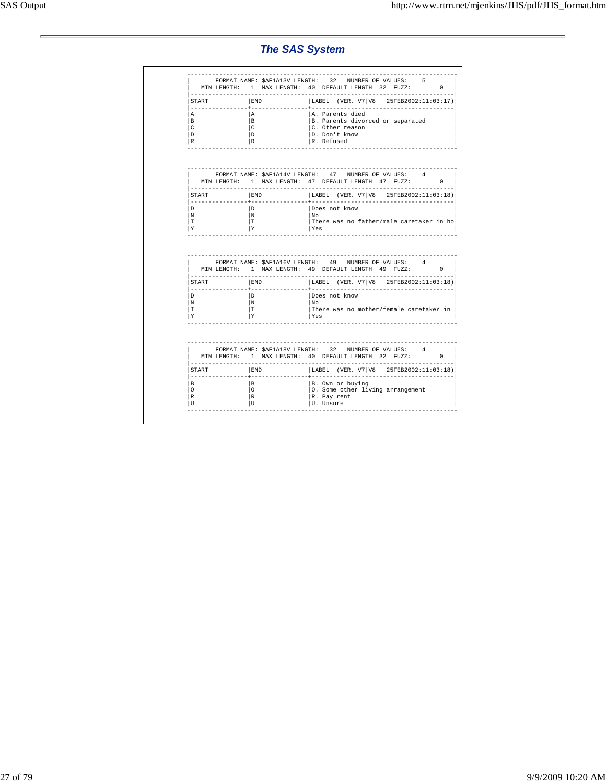|              | ______________________ |                                                 | MIN LENGTH: 1 MAX LENGTH: 40 DEFAULT LENGTH 32 FUZZ:<br>0                                                                    |
|--------------|------------------------|-------------------------------------------------|------------------------------------------------------------------------------------------------------------------------------|
| <b>START</b> |                        | <b>END</b>                                      | LABEL (VER. V7 V8<br>25FEB2002:11:03:17)                                                                                     |
| Α            |                        | A                                               | A. Parents died                                                                                                              |
| B            |                        | l B                                             | B. Parents divorced or separated                                                                                             |
| C            |                        | l C                                             | C. Other reason                                                                                                              |
| D            |                        | l D                                             | D. Don't know                                                                                                                |
| l R          |                        | IR.                                             | R. Refused                                                                                                                   |
|              |                        |                                                 |                                                                                                                              |
|              |                        |                                                 | FORMAT NAME: \$AF1A14V LENGTH: 47 NUMBER OF VALUES:<br>4<br>MIN LENGTH: 1 MAX LENGTH: 47 DEFAULT LENGTH 47 FUZZ:<br>$\Omega$ |
| START        |                        | ---------------------------------<br><b>END</b> | $ LABEL$ (VER. V7 V8 25FEB2002:11:03:18)                                                                                     |
| D            |                        | $+ - - -$<br>۱D.                                | Does not know                                                                                                                |
| N            |                        | l N                                             | l No                                                                                                                         |
| IТ           |                        | lт.                                             |                                                                                                                              |
|              |                        |                                                 |                                                                                                                              |
| l Y          |                        | ΙY.                                             | There was no father/male caretaker in ho<br> Yes                                                                             |
|              | ____________________   |                                                 | FORMAT NAME: \$AF1A16V LENGTH: 49 NUMBER OF VALUES: 4<br>MIN LENGTH: 1 MAX LENGTH: 49 DEFAULT LENGTH 49 FUZZ:<br>$\cap$      |
| <b>START</b> |                        | <b>END</b>                                      | LABEL (VER. V7 V8<br>25FEB2002:11:03:18)                                                                                     |
| D            |                        | $\mathsf{D}$                                    | Does not know                                                                                                                |
| N            |                        | N                                               | No.                                                                                                                          |
| т<br>l Y     |                        | l T<br>ΙY                                       | Yes                                                                                                                          |
|              |                        |                                                 | FORMAT NAME: \$AF1A18V LENGTH: 32 NUMBER OF VALUES:<br>4<br>MIN LENGTH: 1 MAX LENGTH: 40 DEFAULT LENGTH 32 FUZZ:             |
| START        |                        | END                                             | There was no mother/female caretaker in<br>$\Omega$<br>LABEL (VER. V7   V8<br>25FEB2002:11:03:18)                            |
| в            |                        | l B                                             | ---------------------<br>B. Own or buying                                                                                    |
| $\circ$      |                        | lo l                                            | 0. Some other living arrangement                                                                                             |
| $\mathbb{R}$ |                        | IR.                                             | R. Pay rent                                                                                                                  |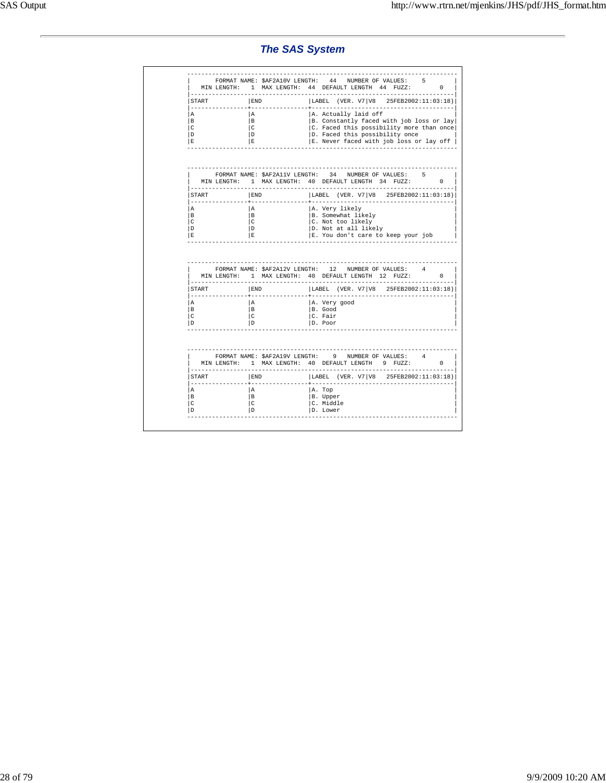|              |                      | FORMAT NAME: \$AF2A10V LENGTH:                                                |        | 44<br>NUMBER OF VALUES:<br>MIN LENGTH: 1 MAX LENGTH: 44 DEFAULT LENGTH 44 FUZZ:<br>$\circ$                                            |
|--------------|----------------------|-------------------------------------------------------------------------------|--------|---------------------------------------------------------------------------------------------------------------------------------------|
| START        | ---------------      | <b>END</b>                                                                    |        | LABEL (VER. V7   V8<br>25FEB2002:11:03:18)                                                                                            |
| Α            | A                    |                                                                               |        | A. Actually laid off                                                                                                                  |
| B            | l B                  |                                                                               |        | B. Constantly faced with job loss or lay                                                                                              |
| C            | l C                  |                                                                               |        | C. Faced this possibility more than once                                                                                              |
| D            | l D                  |                                                                               |        | D. Faced this possibility once                                                                                                        |
| E            | lΕ                   |                                                                               |        | E. Never faced with job loss or lay off                                                                                               |
|              |                      |                                                                               |        |                                                                                                                                       |
|              | -------------------- |                                                                               |        | FORMAT NAME: \$AF2A11V LENGTH: 34 NUMBER OF VALUES:<br>5.<br>MIN LENGTH: 1 MAX LENGTH: 40 DEFAULT LENGTH 34 FUZZ:                     |
| <b>START</b> |                      | <b>END</b>                                                                    |        | LABEL (VER. V7 V8<br>25FEB2002:11:03:18)<br>--------------------                                                                      |
| Α            | I A                  |                                                                               |        | A. Very likely                                                                                                                        |
| B            | l B                  |                                                                               |        | B. Somewhat likely                                                                                                                    |
| C            | l c                  |                                                                               |        | C. Not too likely                                                                                                                     |
| D            | l D                  |                                                                               |        |                                                                                                                                       |
|              |                      |                                                                               |        |                                                                                                                                       |
| Е            | lΕ.                  |                                                                               |        | D. Not at all likely<br>E. You don't care to keep your job                                                                            |
|              |                      |                                                                               |        | FORMAT NAME: \$AF2A12V LENGTH: 12 NUMBER OF VALUES:<br>MIN LENGTH: 1 MAX LENGTH: 40 DEFAULT LENGTH 12 FUZZ:                           |
| START        |                      | <b>END</b>                                                                    |        | LABEL (VER. V7 V8<br>_______________________                                                                                          |
| Α            |                      | A                                                                             |        | A. Very good                                                                                                                          |
| B            | lв.                  |                                                                               |        | B. Good                                                                                                                               |
| C            | l C                  |                                                                               |        | C. Fair                                                                                                                               |
| D            | D                    |                                                                               |        | D. Poor                                                                                                                               |
|              |                      | FORMAT NAME: \$AF2A19V LENGTH:<br>MIN LENGTH: 1 MAX LENGTH: 40 DEFAULT LENGTH |        | 9<br>NUMBER OF VALUES:<br>9 FUZZ:                                                                                                     |
| START        |                      | <b>END</b>                                                                    |        |                                                                                                                                       |
| Α            | A                    |                                                                               | A. Top |                                                                                                                                       |
| B            | l B                  |                                                                               |        |                                                                                                                                       |
| C            | l C                  |                                                                               |        | $\Omega$<br>------------------------<br>25FEB2002:11:03:18)<br>0<br> LABEL (VER. V7   V8 25FEB2002:11:03:18)<br>B. Upper<br>C. Middle |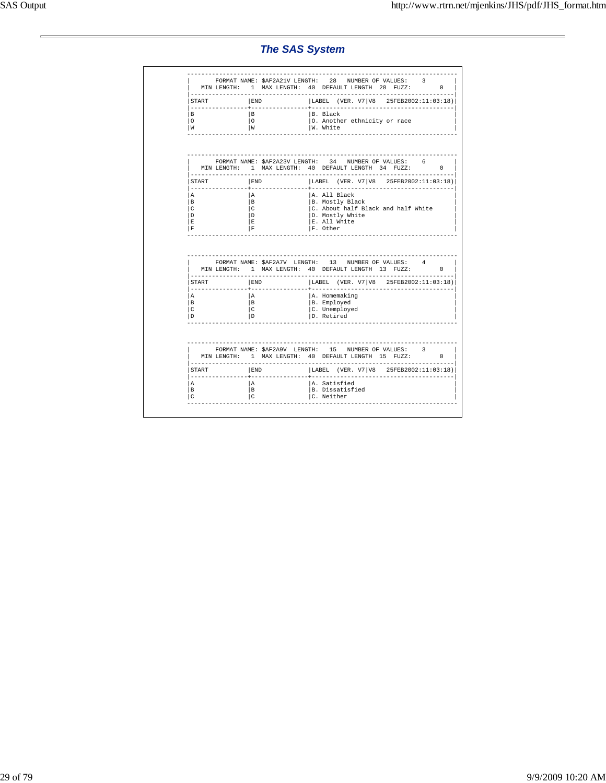|                  | ----------------    |                | FORMAT NAME: \$AF2A21V LENGTH: 28 NUMBER OF VALUES:<br>3<br>MIN LENGTH: 1 MAX LENGTH: 40 DEFAULT LENGTH 28 FUZZ:<br>0           |
|------------------|---------------------|----------------|---------------------------------------------------------------------------------------------------------------------------------|
| START            |                     | <b>END</b>     | LABEL (VER. V7 V8<br>25FEB2002:11:03:18)                                                                                        |
| <sub>B</sub>     |                     | l B            | B. Black                                                                                                                        |
| $\circ$          |                     | $\circ$        | 0. Another ethnicity or race                                                                                                    |
| W                |                     | $\overline{W}$ | W. White                                                                                                                        |
|                  |                     |                | FORMAT NAME: \$AF2A23V LENGTH: 34 NUMBER OF VALUES:<br>6                                                                        |
|                  | ------------------- |                | MIN LENGTH: 1 MAX LENGTH: 40 DEFAULT LENGTH 34 FUZZ:<br><sup>n</sup>                                                            |
| START            |                     | END            | LABEL (VER. V7 V8<br>25FEB2002:11:03:18)<br>$- - - - -$                                                                         |
| Α                |                     | A              | A. All Black                                                                                                                    |
| B.               |                     | IB.            | B. Mostly Black                                                                                                                 |
| C                |                     | l C            | C. About half Black and half White                                                                                              |
| D                |                     | l D            | D. Mostly White                                                                                                                 |
| E                |                     | lΕ             | E. All White                                                                                                                    |
|                  |                     |                |                                                                                                                                 |
| ١F               |                     | ١F             | F. Other                                                                                                                        |
|                  |                     |                | FORMAT NAME: \$AF2A7V LENGTH: 13 NUMBER OF VALUES:<br>4<br>MIN LENGTH: 1 MAX LENGTH: 40 DEFAULT LENGTH 13 FUZZ:<br>$\Omega$     |
| START<br>------- |                     | END            | .                                                                                                                               |
| Α                |                     | l A            | A. Homemaking                                                                                                                   |
| B                |                     | IB.            | B. Employed                                                                                                                     |
| C                |                     | l c            | C. Unemployed                                                                                                                   |
| D                |                     | ID.            | D. Retired                                                                                                                      |
|                  |                     |                |                                                                                                                                 |
|                  |                     |                | FORMAT NAME: \$AF2A9V LENGTH: 15 NUMBER OF VALUES:<br>3<br>MIN LENGTH: 1 MAX LENGTH: 40 DEFAULT LENGTH 15 FUZZ:<br><sup>n</sup> |
| START            | --------------      | <b>END</b>     | LABEL (VER. V7 V8                                                                                                               |
| Α                |                     | l A            | A. Satisfied                                                                                                                    |
| B                |                     | Iв.            | $ LABEL$ (VER. V7 V8 25FEB2002:11:03:18)<br>25FEB2002:11:03:18)<br>B. Dissatisfied                                              |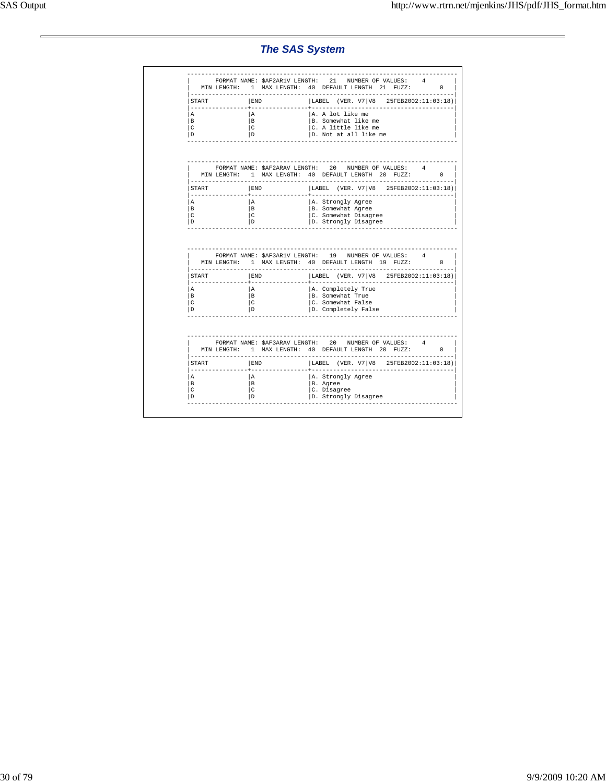|                       | -------------------- | MIN LENGTH: 1 MAX LENGTH:<br>-----------                                                                                                         |                                        | FORMAT NAME: \$AF2AR1V LENGTH: 21 NUMBER OF VALUES:<br>40 DEFAULT LENGTH 21 FUZZ: |                   |                     | $\overline{4}$ | $\Omega$ |
|-----------------------|----------------------|--------------------------------------------------------------------------------------------------------------------------------------------------|----------------------------------------|-----------------------------------------------------------------------------------|-------------------|---------------------|----------------|----------|
| START                 |                      | <b>END</b>                                                                                                                                       |                                        | LABEL (VER. V7 V8                                                                 | ------------      | 25FEB2002:11:03:18) |                |          |
| A                     |                      | l A                                                                                                                                              |                                        | A. A lot like me                                                                  |                   |                     |                |          |
| B                     |                      | lв.                                                                                                                                              |                                        | B. Somewhat like me                                                               |                   |                     |                |          |
| $\mathcal{C}$<br>l D  |                      | l C<br>l D                                                                                                                                       |                                        | IC. A little like me<br>D. Not at all like me                                     |                   |                     |                |          |
|                       |                      |                                                                                                                                                  |                                        |                                                                                   |                   |                     |                |          |
|                       |                      | FORMAT NAME: \$AF2ARAV LENGTH:                                                                                                                   |                                        | 20                                                                                | NUMBER OF VALUES: |                     | 4              |          |
|                       |                      | MIN LENGTH: 1 MAX LENGTH: 40 DEFAULT LENGTH 20 FUZZ:                                                                                             |                                        |                                                                                   |                   |                     |                | $\Omega$ |
| START<br>------------ |                      | <b>END</b>                                                                                                                                       |                                        | LABEL (VER. V7   V8 25FEB2002:11:03:18)<br>--+---------------------------         |                   |                     |                |          |
| A                     |                      | l A                                                                                                                                              |                                        | A. Strongly Agree                                                                 |                   |                     |                |          |
| B.                    |                      | l B                                                                                                                                              |                                        | B. Somewhat Agree                                                                 |                   |                     |                |          |
|                       |                      |                                                                                                                                                  |                                        |                                                                                   |                   |                     |                |          |
|                       |                      | l C<br>l D                                                                                                                                       |                                        | C. Somewhat Disagree<br>D. Strongly Disagree                                      |                   |                     | $\overline{4}$ |          |
| C<br>D                |                      | FORMAT NAME: \$AF3AR1V LENGTH: 19 NUMBER OF VALUES:<br>MIN LENGTH: 1 MAX LENGTH: 40 DEFAULT LENGTH 19 FUZZ:<br>--------------------------------- |                                        |                                                                                   |                   |                     |                | $\cap$   |
| <b>START</b>          |                      | END                                                                                                                                              |                                        | LABEL (VER. V7 V8                                                                 |                   | 25FEB2002:11:03:18) |                |          |
| Α                     |                      | l A                                                                                                                                              |                                        | A. Completely True                                                                |                   |                     |                |          |
| B                     |                      | Iв.                                                                                                                                              |                                        | B. Somewhat True                                                                  |                   |                     |                |          |
| $\mathcal{C}$<br>l D  |                      | l C<br>$\mathsf{D}$                                                                                                                              |                                        | C. Somewhat False<br>D. Completely False                                          |                   |                     |                |          |
|                       |                      | FORMAT NAME: \$AF3ARAV LENGTH:                                                                                                                   |                                        | 20 NUMBER OF VALUES:                                                              |                   |                     | $\overline{4}$ |          |
|                       |                      | MIN LENGTH: 1 MAX LENGTH: 40 DEFAULT LENGTH 20 FUZZ:                                                                                             |                                        |                                                                                   |                   |                     |                |          |
| START                 |                      | <b>END</b>                                                                                                                                       | -------------------------------------- | LABEL (VER. V7   V8 25FEB2002:11:03:18)                                           |                   |                     |                | $\Omega$ |
| Α                     |                      | l A                                                                                                                                              |                                        | A. Strongly Agree                                                                 |                   |                     |                |          |
| B<br>C                |                      | lв.<br>l c                                                                                                                                       |                                        | B. Agree<br>C. Disagree                                                           |                   |                     |                |          |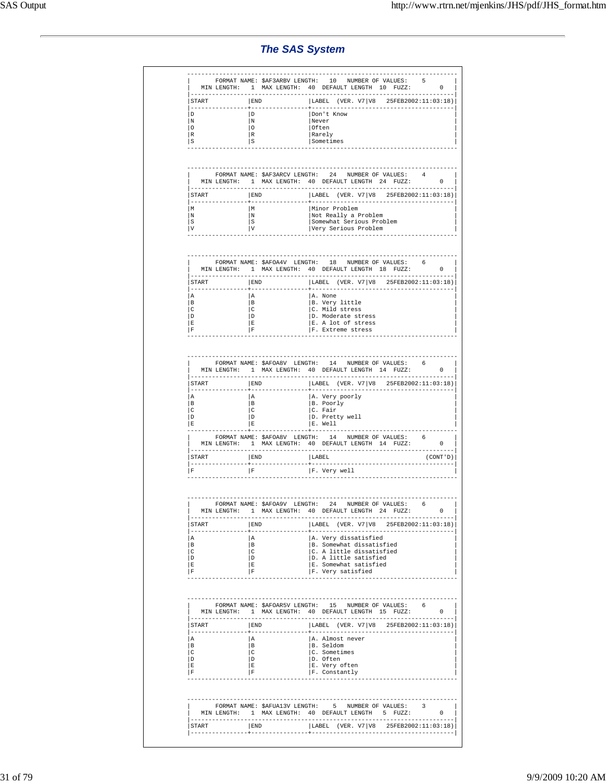| -+----------------------------<br>-+----<br>D<br>D<br>Don't Know<br>N<br>  N<br>Never<br>10<br>1 O<br> Often<br>l R<br> R<br>Rarely<br>l s<br> S <br>Sometimes<br>FORMAT NAME: \$AF3ARCV LENGTH: 24 NUMBER OF VALUES:<br>$\overline{4}$<br>MIN LENGTH: 1 MAX LENGTH: 40 DEFAULT LENGTH 24 FUZZ:<br>0<br>-------------<br>.<br>$ $ END<br>START<br>+-------------------------<br>$+ -$<br>Minor Problem<br>  M<br>M<br>N<br>Not Really a Problem<br>  N<br>Somewhat Serious Problem<br>S<br> S<br>Very Serious Problem<br>١v<br> V <br>FORMAT NAME: \$AFOA4V LENGTH: 18 NUMBER OF VALUES:<br>- 6<br>MIN LENGTH: 1 MAX LENGTH: 40 DEFAULT LENGTH 18 FUZZ:<br>0<br>START<br>$ $ END<br>Α<br>  A<br>A. None<br>B. Very little<br>B<br>  B<br>C. Mild stress<br>$\mathsf C$<br> c<br>D<br>D. Moderate stress<br>D<br>E. A lot of stress<br>E<br>ΙE<br>F. Extreme stress<br>  F<br>  F<br>-------------------------<br>FORMAT NAME: \$AFOA8V LENGTH: 14 NUMBER OF VALUES:<br>- 6<br>MIN LENGTH: 1 MAX LENGTH: 40 DEFAULT LENGTH 14 FUZZ:<br>0<br>START<br>$ $ END<br>.<br>Α<br>  A<br>A. Very poorly<br>B. Poorly<br>B<br> B<br>C. Fair<br>$\mathsf C$<br> c <br>D<br>D. Pretty well<br>  D<br>IΕ<br>lΕ<br>E. Well<br>$--++----------$<br>FORMAT NAME: \$AFOA8V LENGTH: 14 NUMBER OF VALUES:<br>6<br>MIN LENGTH: 1 MAX LENGTH: 40 DEFAULT LENGTH 14 FUZZ:<br>$\Omega$<br>START<br>$ $ END<br>LABEL<br>--------------<br>l F<br>$\mathbb{F}$<br>F. Very well<br>FORMAT NAME: \$AFOA9V LENGTH: 24 NUMBER OF VALUES: 6<br>MIN LENGTH: 1 MAX LENGTH: 40 DEFAULT LENGTH 24 FUZZ:<br>START<br>  END<br>+--------------------<br>A. Very dissatisfied<br>Α<br>l A<br>B. Somewhat dissatisfied<br>В<br> B<br> c<br> c<br>C. A little dissatisfied<br>D<br> D <br>D. A little satisfied<br>E<br>ΙE<br>E. Somewhat satisfied<br>  F<br> F. Very satisfied<br>  F<br>FORMAT NAME: \$AFOAR5V LENGTH: 15 NUMBER OF VALUES:<br>- 6<br>MIN LENGTH: 1 MAX LENGTH: 40 DEFAULT LENGTH 15 FUZZ:<br>START<br><b>END</b><br>A. Almost never<br>  A<br>А<br>B. Seldom<br>В<br> B<br> c<br> c<br>C. Sometimes<br>D<br>$\overline{D}$<br>D. Often<br>E. Very often<br>E<br>ΙE<br>ΙF<br>F. Constantly<br>  F<br>FORMAT NAME: \$AFUA13V LENGTH: 5 NUMBER OF VALUES:<br>$\overline{\mathbf{3}}$<br>MIN LENGTH: 1 MAX LENGTH: 40 DEFAULT LENGTH 5 FUZZ:<br>$\Omega$<br>START<br>  END | START | $ $ END | LABEL (VER. V7   V8 25FEB2002:11:03:18) |
|-----------------------------------------------------------------------------------------------------------------------------------------------------------------------------------------------------------------------------------------------------------------------------------------------------------------------------------------------------------------------------------------------------------------------------------------------------------------------------------------------------------------------------------------------------------------------------------------------------------------------------------------------------------------------------------------------------------------------------------------------------------------------------------------------------------------------------------------------------------------------------------------------------------------------------------------------------------------------------------------------------------------------------------------------------------------------------------------------------------------------------------------------------------------------------------------------------------------------------------------------------------------------------------------------------------------------------------------------------------------------------------------------------------------------------------------------------------------------------------------------------------------------------------------------------------------------------------------------------------------------------------------------------------------------------------------------------------------------------------------------------------------------------------------------------------------------------------------------------------------------------------------------------------------------------------------------------------------------------------------------------------------------------------------------------------------------------------------------------------------------------------------------------------------------------------------------------------------------------------------------------------------------------------------------------------------------------------------------------|-------|---------|-----------------------------------------|
| LABEL (VER. V7   V8 25FEB2002:11:03:18)<br>$\overline{0}$                                                                                                                                                                                                                                                                                                                                                                                                                                                                                                                                                                                                                                                                                                                                                                                                                                                                                                                                                                                                                                                                                                                                                                                                                                                                                                                                                                                                                                                                                                                                                                                                                                                                                                                                                                                                                                                                                                                                                                                                                                                                                                                                                                                                                                                                                           |       |         |                                         |
|                                                                                                                                                                                                                                                                                                                                                                                                                                                                                                                                                                                                                                                                                                                                                                                                                                                                                                                                                                                                                                                                                                                                                                                                                                                                                                                                                                                                                                                                                                                                                                                                                                                                                                                                                                                                                                                                                                                                                                                                                                                                                                                                                                                                                                                                                                                                                     |       |         |                                         |
|                                                                                                                                                                                                                                                                                                                                                                                                                                                                                                                                                                                                                                                                                                                                                                                                                                                                                                                                                                                                                                                                                                                                                                                                                                                                                                                                                                                                                                                                                                                                                                                                                                                                                                                                                                                                                                                                                                                                                                                                                                                                                                                                                                                                                                                                                                                                                     |       |         |                                         |
|                                                                                                                                                                                                                                                                                                                                                                                                                                                                                                                                                                                                                                                                                                                                                                                                                                                                                                                                                                                                                                                                                                                                                                                                                                                                                                                                                                                                                                                                                                                                                                                                                                                                                                                                                                                                                                                                                                                                                                                                                                                                                                                                                                                                                                                                                                                                                     |       |         |                                         |
|                                                                                                                                                                                                                                                                                                                                                                                                                                                                                                                                                                                                                                                                                                                                                                                                                                                                                                                                                                                                                                                                                                                                                                                                                                                                                                                                                                                                                                                                                                                                                                                                                                                                                                                                                                                                                                                                                                                                                                                                                                                                                                                                                                                                                                                                                                                                                     |       |         |                                         |
|                                                                                                                                                                                                                                                                                                                                                                                                                                                                                                                                                                                                                                                                                                                                                                                                                                                                                                                                                                                                                                                                                                                                                                                                                                                                                                                                                                                                                                                                                                                                                                                                                                                                                                                                                                                                                                                                                                                                                                                                                                                                                                                                                                                                                                                                                                                                                     |       |         |                                         |
|                                                                                                                                                                                                                                                                                                                                                                                                                                                                                                                                                                                                                                                                                                                                                                                                                                                                                                                                                                                                                                                                                                                                                                                                                                                                                                                                                                                                                                                                                                                                                                                                                                                                                                                                                                                                                                                                                                                                                                                                                                                                                                                                                                                                                                                                                                                                                     |       |         |                                         |
|                                                                                                                                                                                                                                                                                                                                                                                                                                                                                                                                                                                                                                                                                                                                                                                                                                                                                                                                                                                                                                                                                                                                                                                                                                                                                                                                                                                                                                                                                                                                                                                                                                                                                                                                                                                                                                                                                                                                                                                                                                                                                                                                                                                                                                                                                                                                                     |       |         |                                         |
| LABEL (VER. V7   V8 25FEB2002:11:03:18)<br> LABEL (VER. V7   V8 25FEB2002:11:03:18)<br>(CONT'D)<br> LABEL (VER. V7   V8 25FEB2002:11:03:18)<br> LABEL (VER. V7   V8 25FEB2002:11:03:18)<br> LABEL (VER. V7 V8 25FEB2002:11:03:18)                                                                                                                                                                                                                                                                                                                                                                                                                                                                                                                                                                                                                                                                                                                                                                                                                                                                                                                                                                                                                                                                                                                                                                                                                                                                                                                                                                                                                                                                                                                                                                                                                                                                                                                                                                                                                                                                                                                                                                                                                                                                                                                   |       |         |                                         |
|                                                                                                                                                                                                                                                                                                                                                                                                                                                                                                                                                                                                                                                                                                                                                                                                                                                                                                                                                                                                                                                                                                                                                                                                                                                                                                                                                                                                                                                                                                                                                                                                                                                                                                                                                                                                                                                                                                                                                                                                                                                                                                                                                                                                                                                                                                                                                     |       |         |                                         |
|                                                                                                                                                                                                                                                                                                                                                                                                                                                                                                                                                                                                                                                                                                                                                                                                                                                                                                                                                                                                                                                                                                                                                                                                                                                                                                                                                                                                                                                                                                                                                                                                                                                                                                                                                                                                                                                                                                                                                                                                                                                                                                                                                                                                                                                                                                                                                     |       |         |                                         |
|                                                                                                                                                                                                                                                                                                                                                                                                                                                                                                                                                                                                                                                                                                                                                                                                                                                                                                                                                                                                                                                                                                                                                                                                                                                                                                                                                                                                                                                                                                                                                                                                                                                                                                                                                                                                                                                                                                                                                                                                                                                                                                                                                                                                                                                                                                                                                     |       |         |                                         |
|                                                                                                                                                                                                                                                                                                                                                                                                                                                                                                                                                                                                                                                                                                                                                                                                                                                                                                                                                                                                                                                                                                                                                                                                                                                                                                                                                                                                                                                                                                                                                                                                                                                                                                                                                                                                                                                                                                                                                                                                                                                                                                                                                                                                                                                                                                                                                     |       |         |                                         |
|                                                                                                                                                                                                                                                                                                                                                                                                                                                                                                                                                                                                                                                                                                                                                                                                                                                                                                                                                                                                                                                                                                                                                                                                                                                                                                                                                                                                                                                                                                                                                                                                                                                                                                                                                                                                                                                                                                                                                                                                                                                                                                                                                                                                                                                                                                                                                     |       |         |                                         |
|                                                                                                                                                                                                                                                                                                                                                                                                                                                                                                                                                                                                                                                                                                                                                                                                                                                                                                                                                                                                                                                                                                                                                                                                                                                                                                                                                                                                                                                                                                                                                                                                                                                                                                                                                                                                                                                                                                                                                                                                                                                                                                                                                                                                                                                                                                                                                     |       |         |                                         |
|                                                                                                                                                                                                                                                                                                                                                                                                                                                                                                                                                                                                                                                                                                                                                                                                                                                                                                                                                                                                                                                                                                                                                                                                                                                                                                                                                                                                                                                                                                                                                                                                                                                                                                                                                                                                                                                                                                                                                                                                                                                                                                                                                                                                                                                                                                                                                     |       |         |                                         |
|                                                                                                                                                                                                                                                                                                                                                                                                                                                                                                                                                                                                                                                                                                                                                                                                                                                                                                                                                                                                                                                                                                                                                                                                                                                                                                                                                                                                                                                                                                                                                                                                                                                                                                                                                                                                                                                                                                                                                                                                                                                                                                                                                                                                                                                                                                                                                     |       |         |                                         |
|                                                                                                                                                                                                                                                                                                                                                                                                                                                                                                                                                                                                                                                                                                                                                                                                                                                                                                                                                                                                                                                                                                                                                                                                                                                                                                                                                                                                                                                                                                                                                                                                                                                                                                                                                                                                                                                                                                                                                                                                                                                                                                                                                                                                                                                                                                                                                     |       |         |                                         |
|                                                                                                                                                                                                                                                                                                                                                                                                                                                                                                                                                                                                                                                                                                                                                                                                                                                                                                                                                                                                                                                                                                                                                                                                                                                                                                                                                                                                                                                                                                                                                                                                                                                                                                                                                                                                                                                                                                                                                                                                                                                                                                                                                                                                                                                                                                                                                     |       |         |                                         |
|                                                                                                                                                                                                                                                                                                                                                                                                                                                                                                                                                                                                                                                                                                                                                                                                                                                                                                                                                                                                                                                                                                                                                                                                                                                                                                                                                                                                                                                                                                                                                                                                                                                                                                                                                                                                                                                                                                                                                                                                                                                                                                                                                                                                                                                                                                                                                     |       |         |                                         |
|                                                                                                                                                                                                                                                                                                                                                                                                                                                                                                                                                                                                                                                                                                                                                                                                                                                                                                                                                                                                                                                                                                                                                                                                                                                                                                                                                                                                                                                                                                                                                                                                                                                                                                                                                                                                                                                                                                                                                                                                                                                                                                                                                                                                                                                                                                                                                     |       |         |                                         |
|                                                                                                                                                                                                                                                                                                                                                                                                                                                                                                                                                                                                                                                                                                                                                                                                                                                                                                                                                                                                                                                                                                                                                                                                                                                                                                                                                                                                                                                                                                                                                                                                                                                                                                                                                                                                                                                                                                                                                                                                                                                                                                                                                                                                                                                                                                                                                     |       |         |                                         |
|                                                                                                                                                                                                                                                                                                                                                                                                                                                                                                                                                                                                                                                                                                                                                                                                                                                                                                                                                                                                                                                                                                                                                                                                                                                                                                                                                                                                                                                                                                                                                                                                                                                                                                                                                                                                                                                                                                                                                                                                                                                                                                                                                                                                                                                                                                                                                     |       |         |                                         |
|                                                                                                                                                                                                                                                                                                                                                                                                                                                                                                                                                                                                                                                                                                                                                                                                                                                                                                                                                                                                                                                                                                                                                                                                                                                                                                                                                                                                                                                                                                                                                                                                                                                                                                                                                                                                                                                                                                                                                                                                                                                                                                                                                                                                                                                                                                                                                     |       |         |                                         |
|                                                                                                                                                                                                                                                                                                                                                                                                                                                                                                                                                                                                                                                                                                                                                                                                                                                                                                                                                                                                                                                                                                                                                                                                                                                                                                                                                                                                                                                                                                                                                                                                                                                                                                                                                                                                                                                                                                                                                                                                                                                                                                                                                                                                                                                                                                                                                     |       |         |                                         |
|                                                                                                                                                                                                                                                                                                                                                                                                                                                                                                                                                                                                                                                                                                                                                                                                                                                                                                                                                                                                                                                                                                                                                                                                                                                                                                                                                                                                                                                                                                                                                                                                                                                                                                                                                                                                                                                                                                                                                                                                                                                                                                                                                                                                                                                                                                                                                     |       |         |                                         |
|                                                                                                                                                                                                                                                                                                                                                                                                                                                                                                                                                                                                                                                                                                                                                                                                                                                                                                                                                                                                                                                                                                                                                                                                                                                                                                                                                                                                                                                                                                                                                                                                                                                                                                                                                                                                                                                                                                                                                                                                                                                                                                                                                                                                                                                                                                                                                     |       |         |                                         |
|                                                                                                                                                                                                                                                                                                                                                                                                                                                                                                                                                                                                                                                                                                                                                                                                                                                                                                                                                                                                                                                                                                                                                                                                                                                                                                                                                                                                                                                                                                                                                                                                                                                                                                                                                                                                                                                                                                                                                                                                                                                                                                                                                                                                                                                                                                                                                     |       |         |                                         |
|                                                                                                                                                                                                                                                                                                                                                                                                                                                                                                                                                                                                                                                                                                                                                                                                                                                                                                                                                                                                                                                                                                                                                                                                                                                                                                                                                                                                                                                                                                                                                                                                                                                                                                                                                                                                                                                                                                                                                                                                                                                                                                                                                                                                                                                                                                                                                     |       |         |                                         |
|                                                                                                                                                                                                                                                                                                                                                                                                                                                                                                                                                                                                                                                                                                                                                                                                                                                                                                                                                                                                                                                                                                                                                                                                                                                                                                                                                                                                                                                                                                                                                                                                                                                                                                                                                                                                                                                                                                                                                                                                                                                                                                                                                                                                                                                                                                                                                     |       |         |                                         |
|                                                                                                                                                                                                                                                                                                                                                                                                                                                                                                                                                                                                                                                                                                                                                                                                                                                                                                                                                                                                                                                                                                                                                                                                                                                                                                                                                                                                                                                                                                                                                                                                                                                                                                                                                                                                                                                                                                                                                                                                                                                                                                                                                                                                                                                                                                                                                     |       |         |                                         |
|                                                                                                                                                                                                                                                                                                                                                                                                                                                                                                                                                                                                                                                                                                                                                                                                                                                                                                                                                                                                                                                                                                                                                                                                                                                                                                                                                                                                                                                                                                                                                                                                                                                                                                                                                                                                                                                                                                                                                                                                                                                                                                                                                                                                                                                                                                                                                     |       |         |                                         |
|                                                                                                                                                                                                                                                                                                                                                                                                                                                                                                                                                                                                                                                                                                                                                                                                                                                                                                                                                                                                                                                                                                                                                                                                                                                                                                                                                                                                                                                                                                                                                                                                                                                                                                                                                                                                                                                                                                                                                                                                                                                                                                                                                                                                                                                                                                                                                     |       |         |                                         |
|                                                                                                                                                                                                                                                                                                                                                                                                                                                                                                                                                                                                                                                                                                                                                                                                                                                                                                                                                                                                                                                                                                                                                                                                                                                                                                                                                                                                                                                                                                                                                                                                                                                                                                                                                                                                                                                                                                                                                                                                                                                                                                                                                                                                                                                                                                                                                     |       |         |                                         |
|                                                                                                                                                                                                                                                                                                                                                                                                                                                                                                                                                                                                                                                                                                                                                                                                                                                                                                                                                                                                                                                                                                                                                                                                                                                                                                                                                                                                                                                                                                                                                                                                                                                                                                                                                                                                                                                                                                                                                                                                                                                                                                                                                                                                                                                                                                                                                     |       |         |                                         |
|                                                                                                                                                                                                                                                                                                                                                                                                                                                                                                                                                                                                                                                                                                                                                                                                                                                                                                                                                                                                                                                                                                                                                                                                                                                                                                                                                                                                                                                                                                                                                                                                                                                                                                                                                                                                                                                                                                                                                                                                                                                                                                                                                                                                                                                                                                                                                     |       |         |                                         |
|                                                                                                                                                                                                                                                                                                                                                                                                                                                                                                                                                                                                                                                                                                                                                                                                                                                                                                                                                                                                                                                                                                                                                                                                                                                                                                                                                                                                                                                                                                                                                                                                                                                                                                                                                                                                                                                                                                                                                                                                                                                                                                                                                                                                                                                                                                                                                     |       |         |                                         |
|                                                                                                                                                                                                                                                                                                                                                                                                                                                                                                                                                                                                                                                                                                                                                                                                                                                                                                                                                                                                                                                                                                                                                                                                                                                                                                                                                                                                                                                                                                                                                                                                                                                                                                                                                                                                                                                                                                                                                                                                                                                                                                                                                                                                                                                                                                                                                     |       |         |                                         |
|                                                                                                                                                                                                                                                                                                                                                                                                                                                                                                                                                                                                                                                                                                                                                                                                                                                                                                                                                                                                                                                                                                                                                                                                                                                                                                                                                                                                                                                                                                                                                                                                                                                                                                                                                                                                                                                                                                                                                                                                                                                                                                                                                                                                                                                                                                                                                     |       |         |                                         |
|                                                                                                                                                                                                                                                                                                                                                                                                                                                                                                                                                                                                                                                                                                                                                                                                                                                                                                                                                                                                                                                                                                                                                                                                                                                                                                                                                                                                                                                                                                                                                                                                                                                                                                                                                                                                                                                                                                                                                                                                                                                                                                                                                                                                                                                                                                                                                     |       |         |                                         |
|                                                                                                                                                                                                                                                                                                                                                                                                                                                                                                                                                                                                                                                                                                                                                                                                                                                                                                                                                                                                                                                                                                                                                                                                                                                                                                                                                                                                                                                                                                                                                                                                                                                                                                                                                                                                                                                                                                                                                                                                                                                                                                                                                                                                                                                                                                                                                     |       |         |                                         |
|                                                                                                                                                                                                                                                                                                                                                                                                                                                                                                                                                                                                                                                                                                                                                                                                                                                                                                                                                                                                                                                                                                                                                                                                                                                                                                                                                                                                                                                                                                                                                                                                                                                                                                                                                                                                                                                                                                                                                                                                                                                                                                                                                                                                                                                                                                                                                     |       |         |                                         |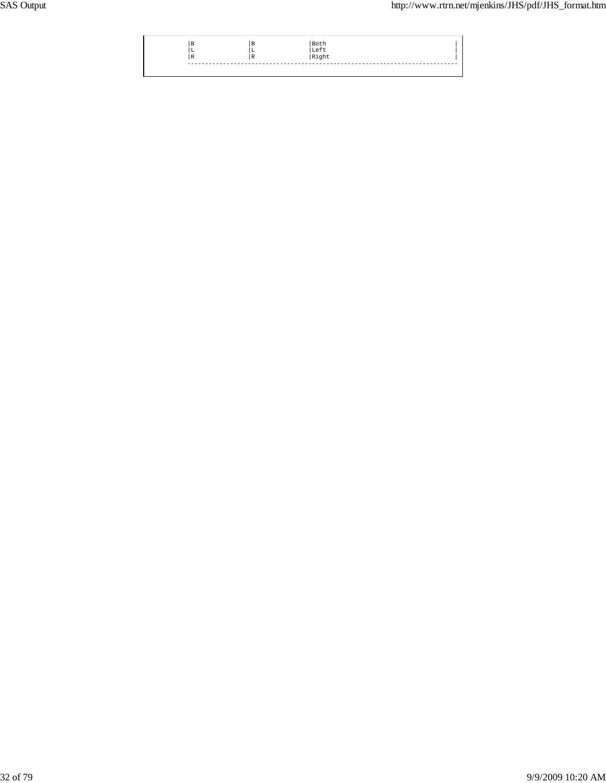| B | B  |                         |  |
|---|----|-------------------------|--|
| ≖ | ш. | Both<br> Left<br> Right |  |
| R | к  |                         |  |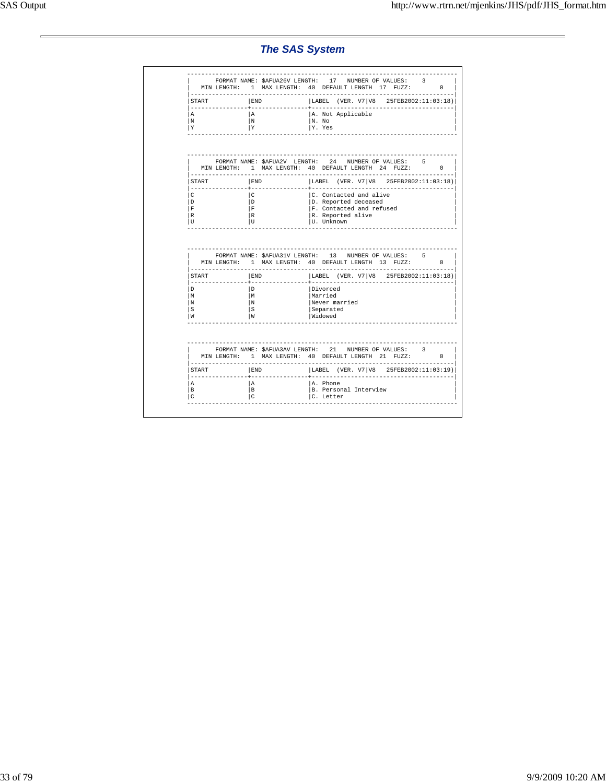|              | -------------------- | FORMAT NAME: \$AFUA26V LENGTH: 17 NUMBER OF VALUES: | 3<br>MIN LENGTH: 1 MAX LENGTH: 40 DEFAULT LENGTH 17 FUZZ:<br>$\Omega$                                                                                                 |
|--------------|----------------------|-----------------------------------------------------|-----------------------------------------------------------------------------------------------------------------------------------------------------------------------|
| START        |                      | END                                                 | LABEL (VER. V7 V8<br>25FEB2002:11:03:18)<br>--------------------                                                                                                      |
| A            |                      | I A                                                 | A. Not Applicable                                                                                                                                                     |
| N<br>ΙY.     |                      | $\mathbb{N}$<br> Y                                  | N. No<br>Y. Yes                                                                                                                                                       |
|              |                      |                                                     |                                                                                                                                                                       |
|              |                      |                                                     | FORMAT NAME: \$AFUA2V LENGTH: 24 NUMBER OF VALUES:<br>5                                                                                                               |
|              | ----------------     |                                                     | MIN LENGTH: 1 MAX LENGTH: 40 DEFAULT LENGTH 24 FUZZ:                                                                                                                  |
| START        |                      | <b>END</b>                                          | LABEL (VER. V7 V8<br>25FEB2002:11:03:18)                                                                                                                              |
| C            |                      | C                                                   | C. Contacted and alive                                                                                                                                                |
| D.           |                      | l D.                                                | D. Reported deceased                                                                                                                                                  |
| F<br>R       |                      | l F<br>IR.                                          | F. Contacted and refused<br>R. Reported alive                                                                                                                         |
| l U          |                      |                                                     |                                                                                                                                                                       |
|              |                      | U                                                   | U. Unknown<br>FORMAT NAME: \$AFUA31V LENGTH: 13 NUMBER OF VALUES:<br>5                                                                                                |
|              |                      | _________________________________                   | MIN LENGTH: 1 MAX LENGTH: 40 DEFAULT LENGTH 13 FUZZ:<br>0                                                                                                             |
| <b>START</b> |                      | <b>END</b>                                          | LABEL (VER. V7 V8                                                                                                                                                     |
| D            |                      | ۱D.                                                 | Divorced                                                                                                                                                              |
| М            |                      | l M                                                 | 25FEB2002:11:03:18)<br><i>Married</i>                                                                                                                                 |
| N            |                      | l N                                                 | Never married                                                                                                                                                         |
| S<br>W       |                      | l s<br>l W                                          | Separated<br>Widowed                                                                                                                                                  |
| START        | ----------------     | <b>END</b>                                          | FORMAT NAME: \$AFUA3AV LENGTH: 21 NUMBER OF VALUES:<br>$\overline{\mathbf{3}}$<br>MIN LENGTH: 1 MAX LENGTH: 40 DEFAULT LENGTH 21 FUZZ:<br>$\cap$<br>LABEL (VER. V7 V8 |
| Α            |                      | l A                                                 | 25FEB2002:11:03:19)<br>A. Phone                                                                                                                                       |
| B<br>l C     |                      | lв.<br>l c                                          | B. Personal Interview<br>C. Letter                                                                                                                                    |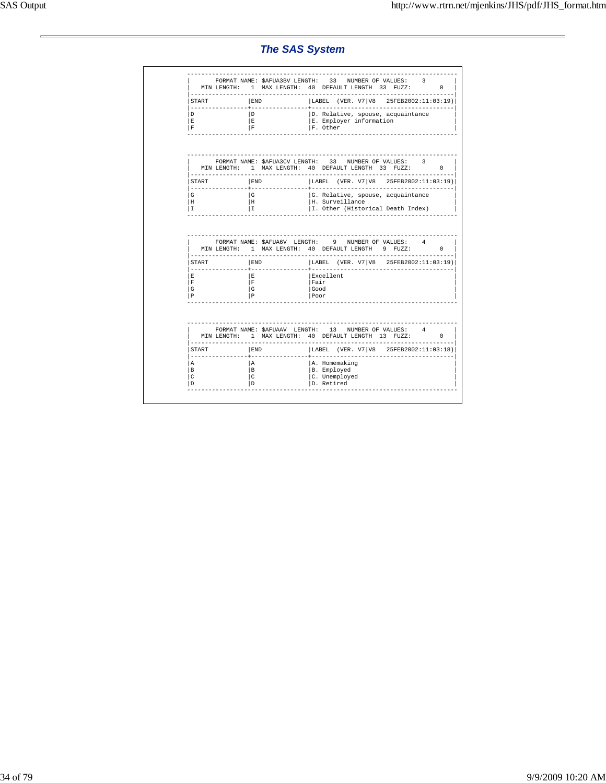|                     | MIN LENGTH:<br>--------------- | -----------                         | FORMAT NAME: \$AFUA3BV LENGTH: 33 NUMBER OF VALUES:<br>$\overline{\mathbf{3}}$<br>1 MAX LENGTH: 40 DEFAULT LENGTH 33 FUZZ:<br>$\Omega$   |
|---------------------|--------------------------------|-------------------------------------|------------------------------------------------------------------------------------------------------------------------------------------|
| START               |                                | END                                 | LABEL (VER. V7 V8<br>25FEB2002:11:03:19)                                                                                                 |
| D                   |                                | D                                   | D. Relative, spouse, acquaintance                                                                                                        |
| E                   |                                | lЕ.                                 | E. Employer information                                                                                                                  |
| F                   |                                | F                                   | F. Other                                                                                                                                 |
|                     |                                |                                     | FORMAT NAME: \$AFUA3CV LENGTH: 33 NUMBER OF VALUES:<br>$\mathbf{3}$                                                                      |
|                     |                                |                                     | MIN LENGTH: 1 MAX LENGTH: 40 DEFAULT LENGTH 33 FUZZ:<br>$\Omega$                                                                         |
| START               |                                | <b>END</b>                          | LABEL (VER. V7 V8<br>25FEB2002:11:03:19)                                                                                                 |
| G                   |                                | l G                                 | G. Relative, spouse, acquaintance                                                                                                        |
| H                   |                                | H                                   |                                                                                                                                          |
|                     |                                |                                     | H. Surveillance                                                                                                                          |
| ΙI                  |                                | l I<br>FORMAT NAME: SAFUA6V LENGTH: | I. Other (Historical Death Index)<br>9 NUMBER OF VALUES:<br>4                                                                            |
|                     |                                |                                     | MIN LENGTH: 1 MAX LENGTH: 40 DEFAULT LENGTH 9 FUZZ:<br>$\Omega$                                                                          |
| START<br>---------- |                                | END                                 | $ LABEL$ (VER. V7 V8 25FEB2002:11:03:19)                                                                                                 |
| E.                  |                                | ΙE.                                 | Excellent                                                                                                                                |
| F                   |                                | l F                                 | <i>Fair</i>                                                                                                                              |
| G<br>P              |                                | l G<br> P                           | Good<br>l Poor                                                                                                                           |
|                     |                                |                                     | FORMAT NAME: \$AFUAAV LENGTH: 13 NUMBER OF VALUES:<br>$\overline{4}$<br>MIN LENGTH: 1 MAX LENGTH: 40 DEFAULT LENGTH 13 FUZZ:<br>$\Omega$ |
| START               |                                | END                                 |                                                                                                                                          |
|                     |                                |                                     | LABEL (VER. V7   V8 25FEB2002:11:03:18)                                                                                                  |
| Α                   |                                | l A                                 | A. Homemaking                                                                                                                            |
| B<br>C              |                                | l B<br>l C                          | B. Employed<br>C. Unemployed                                                                                                             |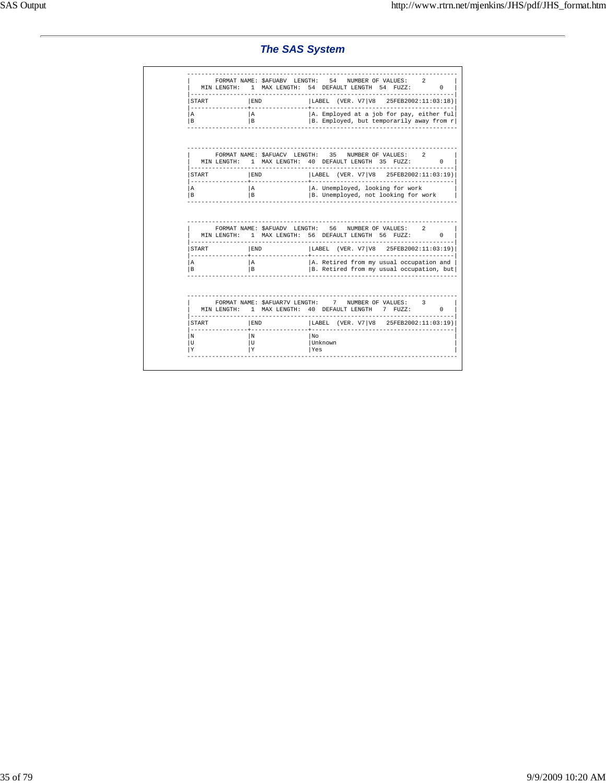|              |                | FORMAT NAME: \$AFUABV LENGTH:<br>MIN LENGTH: 1 MAX LENGTH: | 54 NUMBER OF VALUES:<br>54 DEFAULT LENGTH 54 FUZZ:<br>$^{\circ}$                                                                                                                |
|--------------|----------------|------------------------------------------------------------|---------------------------------------------------------------------------------------------------------------------------------------------------------------------------------|
| START        |                | <b>END</b>                                                 | LABEL (VER. V7   V8 25FEB2002:11:03:18)                                                                                                                                         |
| Α<br>B       |                | $\triangleright$<br>Iв.                                    | A. Employed at a job for pay, either ful<br>B. Employed, but temporarily away from r                                                                                            |
|              |                |                                                            |                                                                                                                                                                                 |
|              |                | FORMAT NAME: \$AFUACV LENGTH:                              | 35<br>NUMBER OF VALUES:<br>MIN LENGTH: 1 MAX LENGTH: 40 DEFAULT LENGTH 35 FUZZ:<br>$\Omega$                                                                                     |
| <b>START</b> |                | <b>END</b>                                                 | LABEL (VER. V7   V8 25FEB2002:11:03:19)                                                                                                                                         |
| Α<br>B       |                | A                                                          | A. Unemployed, looking for work                                                                                                                                                 |
|              |                | B                                                          | B. Unemployed, not looking for work<br>FORMAT NAME: \$AFUADV LENGTH: 56 NUMBER OF VALUES:<br>$\overline{2}$<br>MIN LENGTH: 1 MAX LENGTH: 56 DEFAULT LENGTH 56 FUZZ:             |
|              |                |                                                            | $\cap$                                                                                                                                                                          |
| START<br>Α   |                | END<br>l A                                                 |                                                                                                                                                                                 |
| B            |                | B                                                          | FORMAT NAME: \$AFUAR7V LENGTH: 7 NUMBER OF VALUES: 3<br>MIN LENGTH: 1 MAX LENGTH: 40 DEFAULT LENGTH 7 FUZZ:                                                                     |
| START        | -------------- | <b>END</b>                                                 | LABEL (VER. V7   V8 25FEB2002:11:03:19)<br>A. Retired from my usual occupation and<br>B. Retired from my usual occupation, but<br>0<br> LABEL (VER. V7   V8 25FEB2002:11:03:19) |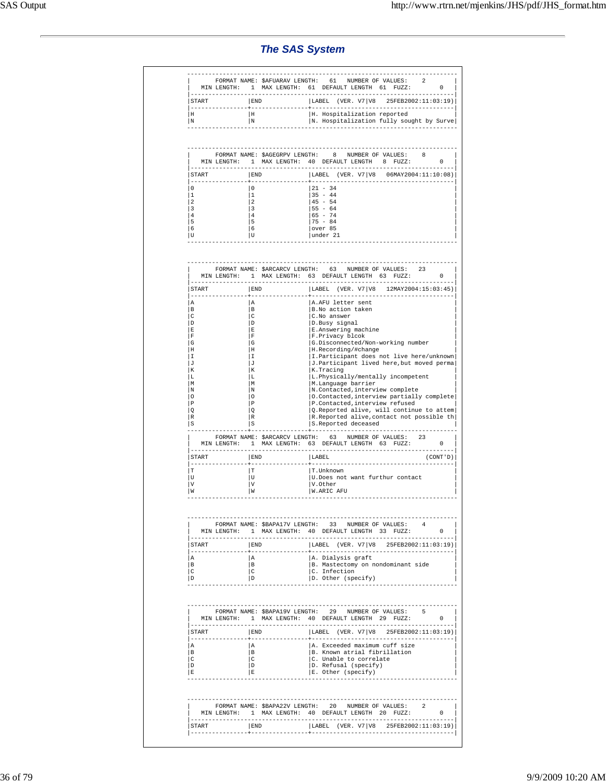| LABEL (VER. V7   V8 25FEB2002:11:03:19)<br>START<br>END<br> H <br>IН<br>H. Hospitalization reported<br>$\mathbb{N}$<br>l N<br>FORMAT NAME: \$AGEGRPV LENGTH: 8 NUMBER OF VALUES:<br>-8<br>MIN LENGTH: 1 MAX LENGTH: 40 DEFAULT LENGTH 8 FUZZ:<br>START<br>$ $ END<br>-+--------<br>$\overline{0}$<br>0<br>$ 21 - 34$<br>$ 35 - 44$<br>$\vert$ 1<br>1<br>$ 45 - 54$<br>2<br>  2<br>$ 55 - 64$<br>3<br>  3<br>$ 65 - 74$<br>$\overline{4}$<br>l 4<br>$ 75 - 84$<br>5<br>l 5<br>6<br>over 85<br>  6<br> U<br>under 21<br>  U<br>----------------<br>FORMAT NAME: \$ARCARCV LENGTH: 63 NUMBER OF VALUES: 23<br>MIN LENGTH: 1 MAX LENGTH: 63 DEFAULT LENGTH 63 FUZZ:<br>$ $ END<br>START<br>Α<br>  A<br>A.AFU letter sent<br>B. No action taken<br>В<br>  B<br>$ C.No$ answer<br>C<br>l C<br>D.Busy signal<br>D<br>  D<br>E.Answering machine<br>E<br>E<br>F. Privacy blcok<br>F<br>ΙF<br>G.Disconnected/Non-working number<br>G<br>  G<br>H.Recording/#change<br>H<br>ΙH<br>I<br>ΙI<br>J<br>l J<br>K.Tracing<br>K<br>l K<br>L. Physically/mentally incompetent<br>г<br>١L<br>M.Language barrier<br>М<br>M<br>N. Contacted, interview complete<br>  N<br>  N<br>O<br>  O<br>P. Contacted, interview refused<br>P<br>ΙP<br>١Q<br>Q<br>  R<br> R<br>  S<br> S<br>S. Reported deceased<br>$----++--$<br>-------+-------------------------<br>FORMAT NAME: \$ARCARCV LENGTH: 63 NUMBER OF VALUES: 23<br>MIN LENGTH: 1 MAX LENGTH: 63 DEFAULT LENGTH 63 FUZZ:<br>START<br>$ $ END<br>LABEL<br>----------<br>T<br>İΤ<br> T.Unknown<br>U<br> U<br>U.Does not want furthur contact<br>V<br>$\mathsf{v}$<br>$ V.0$ ther<br> W <br>W.ARIC AFU<br>l W<br>FORMAT NAME: \$BAPA17V LENGTH: 33 NUMBER OF VALUES:<br>4<br>MIN LENGTH: 1 MAX LENGTH: 40 DEFAULT LENGTH 33 FUZZ:<br>. <u>.</u><br>------------------<br>LABEL (VER. V7 V8<br>$ $ END<br>START<br>A. Dialysis graft<br>$\triangleright$<br>  A<br>B. Mastectomy on nondominant side<br> B<br>  B<br>l c<br> c <br>C. Infection<br>D. Other (specify)<br>$\mathsf{D}$<br> D |  | MIN LENGTH: 1 MAX LENGTH: 61 DEFAULT LENGTH 61 FUZZ: |                                                            |
|--------------------------------------------------------------------------------------------------------------------------------------------------------------------------------------------------------------------------------------------------------------------------------------------------------------------------------------------------------------------------------------------------------------------------------------------------------------------------------------------------------------------------------------------------------------------------------------------------------------------------------------------------------------------------------------------------------------------------------------------------------------------------------------------------------------------------------------------------------------------------------------------------------------------------------------------------------------------------------------------------------------------------------------------------------------------------------------------------------------------------------------------------------------------------------------------------------------------------------------------------------------------------------------------------------------------------------------------------------------------------------------------------------------------------------------------------------------------------------------------------------------------------------------------------------------------------------------------------------------------------------------------------------------------------------------------------------------------------------------------------------------------------------------------------------------------------------------------------------------------------------------------------------------------------------------------------------------------------------------------------------------------|--|------------------------------------------------------|------------------------------------------------------------|
| N. Hospitalization fully sought by Surve <br>0. Contacted, interview partially complete<br>Q. Reported alive, will continue to attem<br>25FEB2002:11:03:19)                                                                                                                                                                                                                                                                                                                                                                                                                                                                                                                                                                                                                                                                                                                                                                                                                                                                                                                                                                                                                                                                                                                                                                                                                                                                                                                                                                                                                                                                                                                                                                                                                                                                                                                                                                                                                                                        |  |                                                      |                                                            |
|                                                                                                                                                                                                                                                                                                                                                                                                                                                                                                                                                                                                                                                                                                                                                                                                                                                                                                                                                                                                                                                                                                                                                                                                                                                                                                                                                                                                                                                                                                                                                                                                                                                                                                                                                                                                                                                                                                                                                                                                                    |  |                                                      |                                                            |
|                                                                                                                                                                                                                                                                                                                                                                                                                                                                                                                                                                                                                                                                                                                                                                                                                                                                                                                                                                                                                                                                                                                                                                                                                                                                                                                                                                                                                                                                                                                                                                                                                                                                                                                                                                                                                                                                                                                                                                                                                    |  |                                                      |                                                            |
|                                                                                                                                                                                                                                                                                                                                                                                                                                                                                                                                                                                                                                                                                                                                                                                                                                                                                                                                                                                                                                                                                                                                                                                                                                                                                                                                                                                                                                                                                                                                                                                                                                                                                                                                                                                                                                                                                                                                                                                                                    |  |                                                      |                                                            |
|                                                                                                                                                                                                                                                                                                                                                                                                                                                                                                                                                                                                                                                                                                                                                                                                                                                                                                                                                                                                                                                                                                                                                                                                                                                                                                                                                                                                                                                                                                                                                                                                                                                                                                                                                                                                                                                                                                                                                                                                                    |  |                                                      |                                                            |
|                                                                                                                                                                                                                                                                                                                                                                                                                                                                                                                                                                                                                                                                                                                                                                                                                                                                                                                                                                                                                                                                                                                                                                                                                                                                                                                                                                                                                                                                                                                                                                                                                                                                                                                                                                                                                                                                                                                                                                                                                    |  |                                                      |                                                            |
|                                                                                                                                                                                                                                                                                                                                                                                                                                                                                                                                                                                                                                                                                                                                                                                                                                                                                                                                                                                                                                                                                                                                                                                                                                                                                                                                                                                                                                                                                                                                                                                                                                                                                                                                                                                                                                                                                                                                                                                                                    |  |                                                      | LABEL (VER. V7 V8 06MAY2004:11:10:08)                      |
|                                                                                                                                                                                                                                                                                                                                                                                                                                                                                                                                                                                                                                                                                                                                                                                                                                                                                                                                                                                                                                                                                                                                                                                                                                                                                                                                                                                                                                                                                                                                                                                                                                                                                                                                                                                                                                                                                                                                                                                                                    |  |                                                      |                                                            |
|                                                                                                                                                                                                                                                                                                                                                                                                                                                                                                                                                                                                                                                                                                                                                                                                                                                                                                                                                                                                                                                                                                                                                                                                                                                                                                                                                                                                                                                                                                                                                                                                                                                                                                                                                                                                                                                                                                                                                                                                                    |  |                                                      |                                                            |
|                                                                                                                                                                                                                                                                                                                                                                                                                                                                                                                                                                                                                                                                                                                                                                                                                                                                                                                                                                                                                                                                                                                                                                                                                                                                                                                                                                                                                                                                                                                                                                                                                                                                                                                                                                                                                                                                                                                                                                                                                    |  |                                                      |                                                            |
|                                                                                                                                                                                                                                                                                                                                                                                                                                                                                                                                                                                                                                                                                                                                                                                                                                                                                                                                                                                                                                                                                                                                                                                                                                                                                                                                                                                                                                                                                                                                                                                                                                                                                                                                                                                                                                                                                                                                                                                                                    |  |                                                      |                                                            |
|                                                                                                                                                                                                                                                                                                                                                                                                                                                                                                                                                                                                                                                                                                                                                                                                                                                                                                                                                                                                                                                                                                                                                                                                                                                                                                                                                                                                                                                                                                                                                                                                                                                                                                                                                                                                                                                                                                                                                                                                                    |  |                                                      |                                                            |
|                                                                                                                                                                                                                                                                                                                                                                                                                                                                                                                                                                                                                                                                                                                                                                                                                                                                                                                                                                                                                                                                                                                                                                                                                                                                                                                                                                                                                                                                                                                                                                                                                                                                                                                                                                                                                                                                                                                                                                                                                    |  |                                                      |                                                            |
|                                                                                                                                                                                                                                                                                                                                                                                                                                                                                                                                                                                                                                                                                                                                                                                                                                                                                                                                                                                                                                                                                                                                                                                                                                                                                                                                                                                                                                                                                                                                                                                                                                                                                                                                                                                                                                                                                                                                                                                                                    |  |                                                      |                                                            |
|                                                                                                                                                                                                                                                                                                                                                                                                                                                                                                                                                                                                                                                                                                                                                                                                                                                                                                                                                                                                                                                                                                                                                                                                                                                                                                                                                                                                                                                                                                                                                                                                                                                                                                                                                                                                                                                                                                                                                                                                                    |  |                                                      | 0<br>-----------------------------------                   |
|                                                                                                                                                                                                                                                                                                                                                                                                                                                                                                                                                                                                                                                                                                                                                                                                                                                                                                                                                                                                                                                                                                                                                                                                                                                                                                                                                                                                                                                                                                                                                                                                                                                                                                                                                                                                                                                                                                                                                                                                                    |  |                                                      | LABEL (VER. V7   V8 12MAY2004:15:03:45)                    |
|                                                                                                                                                                                                                                                                                                                                                                                                                                                                                                                                                                                                                                                                                                                                                                                                                                                                                                                                                                                                                                                                                                                                                                                                                                                                                                                                                                                                                                                                                                                                                                                                                                                                                                                                                                                                                                                                                                                                                                                                                    |  |                                                      |                                                            |
|                                                                                                                                                                                                                                                                                                                                                                                                                                                                                                                                                                                                                                                                                                                                                                                                                                                                                                                                                                                                                                                                                                                                                                                                                                                                                                                                                                                                                                                                                                                                                                                                                                                                                                                                                                                                                                                                                                                                                                                                                    |  |                                                      |                                                            |
|                                                                                                                                                                                                                                                                                                                                                                                                                                                                                                                                                                                                                                                                                                                                                                                                                                                                                                                                                                                                                                                                                                                                                                                                                                                                                                                                                                                                                                                                                                                                                                                                                                                                                                                                                                                                                                                                                                                                                                                                                    |  |                                                      |                                                            |
|                                                                                                                                                                                                                                                                                                                                                                                                                                                                                                                                                                                                                                                                                                                                                                                                                                                                                                                                                                                                                                                                                                                                                                                                                                                                                                                                                                                                                                                                                                                                                                                                                                                                                                                                                                                                                                                                                                                                                                                                                    |  |                                                      |                                                            |
|                                                                                                                                                                                                                                                                                                                                                                                                                                                                                                                                                                                                                                                                                                                                                                                                                                                                                                                                                                                                                                                                                                                                                                                                                                                                                                                                                                                                                                                                                                                                                                                                                                                                                                                                                                                                                                                                                                                                                                                                                    |  |                                                      |                                                            |
|                                                                                                                                                                                                                                                                                                                                                                                                                                                                                                                                                                                                                                                                                                                                                                                                                                                                                                                                                                                                                                                                                                                                                                                                                                                                                                                                                                                                                                                                                                                                                                                                                                                                                                                                                                                                                                                                                                                                                                                                                    |  |                                                      |                                                            |
|                                                                                                                                                                                                                                                                                                                                                                                                                                                                                                                                                                                                                                                                                                                                                                                                                                                                                                                                                                                                                                                                                                                                                                                                                                                                                                                                                                                                                                                                                                                                                                                                                                                                                                                                                                                                                                                                                                                                                                                                                    |  |                                                      | I.Participant does not live here/unknown                   |
|                                                                                                                                                                                                                                                                                                                                                                                                                                                                                                                                                                                                                                                                                                                                                                                                                                                                                                                                                                                                                                                                                                                                                                                                                                                                                                                                                                                                                                                                                                                                                                                                                                                                                                                                                                                                                                                                                                                                                                                                                    |  |                                                      | J. Participant lived here, but moved perma                 |
|                                                                                                                                                                                                                                                                                                                                                                                                                                                                                                                                                                                                                                                                                                                                                                                                                                                                                                                                                                                                                                                                                                                                                                                                                                                                                                                                                                                                                                                                                                                                                                                                                                                                                                                                                                                                                                                                                                                                                                                                                    |  |                                                      |                                                            |
|                                                                                                                                                                                                                                                                                                                                                                                                                                                                                                                                                                                                                                                                                                                                                                                                                                                                                                                                                                                                                                                                                                                                                                                                                                                                                                                                                                                                                                                                                                                                                                                                                                                                                                                                                                                                                                                                                                                                                                                                                    |  |                                                      |                                                            |
|                                                                                                                                                                                                                                                                                                                                                                                                                                                                                                                                                                                                                                                                                                                                                                                                                                                                                                                                                                                                                                                                                                                                                                                                                                                                                                                                                                                                                                                                                                                                                                                                                                                                                                                                                                                                                                                                                                                                                                                                                    |  |                                                      |                                                            |
|                                                                                                                                                                                                                                                                                                                                                                                                                                                                                                                                                                                                                                                                                                                                                                                                                                                                                                                                                                                                                                                                                                                                                                                                                                                                                                                                                                                                                                                                                                                                                                                                                                                                                                                                                                                                                                                                                                                                                                                                                    |  |                                                      |                                                            |
|                                                                                                                                                                                                                                                                                                                                                                                                                                                                                                                                                                                                                                                                                                                                                                                                                                                                                                                                                                                                                                                                                                                                                                                                                                                                                                                                                                                                                                                                                                                                                                                                                                                                                                                                                                                                                                                                                                                                                                                                                    |  |                                                      |                                                            |
|                                                                                                                                                                                                                                                                                                                                                                                                                                                                                                                                                                                                                                                                                                                                                                                                                                                                                                                                                                                                                                                                                                                                                                                                                                                                                                                                                                                                                                                                                                                                                                                                                                                                                                                                                                                                                                                                                                                                                                                                                    |  |                                                      | R. Reported alive, contact not possible th                 |
|                                                                                                                                                                                                                                                                                                                                                                                                                                                                                                                                                                                                                                                                                                                                                                                                                                                                                                                                                                                                                                                                                                                                                                                                                                                                                                                                                                                                                                                                                                                                                                                                                                                                                                                                                                                                                                                                                                                                                                                                                    |  |                                                      |                                                            |
|                                                                                                                                                                                                                                                                                                                                                                                                                                                                                                                                                                                                                                                                                                                                                                                                                                                                                                                                                                                                                                                                                                                                                                                                                                                                                                                                                                                                                                                                                                                                                                                                                                                                                                                                                                                                                                                                                                                                                                                                                    |  |                                                      |                                                            |
|                                                                                                                                                                                                                                                                                                                                                                                                                                                                                                                                                                                                                                                                                                                                                                                                                                                                                                                                                                                                                                                                                                                                                                                                                                                                                                                                                                                                                                                                                                                                                                                                                                                                                                                                                                                                                                                                                                                                                                                                                    |  |                                                      | (CONT'D)                                                   |
|                                                                                                                                                                                                                                                                                                                                                                                                                                                                                                                                                                                                                                                                                                                                                                                                                                                                                                                                                                                                                                                                                                                                                                                                                                                                                                                                                                                                                                                                                                                                                                                                                                                                                                                                                                                                                                                                                                                                                                                                                    |  |                                                      |                                                            |
|                                                                                                                                                                                                                                                                                                                                                                                                                                                                                                                                                                                                                                                                                                                                                                                                                                                                                                                                                                                                                                                                                                                                                                                                                                                                                                                                                                                                                                                                                                                                                                                                                                                                                                                                                                                                                                                                                                                                                                                                                    |  |                                                      |                                                            |
|                                                                                                                                                                                                                                                                                                                                                                                                                                                                                                                                                                                                                                                                                                                                                                                                                                                                                                                                                                                                                                                                                                                                                                                                                                                                                                                                                                                                                                                                                                                                                                                                                                                                                                                                                                                                                                                                                                                                                                                                                    |  |                                                      |                                                            |
|                                                                                                                                                                                                                                                                                                                                                                                                                                                                                                                                                                                                                                                                                                                                                                                                                                                                                                                                                                                                                                                                                                                                                                                                                                                                                                                                                                                                                                                                                                                                                                                                                                                                                                                                                                                                                                                                                                                                                                                                                    |  |                                                      |                                                            |
|                                                                                                                                                                                                                                                                                                                                                                                                                                                                                                                                                                                                                                                                                                                                                                                                                                                                                                                                                                                                                                                                                                                                                                                                                                                                                                                                                                                                                                                                                                                                                                                                                                                                                                                                                                                                                                                                                                                                                                                                                    |  |                                                      | $\Omega$                                                   |
|                                                                                                                                                                                                                                                                                                                                                                                                                                                                                                                                                                                                                                                                                                                                                                                                                                                                                                                                                                                                                                                                                                                                                                                                                                                                                                                                                                                                                                                                                                                                                                                                                                                                                                                                                                                                                                                                                                                                                                                                                    |  |                                                      |                                                            |
|                                                                                                                                                                                                                                                                                                                                                                                                                                                                                                                                                                                                                                                                                                                                                                                                                                                                                                                                                                                                                                                                                                                                                                                                                                                                                                                                                                                                                                                                                                                                                                                                                                                                                                                                                                                                                                                                                                                                                                                                                    |  |                                                      |                                                            |
|                                                                                                                                                                                                                                                                                                                                                                                                                                                                                                                                                                                                                                                                                                                                                                                                                                                                                                                                                                                                                                                                                                                                                                                                                                                                                                                                                                                                                                                                                                                                                                                                                                                                                                                                                                                                                                                                                                                                                                                                                    |  |                                                      |                                                            |
|                                                                                                                                                                                                                                                                                                                                                                                                                                                                                                                                                                                                                                                                                                                                                                                                                                                                                                                                                                                                                                                                                                                                                                                                                                                                                                                                                                                                                                                                                                                                                                                                                                                                                                                                                                                                                                                                                                                                                                                                                    |  |                                                      |                                                            |
|                                                                                                                                                                                                                                                                                                                                                                                                                                                                                                                                                                                                                                                                                                                                                                                                                                                                                                                                                                                                                                                                                                                                                                                                                                                                                                                                                                                                                                                                                                                                                                                                                                                                                                                                                                                                                                                                                                                                                                                                                    |  |                                                      | FORMAT NAME: \$BAPA19V LENGTH: 29 NUMBER OF VALUES:<br>- 5 |
| MIN LENGTH: 1 MAX LENGTH: 40 DEFAULT LENGTH 29 FUZZ:<br> LABEL (VER. V7   V8 25FEB2002:11:03:19)<br>START<br>$ $ END                                                                                                                                                                                                                                                                                                                                                                                                                                                                                                                                                                                                                                                                                                                                                                                                                                                                                                                                                                                                                                                                                                                                                                                                                                                                                                                                                                                                                                                                                                                                                                                                                                                                                                                                                                                                                                                                                               |  |                                                      |                                                            |
| . <u>.</u> .                                                                                                                                                                                                                                                                                                                                                                                                                                                                                                                                                                                                                                                                                                                                                                                                                                                                                                                                                                                                                                                                                                                                                                                                                                                                                                                                                                                                                                                                                                                                                                                                                                                                                                                                                                                                                                                                                                                                                                                                       |  |                                                      |                                                            |
| A. Exceeded maximum cuff size<br>Α<br>I A<br>B. Known atrial fibrillation<br> B                                                                                                                                                                                                                                                                                                                                                                                                                                                                                                                                                                                                                                                                                                                                                                                                                                                                                                                                                                                                                                                                                                                                                                                                                                                                                                                                                                                                                                                                                                                                                                                                                                                                                                                                                                                                                                                                                                                                    |  |                                                      |                                                            |
| l C<br>C. Unable to correlate                                                                                                                                                                                                                                                                                                                                                                                                                                                                                                                                                                                                                                                                                                                                                                                                                                                                                                                                                                                                                                                                                                                                                                                                                                                                                                                                                                                                                                                                                                                                                                                                                                                                                                                                                                                                                                                                                                                                                                                      |  |                                                      |                                                            |
| D. Refusal (specify)<br> D                                                                                                                                                                                                                                                                                                                                                                                                                                                                                                                                                                                                                                                                                                                                                                                                                                                                                                                                                                                                                                                                                                                                                                                                                                                                                                                                                                                                                                                                                                                                                                                                                                                                                                                                                                                                                                                                                                                                                                                         |  |                                                      |                                                            |
| B<br>C<br>D<br>$E.$ Other (specify)<br>ΙE.<br>IΕ                                                                                                                                                                                                                                                                                                                                                                                                                                                                                                                                                                                                                                                                                                                                                                                                                                                                                                                                                                                                                                                                                                                                                                                                                                                                                                                                                                                                                                                                                                                                                                                                                                                                                                                                                                                                                                                                                                                                                                   |  |                                                      |                                                            |
|                                                                                                                                                                                                                                                                                                                                                                                                                                                                                                                                                                                                                                                                                                                                                                                                                                                                                                                                                                                                                                                                                                                                                                                                                                                                                                                                                                                                                                                                                                                                                                                                                                                                                                                                                                                                                                                                                                                                                                                                                    |  |                                                      |                                                            |
| FORMAT NAME: \$BAPA22V LENGTH: 20 NUMBER OF VALUES:<br>$\overline{2}$<br>MIN LENGTH: 1 MAX LENGTH: 40 DEFAULT LENGTH 20 FUZZ:                                                                                                                                                                                                                                                                                                                                                                                                                                                                                                                                                                                                                                                                                                                                                                                                                                                                                                                                                                                                                                                                                                                                                                                                                                                                                                                                                                                                                                                                                                                                                                                                                                                                                                                                                                                                                                                                                      |  |                                                      | - 0                                                        |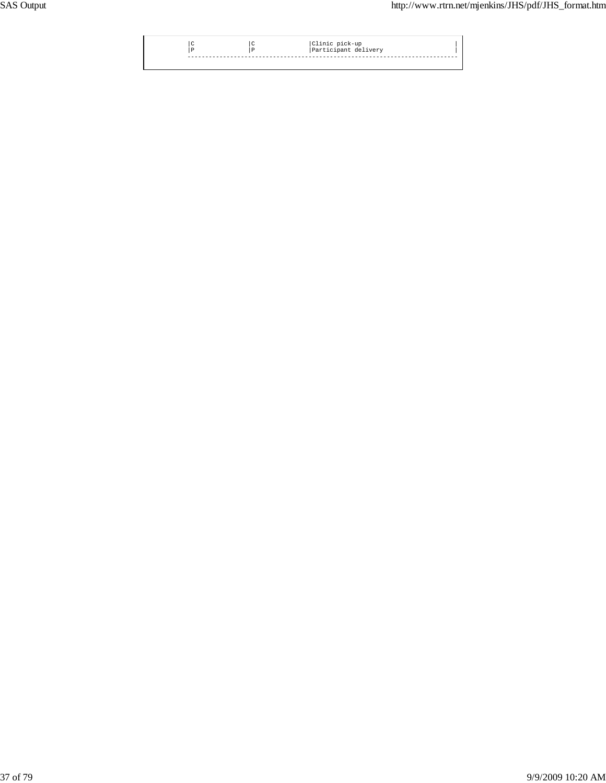|  | Clinic pick-up<br>  Participant delivery |
|--|------------------------------------------|
|  |                                          |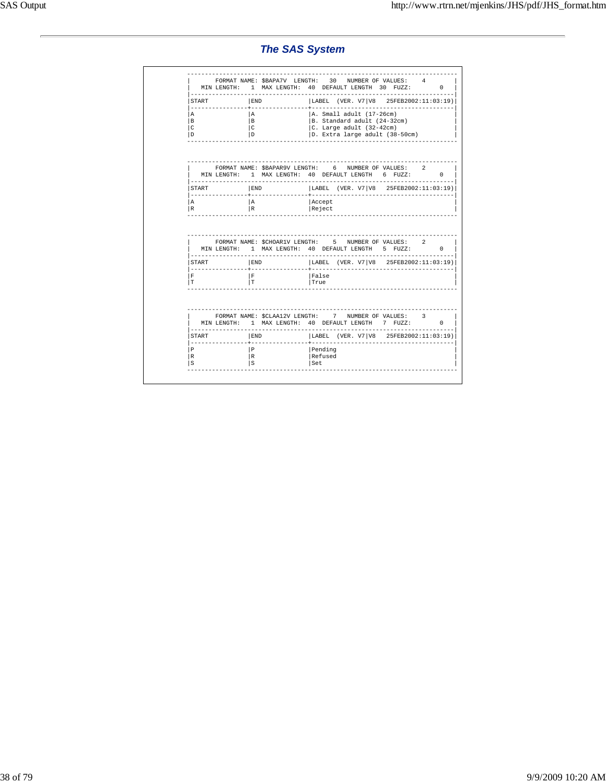|                    |                     | FORMAT NAME: \$BAPA7V LENGTH: 30 NUMBER OF VALUES:<br>$\overline{4}$<br>MIN LENGTH: 1 MAX LENGTH: 40 DEFAULT LENGTH 30 FUZZ:<br>$\Omega$ |
|--------------------|---------------------|------------------------------------------------------------------------------------------------------------------------------------------|
| START              | END                 | LABEL (VER. V7 V8<br>25FEB2002:11:03:19)                                                                                                 |
| --------           |                     |                                                                                                                                          |
| A                  | A                   | A. Small adult (17-26cm)                                                                                                                 |
| B                  | lв.                 | B. Standard adult (24-32cm)                                                                                                              |
| C                  | l C                 | C. Large adult (32-42cm)                                                                                                                 |
| $\mathsf{D}$       | l D                 | D. Extra large adult (38-50cm)                                                                                                           |
|                    |                     | FORMAT NAME: \$BAPAR9V LENGTH: 6 NUMBER OF VALUES:<br>$\overline{2}$<br>MIN LENGTH: 1 MAX LENGTH: 40 DEFAULT LENGTH<br>6 FUZZ:<br>$\cap$ |
| START              | <b>END</b>          | $ LABEL$ (VER. V7 V8 25FEB2002:11:03:19)                                                                                                 |
|                    |                     |                                                                                                                                          |
|                    |                     |                                                                                                                                          |
| Α<br>l R           | A<br>$\overline{R}$ | Accept<br>Reject                                                                                                                         |
|                    |                     | FORMAT NAME: \$CHOAR1V LENGTH: 5 NUMBER OF VALUES:<br>2<br>MIN LENGTH: 1 MAX LENGTH: 40 DEFAULT LENGTH 5 FUZZ:<br>$\Omega$               |
| START              | END                 | $ LABEL$ (VER. V7 V8 25FEB2002:11:03:19)                                                                                                 |
| F                  | ΙF                  | False                                                                                                                                    |
| T                  | lт.                 | True                                                                                                                                     |
|                    |                     | FORMAT NAME: \$CLAA12V LENGTH: 7 NUMBER OF VALUES:<br>3<br>MIN LENGTH: 1 MAX LENGTH: 40 DEFAULT LENGTH 7 FUZZ:<br>$\Omega$               |
| <b>START</b>       | <b>END</b>          | LABEL (VER. V7   V8 25FEB2002:11:03:19)                                                                                                  |
| $- - - - - -$<br>P | l P                 | Pending                                                                                                                                  |
| R                  | R                   | Refused                                                                                                                                  |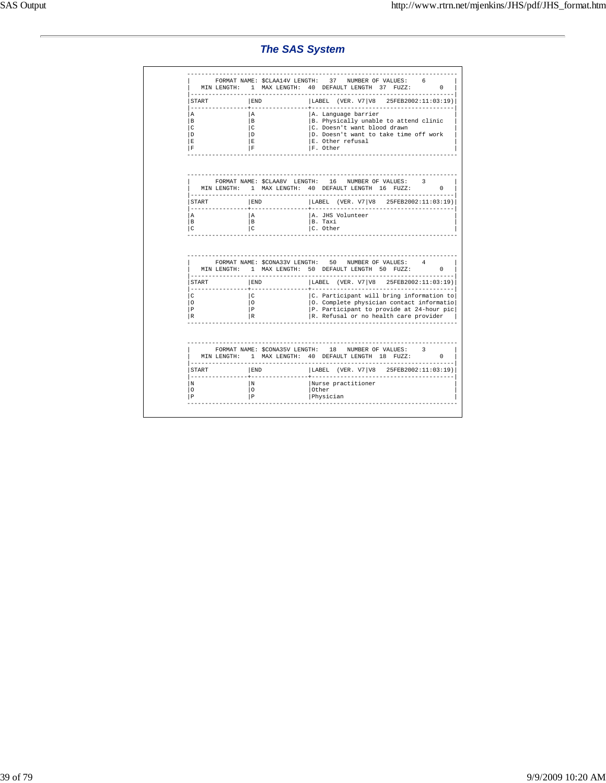|                      |             | FORMAT NAME: \$CLAA14V LENGTH: | 37<br>NUMBER OF VALUES:<br>MIN LENGTH: 1 MAX LENGTH: 40 DEFAULT LENGTH 37 FUZZ:<br>$\Omega$                                                |
|----------------------|-------------|--------------------------------|--------------------------------------------------------------------------------------------------------------------------------------------|
| START                |             | <b>END</b>                     | LABEL (VER. V7 V8<br>25FEB2002:11:03:19)<br>+-------------------------                                                                     |
| ----------<br>A      |             | $+ - - - - -$<br>IA.           | A. Language barrier                                                                                                                        |
| B                    |             | lв.                            | B. Physically unable to attend clinic                                                                                                      |
| C                    |             | l C                            | C. Doesn't want blood drawn                                                                                                                |
| D                    |             | l D                            | D. Doesn't want to take time off work                                                                                                      |
| E                    |             | lт.                            | E. Other refusal                                                                                                                           |
| l F                  |             | ١F                             | F. Other                                                                                                                                   |
|                      |             |                                | FORMAT NAME: \$CLAA8V LENGTH: 16 NUMBER OF VALUES:<br>$\overline{\mathbf{3}}$<br>MIN LENGTH: 1 MAX LENGTH: 40 DEFAULT LENGTH 16 FUZZ:      |
| START                |             | <b>END</b>                     | (VER. V7 V8<br>LABEL<br>25FEB2002:11:03:19)<br>----------                                                                                  |
| A                    |             | I A                            | A. JHS Volunteer                                                                                                                           |
| $\mathbf{B}$         |             |                                |                                                                                                                                            |
|                      |             |                                |                                                                                                                                            |
| $\mathsf{C}$         |             | B <br> c                       | B. Taxi<br>$ c.$ Other                                                                                                                     |
|                      | MIN LENGTH: |                                | FORMAT NAME: \$CONA33V LENGTH: 50 NUMBER OF VALUES:<br>4<br>1 MAX LENGTH: 50 DEFAULT LENGTH 50 FUZZ:                                       |
| START                |             | <b>END</b>                     |                                                                                                                                            |
| C                    |             | l c                            |                                                                                                                                            |
| $\circ$              |             | l o                            | 0<br> LABEL (VER. V7   V8 25FEB2002:11:03:19)<br>C. Participant will bring information to                                                  |
| P                    |             | l P                            | 0. Complete physician contact informatio                                                                                                   |
| R                    |             | l R                            |                                                                                                                                            |
| -----------<br>START |             | <b>END</b>                     | FORMAT NAME: \$CONA35V LENGTH: 18 NUMBER OF VALUES:<br>3<br>MIN LENGTH: 1 MAX LENGTH: 40 DEFAULT LENGTH 18 FUZZ:<br>LABEL (VER. V7 V8      |
| N                    |             | l N                            | P. Participant to provide at 24-hour pic<br>R. Refusal or no health care provider<br>$\Omega$<br>25FEB2002:11:03:19)<br>Nurse practitioner |
| $\circ$<br>P         |             | 10<br> p                       | <b>Other</b><br>Physician                                                                                                                  |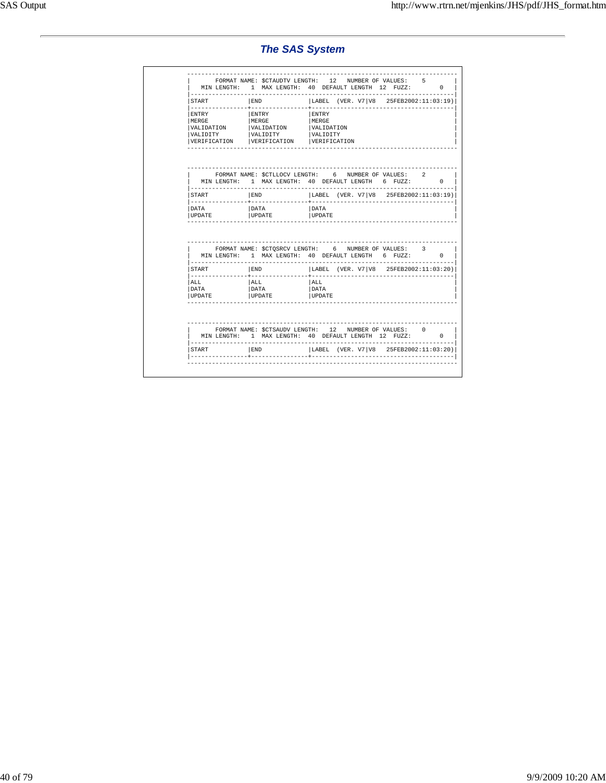| START<br>----------<br><b>ENTRY</b><br>MERGE |                     | END                   | LABEL (VER. V7   V8 25FEB2002:11:03:19)                                                                     |   |          |
|----------------------------------------------|---------------------|-----------------------|-------------------------------------------------------------------------------------------------------------|---|----------|
|                                              |                     |                       |                                                                                                             |   |          |
|                                              |                     | F.NTRY                | <b>ENTRY</b>                                                                                                |   |          |
|                                              |                     | MERGE                 | MERGE                                                                                                       |   |          |
|                                              |                     | VALIDATION VALIDATION | <b>VALIDATION</b>                                                                                           |   |          |
| VALIDITY                                     |                     | VALIDITY              | <i>NALIDITY</i>                                                                                             |   |          |
|                                              | VERIFICATION        | VERIFICATION          | <b>VERIFICATION</b>                                                                                         |   |          |
|                                              | --------------      |                       | FORMAT NAME: \$CTLLOCV LENGTH: 6 NUMBER OF VALUES:<br>MIN LENGTH: 1 MAX LENGTH: 40 DEFAULT LENGTH 6 FUZZ:   | 2 |          |
|                                              |                     |                       |                                                                                                             |   |          |
| START                                        |                     | END                   | LABEL (VER. V7   V8 25FEB2002:11:03:19)                                                                     |   |          |
|                                              | $- - - - + - - - -$ |                       |                                                                                                             |   |          |
| DATA<br><b>UPDATE</b>                        |                     | DATA<br>UPDATE        | <b>DATA</b><br>UPDATE                                                                                       |   |          |
| -----------                                  |                     |                       | FORMAT NAME: \$CTOSRCV LENGTH: 6 NUMBER OF VALUES: 3<br>MIN LENGTH: 1 MAX LENGTH: 40 DEFAULT LENGTH 6 FUZZ: |   |          |
| START                                        |                     | END                   | LABEL (VER. V7   V8 25FEB2002:11:03:20)                                                                     |   |          |
| ALL.                                         |                     | ALL                   | AT.T.                                                                                                       |   | $\Omega$ |
| DATA                                         |                     | DATA                  | <b>IDATA</b>                                                                                                |   |          |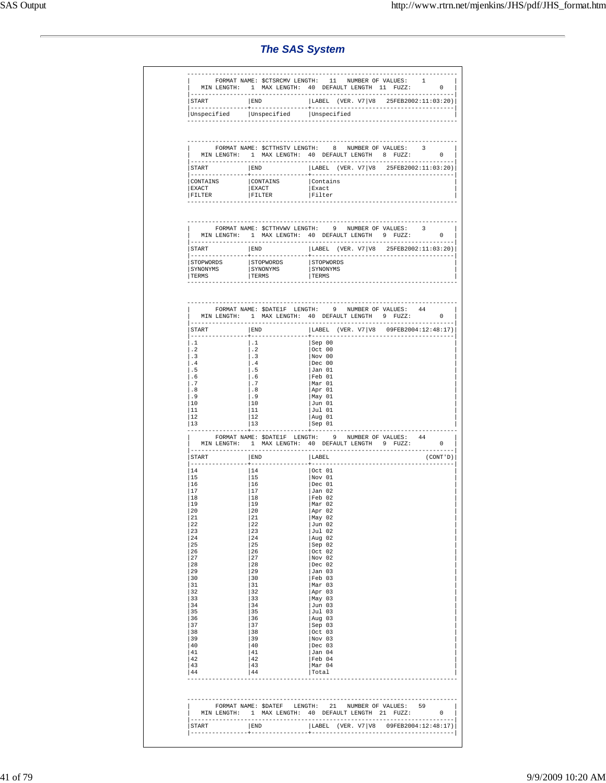|                        |                 |                                         | MIN LENGTH: 1 MAX LENGTH: 40 DEFAULT LENGTH 11 FUZZ:                                                        |                         |
|------------------------|-----------------|-----------------------------------------|-------------------------------------------------------------------------------------------------------------|-------------------------|
| START                  |                 | END                                     | LABEL (VER. V7 V8                                                                                           | 25FEB2002:11:03:20)     |
|                        |                 | Unspecified   Unspecified   Unspecified |                                                                                                             |                         |
|                        |                 |                                         |                                                                                                             |                         |
|                        |                 |                                         | FORMAT NAME: \$CTTHSTV LENGTH: 8 NUMBER OF VALUES:                                                          | $\overline{\mathbf{3}}$ |
|                        |                 |                                         | MIN LENGTH: 1 MAX LENGTH: 40 DEFAULT LENGTH 8 FUZZ:                                                         | $\overline{0}$          |
| START                  | END             |                                         | LABEL (VER. V7   V8 25FEB2002:11:03:20)                                                                     |                         |
| CONTAINS               |                 | CONTAINS                                | Contains                                                                                                    |                         |
| EXACT<br>FILTER        |                 | EXACT<br>FILTER                         | Exact<br>Filter                                                                                             |                         |
|                        |                 |                                         |                                                                                                             |                         |
|                        |                 |                                         |                                                                                                             |                         |
|                        |                 |                                         | FORMAT NAME: \$CTTHVWV LENGTH: 9 NUMBER OF VALUES:<br>MIN LENGTH: 1 MAX LENGTH: 40 DEFAULT LENGTH 9 FUZZ:   | -3.<br>0                |
| START                  | --------------  | END                                     | LABEL (VER. V7 V8 25FEB2002:11:03:20)                                                                       |                         |
| STOPWORDS              |                 | STOPWORDS                               | STOPWORDS                                                                                                   |                         |
| SYNONYMS               |                 | SYNONYMS                                | SYNONYMS                                                                                                    |                         |
| TERMS                  |                 | TERMS                                   | TERMS                                                                                                       |                         |
|                        |                 |                                         |                                                                                                             |                         |
|                        |                 | ------------------------------          | ----------------------                                                                                      |                         |
|                        |                 |                                         | FORMAT NAME: \$DATE1F LENGTH: 9 NUMBER OF VALUES: 44                                                        | $\Omega$                |
|                        |                 |                                         | MIN LENGTH: 1 MAX LENGTH: 40 DEFAULT LENGTH 9 FUZZ:                                                         |                         |
| START                  |                 | END                                     | LABEL (VER. V7 V8 09FEB2004:12:48:17)                                                                       |                         |
| $\cdot$ 1<br>$\cdot$ 2 |                 | $\vert .1 \vert$<br>$\vert$ .2          | Sep 00<br>$ $ Oct 00                                                                                        |                         |
| . 3                    |                 | $\vert$ .3                              | Nov 00                                                                                                      |                         |
| .4<br>. 5              |                 | $\vert .4$<br>$\vert$ .5                | Dec 00<br>Jan 01                                                                                            |                         |
| .6                     |                 | .6                                      | Feb 01                                                                                                      |                         |
| .7<br>.8               |                 | $\vert$ .7<br>  .8                      | Mar 01<br>Apr 01                                                                                            |                         |
| .9                     |                 | l.9                                     | May 01                                                                                                      |                         |
| 10<br>11               |                 | 10<br> 11                               | Jun 01<br>$Jul$ 01                                                                                          |                         |
| 12                     |                 | 12                                      | Aug 01                                                                                                      |                         |
| 13                     | -----+---       | 13                                      | $ $ Sep 01<br>----+------                                                                                   |                         |
|                        |                 |                                         | FORMAT NAME: \$DATE1F LENGTH: 9 NUMBER OF VALUES: 44<br>MIN LENGTH: 1 MAX LENGTH: 40 DEFAULT LENGTH 9 FUZZ: | 0                       |
| START                  |                 | $ $ END                                 | LABEL                                                                                                       | (CONT'D)                |
| 14                     | --------------- | 14                                      | $ $ Oct 01                                                                                                  |                         |
| 15                     |                 | $\vert 15$                              | Nov 01                                                                                                      |                         |
| 16                     |                 | 16<br> 17                               | Dec 01<br>Jan 02                                                                                            |                         |
|                        |                 |                                         |                                                                                                             |                         |
| 17<br>18               |                 | 18                                      | Feb 02                                                                                                      |                         |
| 19                     |                 | 19                                      | Mar 02                                                                                                      |                         |
| 20<br>21               |                 | 20<br>21                                | Apr 02<br>May 02                                                                                            |                         |
| 22                     |                 | 22                                      | Jun 02                                                                                                      |                         |
| 23<br>24               |                 | 23<br>24                                | Jul 02<br>Aug 02                                                                                            |                         |
| 25                     |                 | 25                                      | Sep 02                                                                                                      |                         |
| 26<br>27               |                 | 26<br>27                                | $ $ Oct 02<br>Nov 02                                                                                        |                         |
| 28                     |                 | 28                                      | Dec 02                                                                                                      |                         |
| 29<br>30               |                 | 29<br>30                                | Jan 03<br>Feb 03                                                                                            |                         |
| 31                     |                 | 31                                      | Mar 03                                                                                                      |                         |
| 32<br>33               |                 | 32<br>33                                | Apr 03<br>May 03                                                                                            |                         |
| 34                     |                 | 34                                      | $Jun$ 03                                                                                                    |                         |
| 35<br>36               |                 | 35<br>36                                | $Jul$ 03<br>Aug 03                                                                                          |                         |
| 37<br>38               |                 | 37<br>38                                | $ $ Sep 03                                                                                                  |                         |
| 39                     |                 | 39                                      | Oct 03<br>Nov 03                                                                                            |                         |
| 40<br>41               |                 | 40<br>  41                              | Dec 03<br>Jan 04                                                                                            |                         |
| 42                     |                 | 42                                      | Feb 04                                                                                                      |                         |
| 43                     |                 | 43                                      | Mar 04                                                                                                      |                         |
| 44                     |                 | 44                                      | Total                                                                                                       |                         |
|                        |                 |                                         |                                                                                                             |                         |
|                        |                 |                                         | FORMAT NAME: \$DATEF LENGTH: 21 NUMBER OF VALUES: 59                                                        | 0                       |
|                        |                 |                                         | MIN LENGTH: 1 MAX LENGTH: 40 DEFAULT LENGTH 21 FUZZ:                                                        |                         |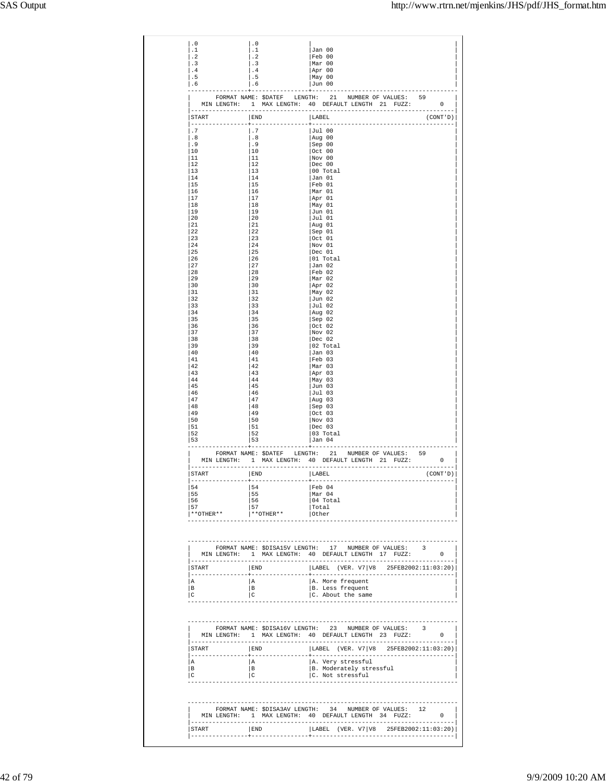| $\cdot\,1$<br>$\cdot$ 2<br>.3<br>.4<br>$\vert .5$<br>$\vert .6$ | $\vert$ .1<br>$\vert$ . 2 | Jan 00                                                                                                                                            |
|-----------------------------------------------------------------|---------------------------|---------------------------------------------------------------------------------------------------------------------------------------------------|
|                                                                 |                           | Feb 00                                                                                                                                            |
|                                                                 | $\vert .3$                | Mar 00                                                                                                                                            |
|                                                                 | .4<br>$\vert .5$          | Apr 00<br>May 00                                                                                                                                  |
|                                                                 | $\vert$ .6                | Jun 00                                                                                                                                            |
|                                                                 | $--- + --- -$             | $--- + - - - - -$<br>-----<br>------------------<br>FORMAT NAME: \$DATEF LENGTH: 21 NUMBER OF VALUES: 59                                          |
|                                                                 |                           | MIN LENGTH: 1 MAX LENGTH: 40 DEFAULT LENGTH 21 FUZZ:<br>$\overline{0}$                                                                            |
| START                                                           | END                       | LABEL<br>(CONT'D)                                                                                                                                 |
| .7                                                              | $\vert .7 \vert$          | $Jul$ 00                                                                                                                                          |
| $^{\prime}$ .8<br>. 9                                           | $\vert .8$<br>∣.9         | Aug 00<br>$ $ Sep 00                                                                                                                              |
| 10                                                              | 10                        | Oct 00                                                                                                                                            |
| 11                                                              | $ 11$                     | Nov 00                                                                                                                                            |
| 12<br>13                                                        | 12<br> 13                 | Dec 00<br>00 Total                                                                                                                                |
| 14                                                              | 14                        | Jan 01                                                                                                                                            |
| 15                                                              | 15                        | Feb 01                                                                                                                                            |
| 16<br>17                                                        | 16<br> 17                 | Mar 01<br>Apr 01                                                                                                                                  |
| 18                                                              | 18                        | May 01                                                                                                                                            |
| 19                                                              | 19                        | Jun 01                                                                                                                                            |
| 20<br>$21\,$                                                    | 20<br> 21                 | $Jul$ 01<br>Aug 01                                                                                                                                |
| 22                                                              | 22                        | Sep 01                                                                                                                                            |
| 23                                                              | 23                        | $ $ Oct 01                                                                                                                                        |
| 24<br>25                                                        | 24<br> 25                 | Nov 01<br> Dec 01                                                                                                                                 |
| 26                                                              | 26                        | 01 Total                                                                                                                                          |
| 27                                                              | 27                        | Jan 02                                                                                                                                            |
| 28<br>29                                                        | 28<br> 29                 | Feb 02<br>Mar 02                                                                                                                                  |
| 30                                                              | 30                        | Apr 02                                                                                                                                            |
| 31                                                              | 31                        | May 02                                                                                                                                            |
| 32<br>33                                                        | 32<br>33                  | Jun 02<br>$Jul$ 02                                                                                                                                |
| 34                                                              | 34                        | Aug 02                                                                                                                                            |
| 35                                                              | 35                        | Sep 02                                                                                                                                            |
| 36<br>37                                                        | 36<br>37                  | $ $ Oct 02<br>Nov 02                                                                                                                              |
| 38                                                              | 38                        | Dec 02                                                                                                                                            |
| 39<br>40                                                        | 39                        | 02 Total                                                                                                                                          |
| 41                                                              | 40<br>  41                | Jan 03<br>$ {\rm Feb} \t03$                                                                                                                       |
| 42                                                              | 42                        | Mar 03                                                                                                                                            |
| 43<br>44                                                        | 43<br> 44                 | Apr 03<br>May 03                                                                                                                                  |
| 45                                                              | 45                        | $Jun$ 03                                                                                                                                          |
| 46                                                              | 46                        | $Jul$ 03                                                                                                                                          |
| 47<br>48                                                        | 47<br> 48                 | Aug 03<br>$ $ Sep 03                                                                                                                              |
| 49                                                              | 49                        | Oct 03                                                                                                                                            |
| 50                                                              | 50                        | Nov 03                                                                                                                                            |
| 51<br>52                                                        | 51<br> 52                 | Dec 03<br>03 Total                                                                                                                                |
| 53                                                              | 53                        | $\sqrt{\text{Jan }04}$                                                                                                                            |
|                                                                 |                           | FORMAT NAME: \$DATEF LENGTH: 21 NUMBER OF VALUES: 59<br>MIN LENGTH: 1 MAX LENGTH: 40 DEFAULT LENGTH 21 FUZZ:<br>$\overline{\phantom{0}}$          |
| START                                                           | END                       | (CONT'D)                                                                                                                                          |
|                                                                 |                           | LABEL                                                                                                                                             |
| 54<br>55                                                        | 54<br>55                  | $ {\rm Feb}$ 04<br>Mar 04                                                                                                                         |
| 56                                                              | 56                        | $ 04$ Total                                                                                                                                       |
| 57<br>$*$ other $*$                                             | 57<br>$\star$ *OTHER**    | Total                                                                                                                                             |
|                                                                 | $- - - - - - - -$         | Other                                                                                                                                             |
|                                                                 |                           |                                                                                                                                                   |
|                                                                 |                           | FORMAT NAME: \$DISA15V LENGTH: 17 NUMBER OF VALUES:<br>$\overline{\mathbf{3}}$<br>MIN LENGTH: 1 MAX LENGTH: 40 DEFAULT LENGTH 17 FUZZ:<br>$\circ$ |
|                                                                 | END                       | LABEL (VER. V7   V8 25FEB2002:11:03:20)                                                                                                           |
| START                                                           | A                         | A. More frequent                                                                                                                                  |
|                                                                 |                           | B. Less frequent                                                                                                                                  |
| $\mathbb{A}$<br>l B<br> c                                       | B <br> c                  | C. About the same                                                                                                                                 |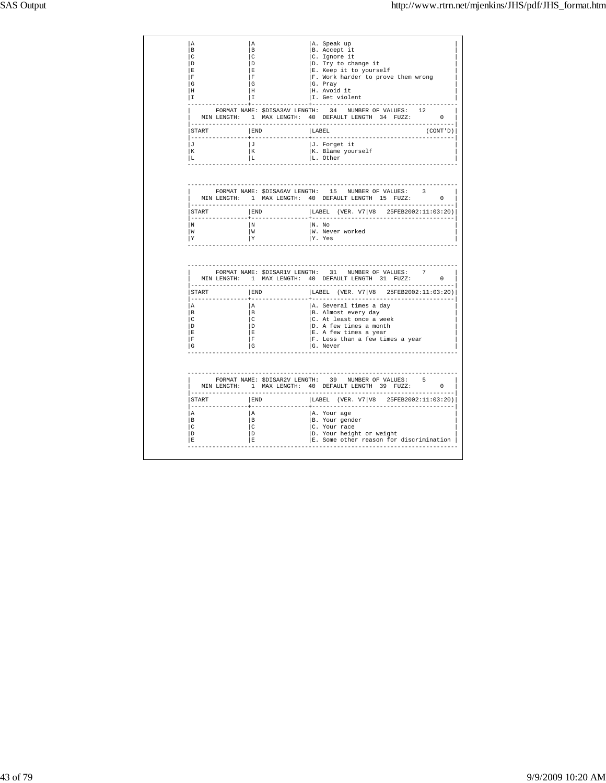| $\mathsf{C}$<br>D<br>E<br>$\mathbb F$<br>$\mathbb{G}% _{\alpha}$<br>Η<br>I | A<br>B<br>$\mathsf C$<br>D<br> E<br>١F<br>  G<br>lн<br>ΙI | A. Speak up<br>B. Accept it<br>C. Ignore it<br>D. Try to change it<br>E. Keep it to yourself<br>F. Work harder to prove them wrong<br>G. Pray<br>H. Avoid it<br>I. Get violent                                    |
|----------------------------------------------------------------------------|-----------------------------------------------------------|-------------------------------------------------------------------------------------------------------------------------------------------------------------------------------------------------------------------|
|                                                                            |                                                           | FORMAT NAME: \$DISA3AV LENGTH: 34 NUMBER OF VALUES: 12<br>MIN LENGTH: 1 MAX LENGTH: 40 DEFAULT LENGTH 34 FUZZ:<br>$\Omega$                                                                                        |
| <b>START</b>                                                               | END                                                       | LABEL<br>(CONT'D)                                                                                                                                                                                                 |
| J<br>K<br>l L                                                              | J<br>$\vert K \vert$<br>L                                 | J. Forget it<br>K. Blame yourself<br>L. Other<br>----------------                                                                                                                                                 |
| START<br>N<br>W<br>ΙY.                                                     | END<br>$- + -$<br>N<br>W<br>$\mathbf{Y}$                  | MIN LENGTH: 1 MAX LENGTH: 40 DEFAULT LENGTH 15 FUZZ:<br>$\overline{0}$<br> LABEL (VER. V7   V8 25FEB2002:11:03:20)<br>. _ _ _ _ _ _ _ _ _ _ _<br>N. No<br>W. Never worked<br>Y. Yes                               |
|                                                                            |                                                           |                                                                                                                                                                                                                   |
| <b>START</b>                                                               | END                                                       | -----------------------<br>FORMAT NAME: \$DISAR1V LENGTH: 31 NUMBER OF VALUES:<br>$7\overline{ }$<br>MIN LENGTH: 1 MAX LENGTH: 40 DEFAULT LENGTH 31 FUZZ:<br>$\Omega$<br>LABEL (VER. V7 V8<br>25FEB2002:11:03:20) |
| A<br>B<br>C<br>D<br>E<br>F<br> G                                           | IA.<br>$\mathbf{B}$<br>l C<br> D <br>İΕ.<br>  F<br> G     | A. Several times a day<br>B. Almost every day<br>C. At least once a week<br>D. A few times a month<br>E. A few times a year<br> F. Less than a few times a year<br>G. Never                                       |
| <b>START</b>                                                               | END                                                       | FORMAT NAME: \$DISAR2V LENGTH: 39 NUMBER OF VALUES:<br>5<br>MIN LENGTH: 1 MAX LENGTH: 40 DEFAULT LENGTH 39 FUZZ:<br>$\Omega$<br>LABEL (VER. V7 V8<br>25FEB2002:11:03:20)                                          |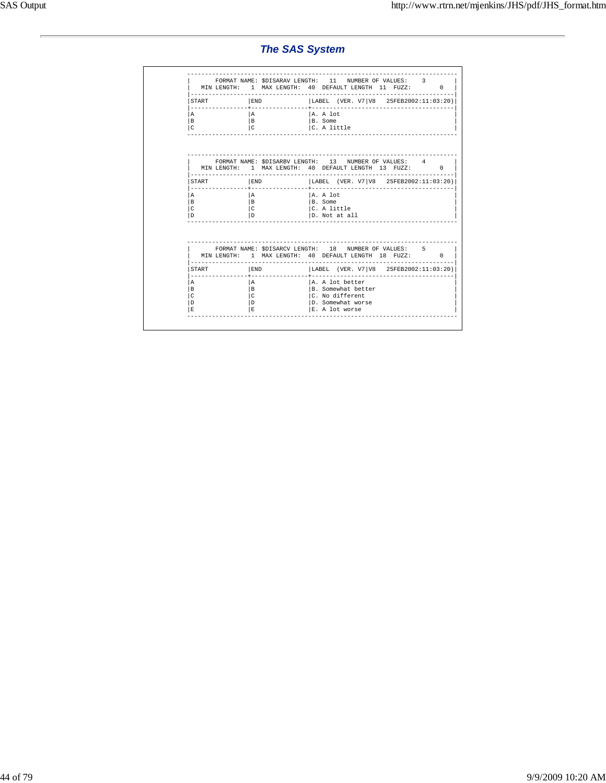|              |                        | FORMAT NAME: \$DISARAV LENGTH: 11 NUMBER OF VALUES: 3<br>MIN LENGTH: 1 MAX LENGTH: 40 DEFAULT LENGTH 11 FUZZ:      |
|--------------|------------------------|--------------------------------------------------------------------------------------------------------------------|
| START        | END<br>$- - + - - - -$ | LABEL (VER. V7   V8 25FEB2002:11:03:20)                                                                            |
| Α            | IA.                    | IA. A lot                                                                                                          |
| <sub>B</sub> | lв.                    | B. Some                                                                                                            |
| C            | l c                    | IC. A little                                                                                                       |
|              |                        | FORMAT NAME: \$DISARBV LENGTH: 13 NUMBER OF VALUES:<br>- 4<br>MIN LENGTH: 1 MAX LENGTH: 40 DEFAULT LENGTH 13 FUZZ: |
| START        | <b>END</b>             | LABEL (VER. V7   V8 25FEB2002:11:03:20)                                                                            |
| Α            | l A                    | A. A lot                                                                                                           |
| <sub>R</sub> | B                      | B. Some                                                                                                            |
| C<br>D       | c <br>D                | IC. A little<br>D. Not at all                                                                                      |
|              |                        | FORMAT NAME: \$DISARCV LENGTH: 18 NUMBER OF VALUES: 5                                                              |
|              |                        | MIN LENGTH: 1 MAX LENGTH: 40 DEFAULT LENGTH 18 FUZZ:                                                               |
| START        | END                    | LABEL (VER. V7   V8 25FEB2002:11:03:20)                                                                            |
| Α            | l A                    | A. A lot better                                                                                                    |
|              |                        | B. Somewhat better                                                                                                 |
| B            | B                      |                                                                                                                    |
| C            | C                      | C. No different                                                                                                    |
| D<br>Е       | D<br>Ε                 | D. Somewhat worse<br>E. A lot worse                                                                                |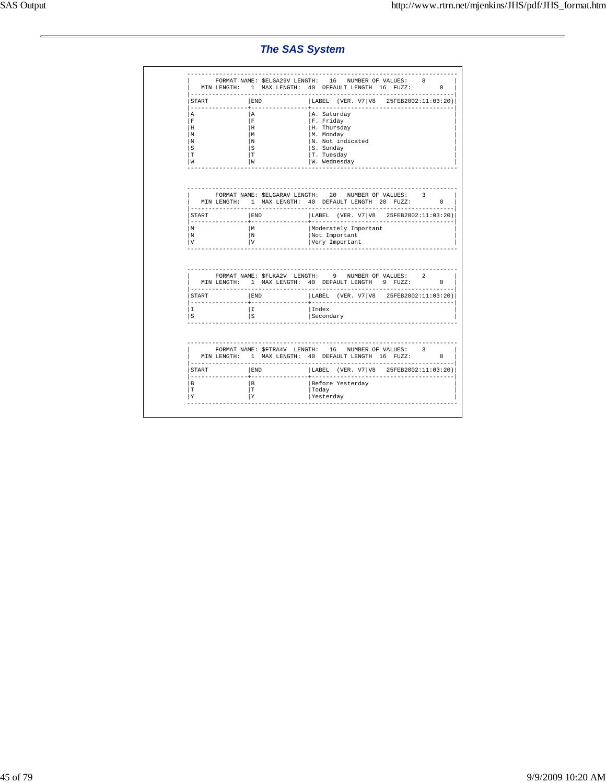| ------------------<br>LABEL (VER. V7 V8<br>START<br><b>END</b><br>A. Saturday<br>  A<br>Α<br>F. Friday<br>F<br>l F<br>H. Thursday<br>lн<br>Η<br>M. Monday<br>M<br>l M<br>N. Not indicated<br>N<br>١N<br>S. Sunday<br>S<br>l S<br>T. Tuesday<br>T<br>١T<br>W. Wednesday<br>l W<br>FORMAT NAME: \$ELGARAV LENGTH:<br>20 | 25FEB2002:11:03:20) |   |
|-----------------------------------------------------------------------------------------------------------------------------------------------------------------------------------------------------------------------------------------------------------------------------------------------------------------------|---------------------|---|
|                                                                                                                                                                                                                                                                                                                       |                     |   |
|                                                                                                                                                                                                                                                                                                                       |                     |   |
|                                                                                                                                                                                                                                                                                                                       |                     |   |
| l W                                                                                                                                                                                                                                                                                                                   |                     |   |
|                                                                                                                                                                                                                                                                                                                       |                     |   |
|                                                                                                                                                                                                                                                                                                                       |                     |   |
|                                                                                                                                                                                                                                                                                                                       |                     |   |
|                                                                                                                                                                                                                                                                                                                       |                     |   |
|                                                                                                                                                                                                                                                                                                                       |                     |   |
| MIN LENGTH: 1 MAX LENGTH: 40 DEFAULT LENGTH 20 FUZZ:<br>$ LABEL$ (VER. V7 V8 25FEB2002:11:03:20)<br><b>START</b><br>  END                                                                                                                                                                                             | NUMBER OF VALUES:   |   |
| Moderately Important<br>М<br>l M                                                                                                                                                                                                                                                                                      |                     |   |
| Not Important<br>N<br>  N                                                                                                                                                                                                                                                                                             |                     |   |
| ١v<br> V <br>Very Important                                                                                                                                                                                                                                                                                           |                     |   |
| FORMAT NAME: \$FLKA2V LENGTH: 9 NUMBER OF VALUES:<br>MIN LENGTH: 1 MAX LENGTH: 40 DEFAULT LENGTH 9 FUZZ:                                                                                                                                                                                                              |                     | 2 |
| --------------------<br>$ LABEL$ (VER. V7 V8 25FEB2002:11:03:20)<br><b>START</b><br><b>END</b>                                                                                                                                                                                                                        | --------            |   |
|                                                                                                                                                                                                                                                                                                                       |                     |   |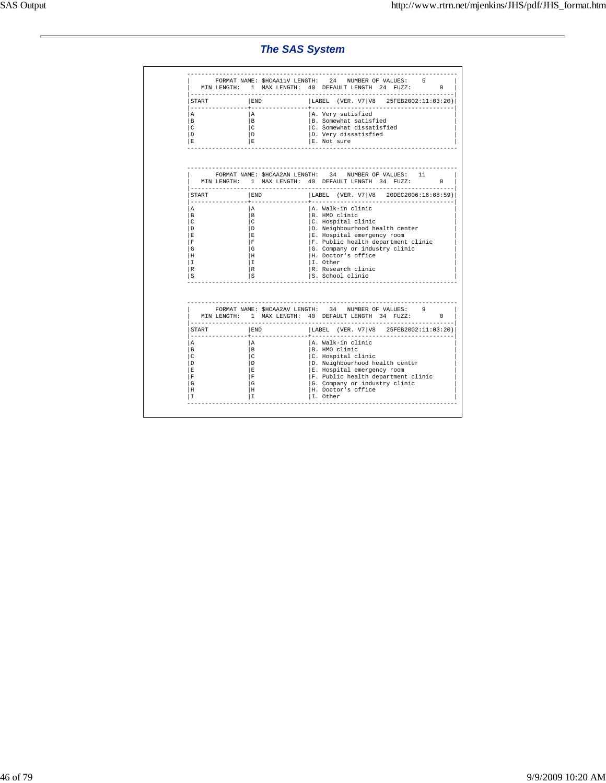|              | MIN LENGTH:     | FORMAT NAME: \$HCAA11V LENGTH: 24 NUMBER OF VALUES:<br>1 MAX LENGTH: 40 DEFAULT LENGTH 24 FUZZ: |                                                                     |  |            |                        | - 5            |  |
|--------------|-----------------|-------------------------------------------------------------------------------------------------|---------------------------------------------------------------------|--|------------|------------------------|----------------|--|
| START        | <b>END</b>      |                                                                                                 | LABEL (VER. V7 V8                                                   |  | ---------- | 25FEB2002:11:03:20)    | -------------- |  |
| Α            | l A             |                                                                                                 | _____________________<br>A. Very satisfied                          |  |            |                        |                |  |
| <sub>B</sub> | l B             |                                                                                                 | B. Somewhat satisfied                                               |  |            |                        |                |  |
| C            | l C             |                                                                                                 | C. Somewhat dissatisfied                                            |  |            |                        |                |  |
| D            | l D             |                                                                                                 | D. Very dissatisfied                                                |  |            |                        |                |  |
| E            | lΕ              |                                                                                                 | E. Not sure                                                         |  |            |                        |                |  |
|              |                 |                                                                                                 |                                                                     |  |            |                        |                |  |
|              |                 | FORMAT NAME: \$HCAA2AN LENGTH: 34 NUMBER OF VALUES:                                             |                                                                     |  |            |                        | - 11           |  |
|              |                 | MIN LENGTH: 1 MAX LENGTH: 40 DEFAULT LENGTH 34 FUZZ:<br>---------------------------------       |                                                                     |  |            | ---------------------- |                |  |
| START        | <b>END</b>      |                                                                                                 | $ LABEL$ (VER. V7 V8 20DEC2006:16:08:59)<br>----------------------- |  |            |                        |                |  |
| Α            | l A             |                                                                                                 | A. Walk-in clinic                                                   |  |            |                        |                |  |
| <sub>R</sub> | l B             |                                                                                                 | B. HMO clinic                                                       |  |            |                        |                |  |
| C            | C               |                                                                                                 | C. Hospital clinic                                                  |  |            |                        |                |  |
| D            | D               |                                                                                                 | D. Neighbourhood health center                                      |  |            |                        |                |  |
| E            | E               |                                                                                                 | E. Hospital emergency room                                          |  |            |                        |                |  |
| F            | F               |                                                                                                 | F. Public health department clinic                                  |  |            |                        |                |  |
| G            | G               |                                                                                                 | G. Company or industry clinic                                       |  |            |                        |                |  |
|              |                 |                                                                                                 | H. Doctor's office                                                  |  |            |                        |                |  |
| Η            | lн              |                                                                                                 |                                                                     |  |            |                        |                |  |
| I            | ΙI              |                                                                                                 | I. Other                                                            |  |            |                        |                |  |
| R            | l R             |                                                                                                 | R. Research clinic                                                  |  |            |                        |                |  |
|              | l S             |                                                                                                 | S. School clinic                                                    |  |            |                        |                |  |
| S            |                 |                                                                                                 |                                                                     |  |            |                        |                |  |
|              | MIN LENGTH:     | FORMAT NAME: \$HCAA2AV LENGTH: 34 NUMBER OF VALUES:<br>1 MAX LENGTH:                            | 40 DEFAULT LENGTH 34 FUZZ:                                          |  |            |                        | 9              |  |
| <b>START</b> | $ $ END         |                                                                                                 | LABEL (VER. V7   V8 25FEB2002:11:03:20)                             |  |            |                        |                |  |
| Α            | ----+-----<br>A |                                                                                                 | -----------------------<br>A. Walk-in clinic                        |  |            |                        |                |  |
| в            | l B             |                                                                                                 | B. HMO clinic                                                       |  |            |                        |                |  |
| C            | C               |                                                                                                 |                                                                     |  |            |                        |                |  |
| D            | l D             |                                                                                                 | C. Hospital clinic                                                  |  |            |                        |                |  |
|              |                 |                                                                                                 | D. Neighbourhood health center                                      |  |            |                        |                |  |
| E            | E               |                                                                                                 | E. Hospital emergency room                                          |  |            |                        |                |  |
| F            | F               |                                                                                                 | F. Public health department clinic                                  |  |            |                        |                |  |
| G<br>Η       | G<br>lн         |                                                                                                 | G. Company or industry clinic<br>H. Doctor's office                 |  |            |                        |                |  |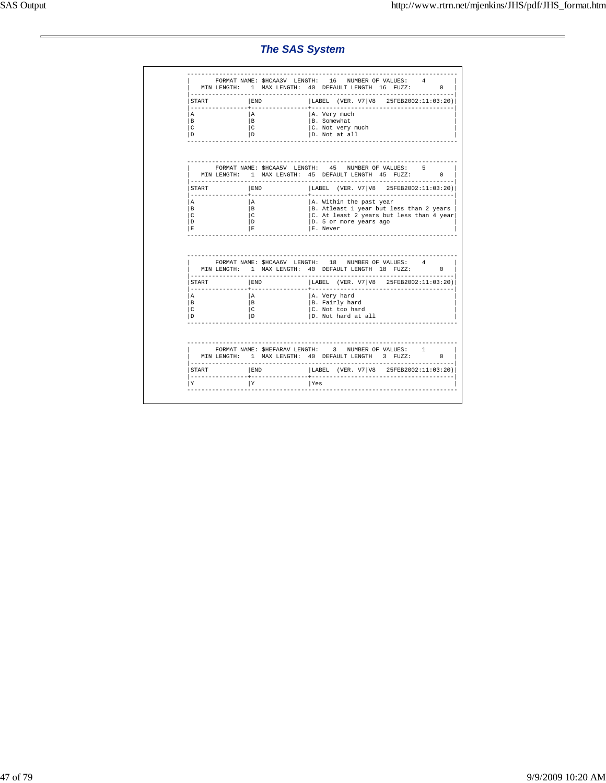| --------------<br>START<br>Α<br>R.<br>C<br>D<br>START<br>Α<br>в<br>C<br>$\mathsf{D}$<br>E. | <b>END</b><br>l A<br>IB.<br>l c<br>l D<br>---------------------<br>  END<br>l A<br>l B | LABEL (VER. V7 V8<br>25FEB2002:11:03:20)<br>--------<br>-----------<br>A. Very much<br>B. Somewhat<br>C. Not very much<br>D. Not at all<br>FORMAT NAME: \$HCAA5V LENGTH: 45 NUMBER OF VALUES:<br>5<br>MIN LENGTH: 1 MAX LENGTH: 45 DEFAULT LENGTH 45 FUZZ:<br>$\Omega$<br> LABEL (VER. V7   V8 25FEB2002:11:03:20) |
|--------------------------------------------------------------------------------------------|----------------------------------------------------------------------------------------|--------------------------------------------------------------------------------------------------------------------------------------------------------------------------------------------------------------------------------------------------------------------------------------------------------------------|
|                                                                                            |                                                                                        |                                                                                                                                                                                                                                                                                                                    |
|                                                                                            |                                                                                        |                                                                                                                                                                                                                                                                                                                    |
|                                                                                            |                                                                                        |                                                                                                                                                                                                                                                                                                                    |
|                                                                                            |                                                                                        |                                                                                                                                                                                                                                                                                                                    |
|                                                                                            |                                                                                        |                                                                                                                                                                                                                                                                                                                    |
|                                                                                            |                                                                                        |                                                                                                                                                                                                                                                                                                                    |
|                                                                                            |                                                                                        |                                                                                                                                                                                                                                                                                                                    |
|                                                                                            |                                                                                        |                                                                                                                                                                                                                                                                                                                    |
|                                                                                            |                                                                                        | A. Within the past year                                                                                                                                                                                                                                                                                            |
|                                                                                            |                                                                                        | B. Atleast 1 year but less than 2 years                                                                                                                                                                                                                                                                            |
|                                                                                            | l C                                                                                    | C. At least 2 years but less than 4 year                                                                                                                                                                                                                                                                           |
|                                                                                            | l D<br>l F.                                                                            | D. 5 or more years ago<br>E. Never                                                                                                                                                                                                                                                                                 |
|                                                                                            |                                                                                        | FORMAT NAME: \$HCAA6V LENGTH: 18 NUMBER OF VALUES:<br>-4<br>MIN LENGTH: 1 MAX LENGTH: 40 DEFAULT LENGTH 18 FUZZ:<br>$\Omega$                                                                                                                                                                                       |
| START<br>$- - - - - - - -$                                                                 | <b>END</b>                                                                             | LABEL (VER. V7   V8 25FEB2002:11:03:20)<br>and the company of the company of                                                                                                                                                                                                                                       |
| Α                                                                                          | l A                                                                                    | A. Very hard                                                                                                                                                                                                                                                                                                       |
| B                                                                                          | B.                                                                                     | B. Fairly hard                                                                                                                                                                                                                                                                                                     |
| C<br>D                                                                                     | l C<br>ID.                                                                             | C. Not too hard<br>D. Not hard at all                                                                                                                                                                                                                                                                              |
|                                                                                            |                                                                                        |                                                                                                                                                                                                                                                                                                                    |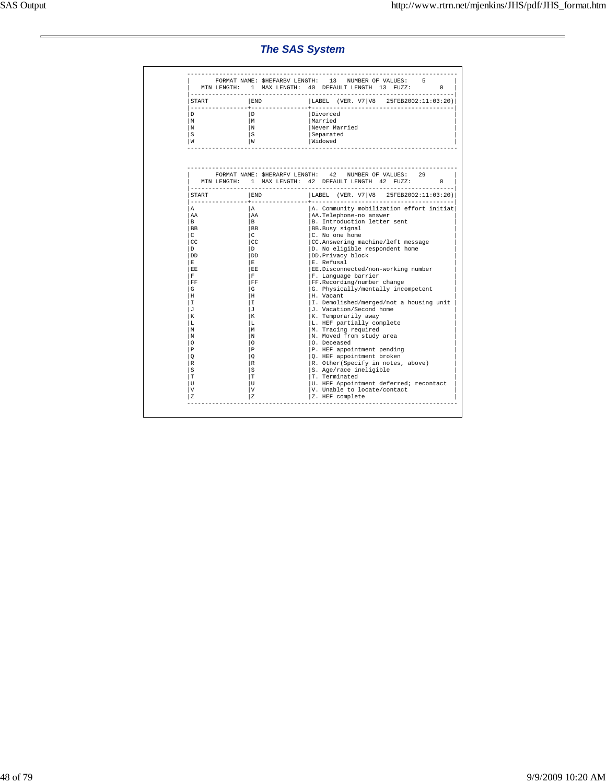|         |         | FORMAT NAME: \$HEFARBV LENGTH: 13 NUMBER OF VALUES:<br>- 5<br>MIN LENGTH: 1 MAX LENGTH: 40 DEFAULT LENGTH 13 FUZZ:<br>----------------------- |
|---------|---------|-----------------------------------------------------------------------------------------------------------------------------------------------|
| START   | END     | $ LABEL$ (VER. V7   V8 25FEB2002:11:03:20)                                                                                                    |
| D       | l D     | Divorced                                                                                                                                      |
| М       | IM.     | <i>Married</i>                                                                                                                                |
| N       | N       | Never Married                                                                                                                                 |
| S       | l s     | Separated                                                                                                                                     |
| W       | l W     | Widowed<br>-------------                                                                                                                      |
|         |         | FORMAT NAME: \$HERARFV LENGTH: 42 NUMBER OF VALUES:<br>29                                                                                     |
|         |         | MIN LENGTH: 1 MAX LENGTH: 42 DEFAULT LENGTH 42 FUZZ:<br>-------------------------                                                             |
| START   | END     | $ LABEL$ (VER. V7   V8 25FEB2002:11:03:20)                                                                                                    |
| Α       | l A     | A. Community mobilization effort initiat                                                                                                      |
| AA      | l AA    | AA. Telephone-no answer                                                                                                                       |
| B.      | l B     | B. Introduction letter sent                                                                                                                   |
| BB      | l BB    | BB.Busy signal                                                                                                                                |
| C       | l C     | C. No one home                                                                                                                                |
| CC.     | l cc    | CC. Answering machine/left message                                                                                                            |
| D.      | D       | D. No eligible respondent home                                                                                                                |
| חת      | חח ו    | DD.Privacy block                                                                                                                              |
| E.      | IE.     | E. Refusal                                                                                                                                    |
| EE      | EE      | EE.Disconnected/non-working number                                                                                                            |
| F       | l F     | F. Language barrier                                                                                                                           |
| FF      | l FF    | FF.Recording/number change                                                                                                                    |
| G       | l G     | G. Physically/mentally incompetent                                                                                                            |
| Н       | lн      | H. Vacant                                                                                                                                     |
| I       | ΙI      | I. Demolished/merged/not a housing unit                                                                                                       |
| J       | J       | J. Vacation/Second home                                                                                                                       |
| K       | ΙK      | K. Temporarily away                                                                                                                           |
| L       | L       | L. HEF partially complete                                                                                                                     |
| М       | M       | M. Tracing required                                                                                                                           |
| N       | N       | N. Moved from study area                                                                                                                      |
| $\circ$ | l O     | O. Deceased                                                                                                                                   |
| P       | l P     | P. HEF appointment pending                                                                                                                    |
|         | $\circ$ | 0. HEF appointment broken                                                                                                                     |
|         | R       | R. Other (Specify in notes, above)                                                                                                            |
| $\circ$ |         |                                                                                                                                               |
| R       |         |                                                                                                                                               |
| S       | S       | S. Age/race ineligible                                                                                                                        |
| T       | T       | T. Terminated                                                                                                                                 |
| U<br>V  | U<br>V  | U. HEF Appointment deferred; recontact<br>V. Unable to locate/contact                                                                         |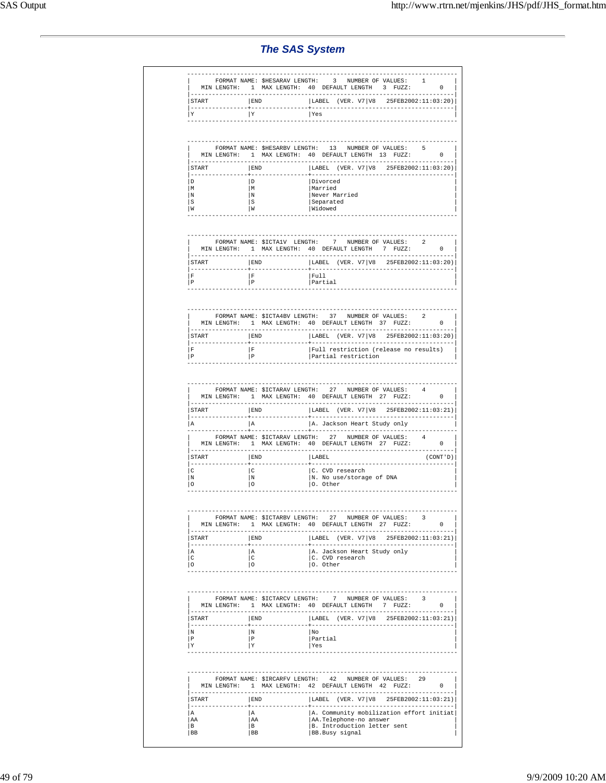| START                      |                     | MIN LENGTH: 1 MAX LENGTH: 40 DEFAULT LENGTH 3 FUZZ: |                                                                                                                                                  |
|----------------------------|---------------------|-----------------------------------------------------|--------------------------------------------------------------------------------------------------------------------------------------------------|
|                            |                     | <b>END</b>                                          | LABEL (VER. V7 V8<br>25FEB2002:11:03:20)                                                                                                         |
| ΙY                         | Y                   | -+---------                                         | -+-------------------<br> Yes                                                                                                                    |
|                            |                     |                                                     |                                                                                                                                                  |
|                            |                     | -------------------                                 | .<br>FORMAT NAME: \$HESARBV LENGTH: 13 NUMBER OF VALUES:<br>5.                                                                                   |
|                            |                     | -------------                                       | MIN LENGTH: 1 MAX LENGTH: 40 DEFAULT LENGTH 13 FUZZ:<br>$^{\circ}$                                                                               |
| START                      |                     | <b>END</b>                                          | LABEL (VER. V7   V8 25FEB2002:11:03:20)                                                                                                          |
| D<br>M                     |                     | D <br>M                                             | Divorced<br>Married                                                                                                                              |
| N<br>l s<br>W              |                     | N<br>l s<br>  W                                     | Never Married<br>Separated<br>Widowed                                                                                                            |
|                            |                     |                                                     |                                                                                                                                                  |
|                            |                     |                                                     | FORMAT NAME: \$ICTA1V LENGTH: 7 NUMBER OF VALUES:<br>$\mathbf{2}$<br>MIN LENGTH: 1 MAX LENGTH: 40 DEFAULT LENGTH 7 FUZZ:<br>$\circ$              |
| START                      |                     | END                                                 | LABEL<br>(VER. V7 V8)<br>25FEB2002:11:03:20)                                                                                                     |
| F                          |                     | F                                                   | Full                                                                                                                                             |
| $\mathsf{P}$               |                     | P                                                   | Partial                                                                                                                                          |
|                            |                     | --------------                                      |                                                                                                                                                  |
|                            |                     |                                                     | FORMAT NAME: \$ICTA4BV LENGTH: 37 NUMBER OF VALUES:<br>$\overline{2}$<br>MIN LENGTH: 1 MAX LENGTH: 40 DEFAULT LENGTH 37 FUZZ:                    |
| <b>START</b>               |                     | <b>END</b><br>- + - -                               | LABEL (VER. V7 V8<br>25FEB2002:11:03:20)                                                                                                         |
| F<br> P                    |                     | F <br> P                                            | Full restriction (release no results)<br>Partial restriction                                                                                     |
|                            |                     |                                                     |                                                                                                                                                  |
| START<br>l A               |                     | END<br> A                                           | LABEL (VER. V7 V8<br>25FEB2002:11:03:21)<br>A. Jackson Heart Study only                                                                          |
|                            | $- - + - -$         | -------+----                                        | FORMAT NAME: \$ICTARAV LENGTH: 27 NUMBER OF VALUES:<br>$\overline{4}$<br>MIN LENGTH: 1 MAX LENGTH: 40 DEFAULT LENGTH 27 FUZZ:<br>0               |
| START                      |                     | <b>END</b>                                          | LABEL<br>(CONT'D)                                                                                                                                |
|                            |                     | $+ - - - - -$<br>l C                                | C. CVD research                                                                                                                                  |
| C                          |                     | N                                                   |                                                                                                                                                  |
| N<br>  O                   |                     | 10                                                  | N. No use/storage of DNA<br>$ 0.$ Other                                                                                                          |
|                            |                     |                                                     |                                                                                                                                                  |
|                            |                     |                                                     | FORMAT NAME: \$ICTARBV LENGTH: 27 NUMBER OF VALUES:<br>3                                                                                         |
| START                      |                     | $-- - -$<br><b>END</b>                              | MIN LENGTH: 1 MAX LENGTH: 40 DEFAULT LENGTH 27 FUZZ:<br>-----<br>LABEL (VER. V7 V8                                                               |
| Α                          |                     | A                                                   | ---------------------<br>A. Jackson Heart Study only                                                                                             |
| $\mathtt{C}$<br>l o        |                     | c <br>$ 0\rangle$                                   | C. CVD research<br>0. Other                                                                                                                      |
|                            |                     |                                                     | ----------                                                                                                                                       |
|                            |                     |                                                     | FORMAT NAME: \$ICTARCV LENGTH: 7 NUMBER OF VALUES:<br>$\overline{\mathbf{3}}$<br>MIN LENGTH: 1 MAX LENGTH: 40 DEFAULT LENGTH 7 FUZZ:<br>$\Omega$ |
| START                      |                     | $ $ END                                             | 25FEB2002:11:03:21)<br> LABEL (VER. V7   V8 25FEB2002:11:03:21)                                                                                  |
| ----------<br>$\, {\rm N}$ |                     | $+ - - -$<br>  N                                    | ∣No.                                                                                                                                             |
| P<br>ΙY.                   |                     | P <br> Y                                            | Partial<br> Yes                                                                                                                                  |
|                            |                     |                                                     |                                                                                                                                                  |
|                            |                     |                                                     | FORMAT NAME: \$IRCARFV LENGTH: 42 NUMBER OF VALUES:<br>29<br>MIN LENGTH: 1 MAX LENGTH: 42 DEFAULT LENGTH 42 FUZZ:<br>0                           |
| START                      | .                   | <b>END</b>                                          | ---------<br>LABEL (VER. V7 V8                                                                                                                   |
| Α<br>ΑA                    | ----------------+-- | A<br>  AA                                           | 25FEB2002:11:03:21)<br>A. Community mobilization effort initiat<br>AA. Telephone-no answer                                                       |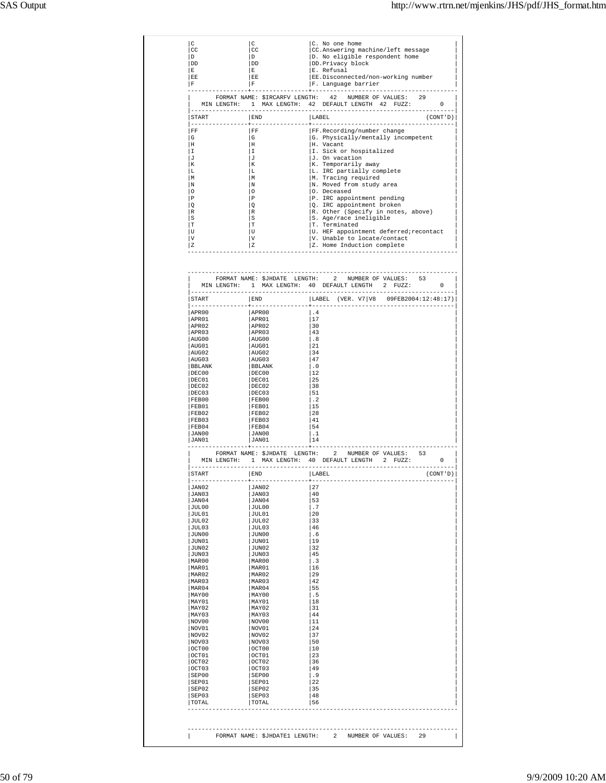| C<br>CC        | C<br>  cc                      | C. No one home<br>CC. Answering machine/left message                                                           |
|----------------|--------------------------------|----------------------------------------------------------------------------------------------------------------|
| D              | D                              | D. No eligible respondent home                                                                                 |
| DD<br>Е        | DD)<br>ΙE.                     | DD. Privacy block<br>E. Refusal                                                                                |
| EE             | EE                             | EE.Disconnected/non-working number                                                                             |
| F              | F<br>$- + - -$                 | F. Language barrier<br>----------+--------------------------                                                   |
|                |                                | FORMAT NAME: \$IRCARFV LENGTH: 42 NUMBER OF VALUES: 29<br>MIN LENGTH: 1 MAX LENGTH: 42 DEFAULT LENGTH 42 FUZZ: |
| START          | END                            | LABEL<br>(CONT'D)                                                                                              |
| FF             | FF                             | FF.Recording/number change                                                                                     |
| G              | G                              | G. Physically/mentally incompetent                                                                             |
| Η<br>I         | HΗ<br>ΙI                       | H. Vacant<br>I. Sick or hospitalized                                                                           |
| J              | J                              | J. On vacation                                                                                                 |
| lΚ             | İΚ                             | K. Temporarily away                                                                                            |
| г<br>M         | L<br>M                         | L. IRC partially complete<br>M. Tracing required                                                               |
| N              | N                              | N. Moved from study area                                                                                       |
| $\circ$<br>P   | 0  <br>P                       | O. Deceased<br>P. IRC appointment pending                                                                      |
| Q              | ١Q                             | Q. IRC appointment broken                                                                                      |
| R              | R                              | R. Other (Specify in notes, above)                                                                             |
| S<br>т         | l s<br>T                       | S. Age/race ineligible<br>T. Terminated                                                                        |
| U              | U                              | U. HEF appointment deferred; recontact                                                                         |
| ١v             | V                              | V. Unable to locate/contact                                                                                    |
| Z              | Z                              | Z. Home Induction complete                                                                                     |
|                |                                | FORMAT NAME: \$JHDATE LENGTH: 2 NUMBER OF VALUES:<br>53                                                        |
|                |                                | MIN LENGTH: 1 MAX LENGTH: 40 DEFAULT LENGTH 2 FUZZ:                                                            |
| START          | <b>END</b>                     | LABEL (VER. V7   V8 09FEB2004:12:48:17)                                                                        |
| APR00          | APR00                          | $\vert .4$                                                                                                     |
| APR01<br>APR02 | APR01<br>APR02                 | 17<br> 30                                                                                                      |
| APR03          | APR03                          | 43                                                                                                             |
| AUG00          | AUG00                          | $\vert .8$                                                                                                     |
| AUG01<br>AUG02 | AUG01<br>AUG02                 | 21<br> 34                                                                                                      |
| AUG03          | AUG03                          | 47                                                                                                             |
| BBLANK         | BBLANK                         | $\vert \cdot 0$                                                                                                |
| DEC00<br>DEC01 | DEC00<br>DEC01                 | 12<br> 25                                                                                                      |
| DEC02          | DEC02                          | 38                                                                                                             |
| DEC03          | DEC03                          | 51                                                                                                             |
| FEB00<br>FEB01 | FEB00<br>FEB01                 | $\vert$ .2<br> 15                                                                                              |
| FEB02          | FEB02                          | 28                                                                                                             |
|                | FEB03                          | $\vert 41$                                                                                                     |
| FEB03          |                                |                                                                                                                |
| FEB04<br>JAN00 | FEB04<br>JAN00                 | 54<br>$\vert .1$                                                                                               |
| JAN01          | JAN01<br>$- + - - - - - - - -$ | 14<br>$- + - -$                                                                                                |
|                |                                | FORMAT NAME: \$JHDATE LENGTH: 2 NUMBER OF VALUES:<br>53<br>MIN LENGTH: 1 MAX LENGTH: 40 DEFAULT LENGTH 2 FUZZ: |
| START          | $ $ END                        | LABEL                                                                                                          |
| JAN02          | JAN02                          | 27                                                                                                             |
| JAN03          | JAN03                          | 40                                                                                                             |
| JAN04          | JAN04                          | 53                                                                                                             |
| JUL00<br>JUL01 | JUL00<br>JUL01                 | $\vert .7$<br> 20                                                                                              |
| JUL02          | JUL02                          | $\begin{array}{c} 33 \end{array}$                                                                              |
| JUL03          | JUL03                          | 46                                                                                                             |
| JUN00<br>JUN01 | JUN00<br>JUN01                 | $\vert .6$<br> 19                                                                                              |
| JUN02          | JUN02                          | $\begin{array}{c} 32 \end{array}$                                                                              |
| JUN03          | JUN03                          | 45                                                                                                             |
| MAR00<br>MAR01 | MAR00                          | $\vert .3$<br> 16                                                                                              |
| MAR02          | MAR01<br>MAR02                 | 29                                                                                                             |
| MAR03          | MAR03                          | 42                                                                                                             |
| MAR04          | MAR04                          | 55                                                                                                             |
| MAY00<br>MAY01 | MAY00<br>MAY01                 | $\vert .5$<br> 18                                                                                              |
| MAY02          | MAY02                          | 31                                                                                                             |
| MAY03          | MAY03                          | 44                                                                                                             |
| NOV00<br>NOV01 | NOV00<br>NOV01                 | $\mid$<br> 24                                                                                                  |
| NOV02          | NOV02                          | 37                                                                                                             |
| NOV03          | NOV03                          | 50                                                                                                             |
| OCT00<br>OCT01 | OCT00<br>OCT01                 | 10<br> 23                                                                                                      |
| OCT02          | OCT <sub>02</sub>              | $ 36$                                                                                                          |
| OCT03          | OCT03                          | 49                                                                                                             |
| SEP00<br>SEP01 | SEP00<br>SEP01                 | $\vert .9$<br> 22                                                                                              |
| SEP02          | SEP02                          | (CONT'D)<br>$\begin{array}{c} 35 \end{array}$                                                                  |
| SEP03<br>TOTAL | SEP03<br>  TOTAL               | 48<br>56                                                                                                       |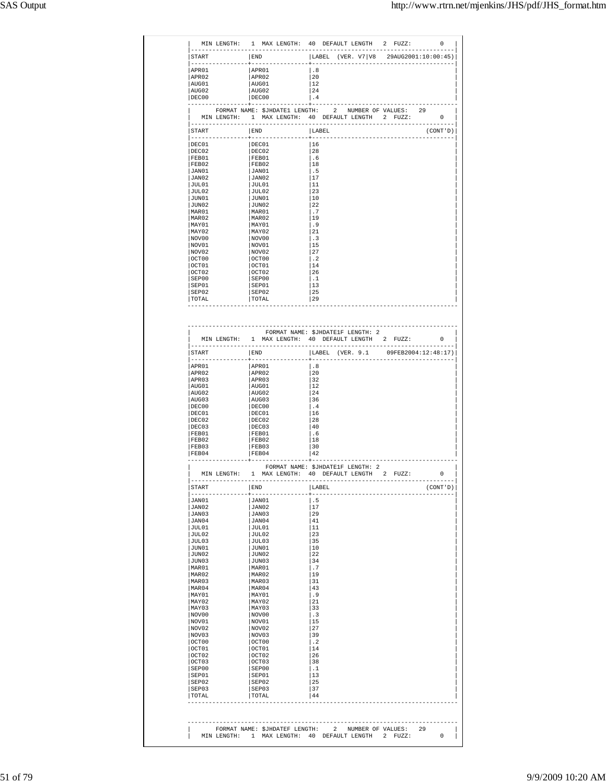| APR01                            | APR01                                   | $\vert .8$                                                                                                      |
|----------------------------------|-----------------------------------------|-----------------------------------------------------------------------------------------------------------------|
| APR02                            | APR02                                   | 20                                                                                                              |
| AUG01                            | AUG01                                   | 12                                                                                                              |
| AUG02                            | AUG02                                   | 24                                                                                                              |
| DEC00                            | DEC00<br>---------+----------------+--- | $\vert \cdot 4$<br>---------------                                                                              |
|                                  |                                         | FORMAT NAME: \$JHDATE1 LENGTH: 2 NUMBER OF VALUES:<br>29<br>MIN LENGTH: 1 MAX LENGTH: 40 DEFAULT LENGTH 2 FUZZ: |
| START                            | END                                     | (CONT'D)<br>LABEL                                                                                               |
|                                  | -----------------------------------     | +-------------------------                                                                                      |
| DEC01<br>DEC02                   | DEC01<br>DEC02                          | 16<br> 28                                                                                                       |
| FEB01                            | FEB01                                   | $\vert .6$                                                                                                      |
| FEB02                            | FEB02                                   | 18                                                                                                              |
| JAN01                            | JAN01                                   | $\vert .5$                                                                                                      |
| JAN02                            | JAN02                                   | 17                                                                                                              |
| JUL01<br>JUL02                   | JUL01                                   | 11<br> 23                                                                                                       |
| JUN01                            | JUL02<br>JUN01                          | 10                                                                                                              |
| JUN02                            | JUN02                                   | 22                                                                                                              |
| MAR01                            | MAR01                                   | $\vert .7$                                                                                                      |
| MAR02                            | MAR02                                   | 19                                                                                                              |
| MAY01                            | MAY01                                   | .9                                                                                                              |
| MAY02<br>NOV00                   | MAY02<br>NOV00                          | 21<br>$\vert$ .3                                                                                                |
| NOV01                            | NOV01                                   | 15                                                                                                              |
| NOV02                            | NOV02                                   | 27                                                                                                              |
| OCT00                            | OCT00                                   | $\vert$ .2                                                                                                      |
| OCT01                            | OCT01                                   | 114                                                                                                             |
| OCT02                            | OCT02                                   | 26                                                                                                              |
| SEP00                            | SEP00                                   | $\vert .1$                                                                                                      |
| SEP01<br>SEP02                   | SEP01<br>SEP02                          | 13<br> 25                                                                                                       |
| TOTAL                            | TOTAL                                   | 29                                                                                                              |
|                                  |                                         | ----------------                                                                                                |
|                                  |                                         |                                                                                                                 |
|                                  |                                         | FORMAT NAME: \$JHDATE1F LENGTH: 2                                                                               |
|                                  |                                         | MIN LENGTH: 1 MAX LENGTH: 40 DEFAULT LENGTH 2 FUZZ:                                                             |
| START                            | END                                     | LABEL (VER. 9.1 09FEB2004:12:48:17)                                                                             |
|                                  |                                         |                                                                                                                 |
| APR01<br>APR02                   | APR01<br>APR02                          | $\vert .8$<br> 20                                                                                               |
| APR03                            | APR03                                   | 32                                                                                                              |
| AUG01                            | AUG01                                   | 12                                                                                                              |
| AUG02                            | AUG02                                   | 24                                                                                                              |
| AUG03                            | AUG03                                   | 36                                                                                                              |
| DEC00                            | DEC00                                   | $\vert .4$<br> 16                                                                                               |
| DEC01<br>DEC02                   | DEC01<br>DEC02                          | 28                                                                                                              |
|                                  | DEC03                                   | 40                                                                                                              |
|                                  | FEB01                                   | $\vert .6$                                                                                                      |
|                                  |                                         |                                                                                                                 |
| FEB01                            | FEB02                                   | 18                                                                                                              |
|                                  | FEB03<br>FEB04                          | 30<br> 42                                                                                                       |
| DEC03<br>FEB02<br>FEB03<br>FEB04 |                                         | -----<br>FORMAT NAME: \$JHDATE1F LENGTH: 2                                                                      |
| MIN LENGTH:                      |                                         | 1 MAX LENGTH: 40 DEFAULT LENGTH 2 FUZZ:                                                                         |
| START                            | END                                     | LABEL                                                                                                           |
| JAN01                            | JAN01                                   |                                                                                                                 |
| JAN02                            | JAN02                                   | $\vert .5$<br> 17                                                                                               |
|                                  | JAN03                                   | 29                                                                                                              |
| JAN03<br>JAN04                   | JAN04                                   | 41                                                                                                              |
| JUL01                            | JUL01                                   | 11                                                                                                              |
| JUL02                            | JUL02                                   | 23                                                                                                              |
| JUN01                            | JUL03<br>JUN01                          | $\begin{array}{c} 35 \end{array}$<br> 10                                                                        |
| JUL03<br>JUN02                   | JUN02                                   | 22                                                                                                              |
| JUN03                            | JUN03                                   | 34                                                                                                              |
|                                  | MAR01                                   | $\vert .7$                                                                                                      |
| MAR01<br>MAR02                   | MAR02                                   | 19                                                                                                              |
|                                  | MAR03                                   | 31                                                                                                              |
| MAR03<br>MAR04                   | MAR04                                   | 43                                                                                                              |
| MAY01                            | MAY01                                   | $\vert .9$                                                                                                      |
| MAY02                            | MAY02<br>MAY03                          | 21<br> 33                                                                                                       |
|                                  | NOV00                                   | $\vert$ .3                                                                                                      |
|                                  | NOV01                                   | 15                                                                                                              |
| MAY03<br>NOV00<br>NOV01<br>NOV02 | NOV02                                   | 27                                                                                                              |
|                                  | NOV03                                   | 39                                                                                                              |
|                                  | OCT00                                   | $\vert$ .2                                                                                                      |
| OCT01                            | OCT01                                   | 14                                                                                                              |
| NOV03<br>OCT00<br>OCT02<br>OCT03 | OCT02<br>OCT03                          | 26<br> 38                                                                                                       |
| SEP00                            | SEP00                                   | $\vert .1$                                                                                                      |
| SEP01                            | SEP01                                   | 13                                                                                                              |
| SEP02                            | SEP02                                   | 25                                                                                                              |
| SEP03<br>  TOTAL                 | SEP03<br>TOTAL                          | (CONT'D)<br>----------<br> 37<br> 44                                                                            |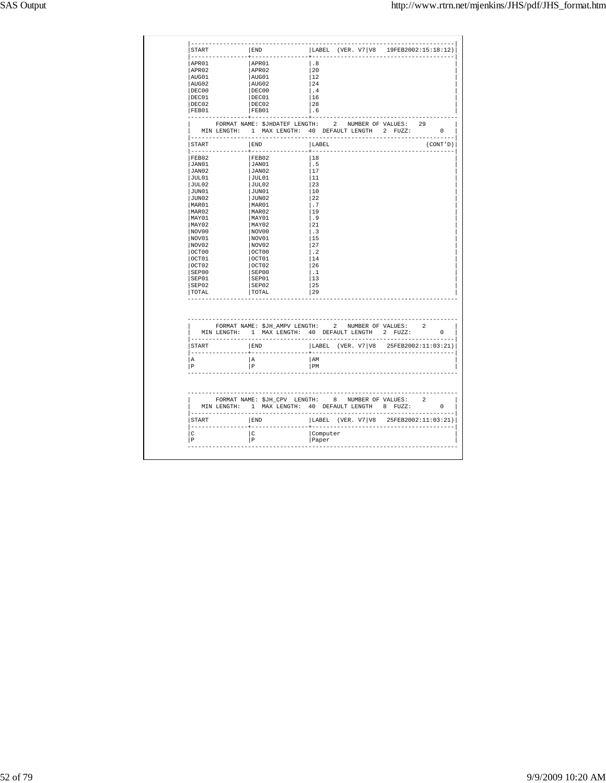|                | END                                                                                                       |                  |                  |               | LABEL (VER. V7 V8 19FEB2002:15:18:12) |           |
|----------------|-----------------------------------------------------------------------------------------------------------|------------------|------------------|---------------|---------------------------------------|-----------|
|                | ---------------                                                                                           | +--------------- | + - - - - - -    |               |                                       |           |
| APR01          | APR01                                                                                                     |                  | .8               |               |                                       |           |
| APR02          | APR02                                                                                                     |                  | 120              |               |                                       |           |
| AUG01          | AUG01                                                                                                     |                  | 12               |               |                                       |           |
| AUG02          | $\lambda$ ug02                                                                                            |                  | 124              |               |                                       |           |
| DEC00          | DEC00                                                                                                     |                  | $\vert .4$       |               |                                       |           |
| DEC01          | DEC01                                                                                                     |                  | 16               |               |                                       |           |
| DEC02          | DEC02                                                                                                     |                  | 28               |               |                                       |           |
| FEB01          | FEB01                                                                                                     |                  | $\vert .6$       |               |                                       |           |
|                | FORMAT NAME: \$JHDATEF LENGTH: 2 NUMBER OF VALUES:                                                        |                  |                  |               |                                       | 29        |
|                | MIN LENGTH: 1 MAX LENGTH: 40 DEFAULT LENGTH 2 FUZZ:                                                       |                  |                  |               |                                       |           |
| <b>START</b>   | <b>END</b>                                                                                                |                  | LABEL            |               |                                       | (CONT' D) |
|                |                                                                                                           |                  |                  |               |                                       |           |
| FEB02          | FEB02                                                                                                     |                  | 18               |               |                                       |           |
| JAN01          | JAN01                                                                                                     |                  | $\overline{1.5}$ |               |                                       |           |
| JAN02          | JAN02                                                                                                     |                  | 117              |               |                                       |           |
| JUL01          | JUL01                                                                                                     |                  | 11               |               |                                       |           |
| JUL02          | JUL02                                                                                                     |                  | 23               |               |                                       |           |
|                |                                                                                                           |                  |                  |               |                                       |           |
| JUN01          | JUN01                                                                                                     |                  | 10               |               |                                       |           |
| JUN02          | JUN02                                                                                                     |                  | 122              |               |                                       |           |
| MAR01          | MAR01                                                                                                     |                  | $\vert$ .7       |               |                                       |           |
| MAR02          | MAR02                                                                                                     |                  | 19               |               |                                       |           |
| MAY01          | MAY01                                                                                                     |                  | و. ا             |               |                                       |           |
| MAY02          | MAY02                                                                                                     |                  | 21               |               |                                       |           |
| NOV00          | NOV00                                                                                                     |                  | $\vert .3$       |               |                                       |           |
|                |                                                                                                           |                  |                  |               |                                       |           |
| NOV01          | NOV01                                                                                                     |                  | 15               |               |                                       |           |
| NOV02          | NOV <sub>02</sub>                                                                                         |                  | 27               |               |                                       |           |
| OCT00          | OCT00                                                                                                     |                  | $\vert$ .2       |               |                                       |           |
| OCT01          | OCT01                                                                                                     |                  | 14               |               |                                       |           |
| OCT02          | OCT <sub>02</sub>                                                                                         |                  | 26               |               |                                       |           |
| SEP00          | SEP00                                                                                                     |                  | $\vert .1$       |               |                                       |           |
| SEP01          | SEP01                                                                                                     |                  | 13               |               |                                       |           |
|                |                                                                                                           |                  |                  |               |                                       |           |
| SEP02          | SEP02                                                                                                     |                  | 25               |               |                                       |           |
| TOTAL          | TOTAL                                                                                                     |                  | 29               |               |                                       |           |
| -------------- | FORMAT NAME: \$JH_AMPV LENGTH: 2 NUMBER OF VALUES:<br>MIN LENGTH: 1 MAX LENGTH: 40 DEFAULT LENGTH 2 FUZZ: |                  |                  |               |                                       | 2         |
| START          | <b>END</b><br>-----------+----                                                                            |                  | LABEL            | (VER. $V7 V8$ | 25FEB2002:11:03:21)                   |           |
| $= - -$        |                                                                                                           |                  |                  |               |                                       |           |
| $\mathbb{A}$   | A<br> P                                                                                                   |                  | AM               |               |                                       |           |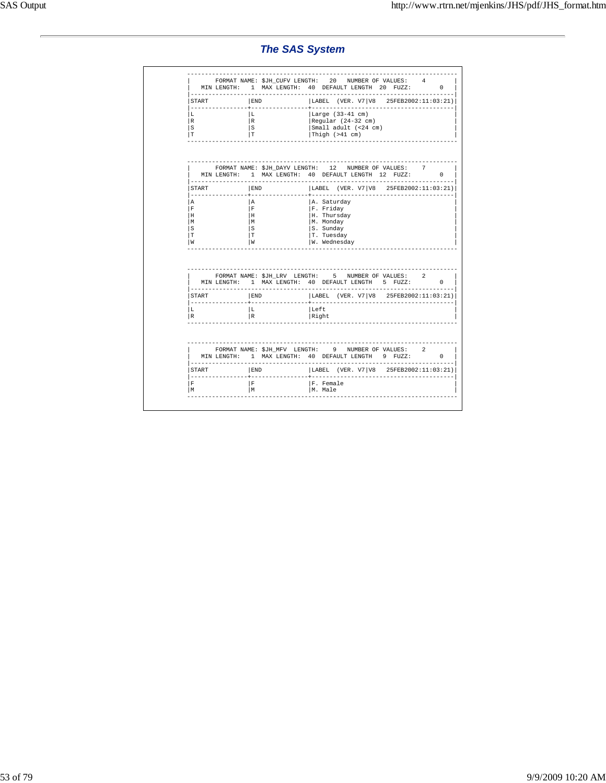|                                           |                                              |            | FORMAT NAME: \$JH_CUFV LENGTH: 20 NUMBER OF VALUES:<br>4<br>MIN LENGTH: 1 MAX LENGTH: 40 DEFAULT LENGTH 20 FUZZ:<br>$\Omega$ |
|-------------------------------------------|----------------------------------------------|------------|------------------------------------------------------------------------------------------------------------------------------|
| START                                     | ------------------                           | END        | LABEL (VER. V7 V8<br>25FEB2002:11:03:21)                                                                                     |
| т.<br>R<br>S<br>ΙT                        | l L<br>IR.<br>l s<br>lΤ                      |            | Large (33-41 cm)<br>Regular (24-32 cm)<br>Small adult (<24 cm)<br>Thigh $( > 41 cm)$                                         |
|                                           |                                              |            |                                                                                                                              |
|                                           |                                              |            | FORMAT NAME: \$JH_DAYV LENGTH: 12 NUMBER OF VALUES:<br>7<br>MIN LENGTH: 1 MAX LENGTH: 40 DEFAULT LENGTH 12 FUZZ:<br>$\cap$   |
| START                                     | --------------                               | END        | LABEL (VER. V7   V8 25FEB2002:11:03:21)                                                                                      |
| Α<br>$\mathbf F$<br>H<br>М<br>S<br>т<br>W | l A<br>l F<br>l H<br>l M<br>l s<br>١T<br>l W |            | A. Saturday<br>F. Friday<br>H. Thursday<br>M. Monday<br>S. Sunday<br>T. Tuesday<br>W. Wednesday                              |
|                                           |                                              |            |                                                                                                                              |
|                                           |                                              |            | FORMAT NAME: \$JH_LRV LENGTH: 5 NUMBER OF VALUES:<br>2<br>MIN LENGTH: 1 MAX LENGTH: 40 DEFAULT LENGTH<br>5 FUZZ:             |
| START                                     |                                              | END        | LABEL (VER. V7   V8 25FEB2002:11:03:21)                                                                                      |
| L<br>R                                    | IL.                                          | R          | Left<br>Right                                                                                                                |
|                                           |                                              |            |                                                                                                                              |
|                                           |                                              |            | FORMAT NAME: \$JH_MFV LENGTH: 9 NUMBER OF VALUES:<br>2<br>MIN LENGTH: 1 MAX LENGTH: 40 DEFAULT LENGTH 9 FUZZ:                |
| START                                     | ----------------                             | <b>END</b> | LABEL (VER. V7   V8 25FEB2002:11:03:21)                                                                                      |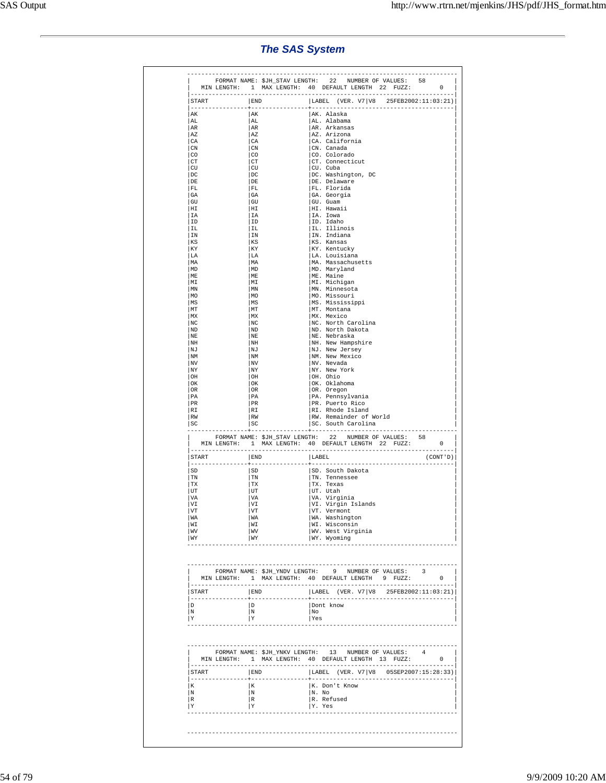| <b>START</b>         | END                                       | LABEL (VER. V7   V8 25FEB2002:11:03:21)                                                                       |
|----------------------|-------------------------------------------|---------------------------------------------------------------------------------------------------------------|
| AК                   | ----------------<br>  AK                  | +-----------------+-----------------<br>AK. Alaska                                                            |
| AL                   | AL                                        | AL. Alabama                                                                                                   |
| AR                   | AR                                        | AR. Arkansas                                                                                                  |
| ΑZ                   | AZ                                        | AZ. Arizona                                                                                                   |
| CA                   | CA                                        | CA. California                                                                                                |
| CN                   | $ $ CN                                    | CN. Canada                                                                                                    |
| CO                   | $ $ CO                                    | CO. Colorado                                                                                                  |
| CT                   | CT                                        | CT. Connecticut                                                                                               |
| CU                   | CU<br>  DC                                | CU. Cuba<br>DC. Washington, DC                                                                                |
| DC<br>DE             | DE                                        | DE. Delaware                                                                                                  |
| FL                   | FL                                        | FL. Florida                                                                                                   |
| GA                   | GA                                        | GA. Georgia                                                                                                   |
| GU                   | GU                                        | GU. Guam                                                                                                      |
| HΙ                   | HI                                        | HI. Hawaii                                                                                                    |
| ΙA                   | IA                                        | IA. Iowa                                                                                                      |
| ID                   | ID                                        | ID. Idaho                                                                                                     |
| ΙL                   | IL                                        | IL. Illinois<br>IN. Indiana                                                                                   |
| ΙN<br>ΚS             | IN<br>  KS                                | KS. Kansas                                                                                                    |
| KY                   | KY                                        | KY. Kentucky                                                                                                  |
| LA                   | LA                                        | LA. Louisiana                                                                                                 |
| MA                   | MA                                        | MA. Massachusetts                                                                                             |
| MD                   | MD                                        | MD. Maryland                                                                                                  |
| ME                   | ME                                        | ME. Maine                                                                                                     |
| MΙ                   | MI                                        | MI. Michigan                                                                                                  |
| MN                   | MN                                        | MN. Minnesota                                                                                                 |
| MO                   | MO                                        | MO. Missouri                                                                                                  |
| MS                   | MS                                        | MS. Mississippi                                                                                               |
| MT                   | MT                                        | MT. Montana                                                                                                   |
| МX<br>NC             | MX<br>  NC                                | MX. Mexico<br>NC. North Carolina                                                                              |
| ND                   | ND                                        | ND. North Dakota                                                                                              |
| NE                   | NE                                        | NE. Nebraska                                                                                                  |
| ΝH                   | NH                                        | NH. New Hampshire                                                                                             |
| NJ                   | NJ                                        | NJ. New Jersey                                                                                                |
| NM                   | NM                                        | NM. New Mexico                                                                                                |
| NV                   | NV                                        | NV. Nevada                                                                                                    |
| ΝY                   | NY                                        | NY. New York                                                                                                  |
| OH                   | OH                                        | OH. Ohio                                                                                                      |
| OК                   | OK                                        | OK. Oklahoma                                                                                                  |
| OR.                  | OR<br> PA                                 | OR. Oregon                                                                                                    |
| PA<br>PR.            | PR                                        | PA. Pennsylvania<br>PR. Puerto Rico                                                                           |
| RI                   | IRI                                       | RI. Rhode Island                                                                                              |
| RW                   | RW                                        | RW. Remainder of World                                                                                        |
| SC                   | sc                                        | SC. South Carolina                                                                                            |
|                      | FORMAT NAME: \$JH_STAV LENGTH:<br>$ $ END | 22 NUMBER OF VALUES:<br>58<br>MIN LENGTH: 1 MAX LENGTH: 40 DEFAULT LENGTH 22 FUZZ:<br>(CONT'D)<br>  LABEL     |
| START                |                                           |                                                                                                               |
|                      | ---------------                           |                                                                                                               |
| SD                   | SD                                        | SD. South Dakota                                                                                              |
| TN                   | TM                                        | TN. Tennessee                                                                                                 |
| ТX                   | TX                                        | TX. Texas                                                                                                     |
| UT                   | UT                                        | UT. Utah                                                                                                      |
| VA                   | VA                                        | VA. Virginia                                                                                                  |
|                      | VI                                        | VI. Virgin Islands                                                                                            |
| VT<br>WA             | VT<br>WA                                  | VT. Vermont<br>WA. Washington                                                                                 |
| WI                   | WI                                        | WI. Wisconsin                                                                                                 |
| WV                   | WV                                        | WV. West Virginia                                                                                             |
|                      | MX                                        | WY. Wyoming                                                                                                   |
|                      |                                           | FORMAT NAME: \$JH_YNDV LENGTH: 9 NUMBER OF VALUES:<br>MIN LENGTH: 1 MAX LENGTH: 40 DEFAULT LENGTH 9 FUZZ:     |
| <b>START</b>         | $ $ END                                   | .<br>LABEL (VER. V7 V8                                                                                        |
|                      |                                           |                                                                                                               |
|                      | D                                         | Dont know                                                                                                     |
| VI<br>WY<br>D<br>  N | N                                         | No                                                                                                            |
| ΙY.                  | Y                                         | Yes                                                                                                           |
|                      |                                           | FORMAT NAME: \$JH_YNKV LENGTH: 13 NUMBER OF VALUES:<br>MIN LENGTH: 1 MAX LENGTH: 40 DEFAULT LENGTH 13 FUZZ:   |
| <b>START</b>         | $ $ END<br>---------<br>$+ -$             | $ LABEL$ (VER. V7   V8<br>-----------+-------------------------                                               |
| K                    | K                                         | K. Don't Know                                                                                                 |
| N                    | N                                         | $\overline{\mathbf{3}}$<br>25FEB2002:11:03:21)<br>$\overline{4}$<br>05SEP2007:15:28:33)<br> N. N <sub>O</sub> |
| R<br>ΙY              | R<br> Y                                   | R. Refused<br>Y. Yes                                                                                          |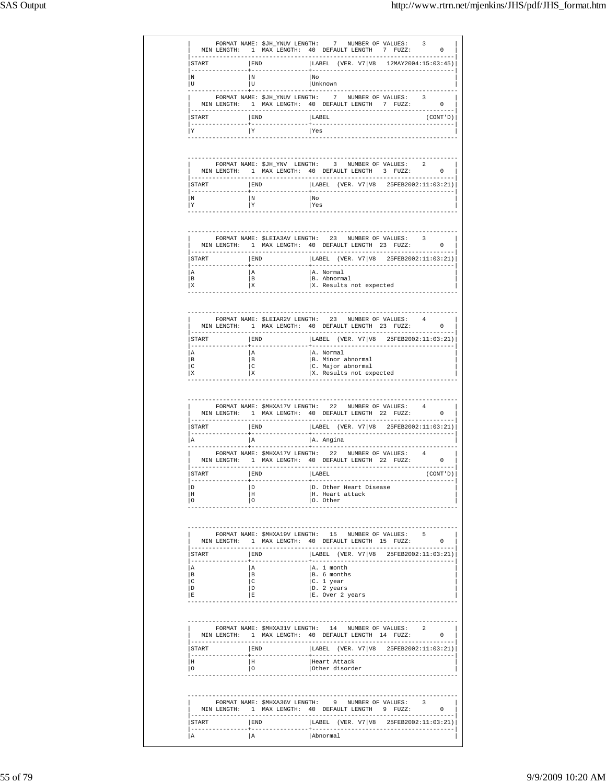| START<br>N<br>U<br>START<br>$---$<br>ΙY |                                                                                                             |                           | .                                    |                                           |          |                 |                                                                    | MIN LENGTH: 1 MAX LENGTH: 40 DEFAULT LENGTH 7 FUZZ: |                         |                     |
|-----------------------------------------|-------------------------------------------------------------------------------------------------------------|---------------------------|--------------------------------------|-------------------------------------------|----------|-----------------|--------------------------------------------------------------------|-----------------------------------------------------|-------------------------|---------------------|
|                                         |                                                                                                             | $ $ END                   |                                      |                                           |          |                 | LABEL (VER. V7 V8<br>.                                             | $12$ MAY2004:15:03:45)                              |                         |                     |
|                                         | ----+-----                                                                                                  | N<br>U                    |                                      | No<br>Unknown                             |          |                 | ----+----------------------------                                  |                                                     |                         |                     |
|                                         | FORMAT NAME: \$JH_YNUV LENGTH: 7 NUMBER OF VALUES: 3<br>MIN LENGTH: 1 MAX LENGTH: 40 DEFAULT LENGTH 7 FUZZ: | .                         | . <u>.</u> .                         |                                           |          |                 |                                                                    |                                                     |                         |                     |
|                                         |                                                                                                             | END<br>$- + - -$          |                                      | LABEL                                     |          |                 |                                                                    |                                                     |                         | (CONT'D)            |
|                                         |                                                                                                             | Y                         |                                      | Yes                                       |          |                 |                                                                    |                                                     |                         |                     |
|                                         | FORMAT NAME: \$JH_YNV LENGTH: 3 NUMBER OF VALUES:                                                           |                           |                                      |                                           |          |                 |                                                                    |                                                     | 2                       |                     |
| START                                   | MIN LENGTH: 1 MAX LENGTH: 40 DEFAULT LENGTH 3 FUZZ:                                                         | $ $ END                   |                                      |                                           |          |                 |                                                                    | ----------                                          |                         | $\Omega$            |
| ---------<br>N                          |                                                                                                             | $+ - - - -$<br>N          |                                      | No                                        |          |                 | LABEL (VER. V7   V8 25FEB2002:11:03:21)                            |                                                     |                         |                     |
| Y                                       |                                                                                                             | Y                         |                                      | Yes                                       |          |                 |                                                                    |                                                     |                         |                     |
|                                         |                                                                                                             |                           |                                      |                                           |          |                 |                                                                    |                                                     |                         |                     |
|                                         | FORMAT NAME: \$LEIA3AV LENGTH: 23 NUMBER OF VALUES:<br>MIN LENGTH: 1 MAX LENGTH: 40 DEFAULT LENGTH 23 FUZZ: |                           |                                      |                                           |          |                 |                                                                    |                                                     | $\overline{\mathbf{3}}$ |                     |
| START                                   |                                                                                                             | END                       |                                      |                                           |          |                 | LABEL (VER. V7   V8 25FEB2002:11:03:21)                            |                                                     |                         |                     |
| Α                                       |                                                                                                             | A                         |                                      | A. Normal                                 |          |                 |                                                                    |                                                     |                         |                     |
| $\vert$ B<br> x                         |                                                                                                             | B <br>$\mathbf{X}$        |                                      | B. Abnormal                               |          |                 | X. Results not expected                                            |                                                     |                         |                     |
|                                         |                                                                                                             |                           |                                      |                                           |          |                 |                                                                    |                                                     |                         |                     |
|                                         | FORMAT NAME: \$LEIAR2V LENGTH: 23 NUMBER OF VALUES:                                                         |                           |                                      |                                           |          |                 |                                                                    |                                                     | 4                       |                     |
|                                         | MIN LENGTH: 1 MAX LENGTH: 40 DEFAULT LENGTH 23 FUZZ:                                                        |                           |                                      |                                           |          |                 |                                                                    |                                                     |                         | $\Omega$            |
| START                                   | ----------------+-----                                                                                      | $ $ END                   | -----------+------------------------ |                                           |          |                 | LABEL (VER. V7   V8 25FEB2002:11:03:21)                            |                                                     |                         |                     |
| Α                                       |                                                                                                             | A<br>$\overline{B}$       |                                      | A. Normal                                 |          |                 |                                                                    |                                                     |                         |                     |
| B<br>l C                                |                                                                                                             | c <br> x                  |                                      |                                           |          |                 | B. Minor abnormal<br>C. Major abnormal<br> X. Results not expected |                                                     |                         |                     |
|                                         |                                                                                                             |                           |                                      |                                           |          |                 |                                                                    |                                                     |                         |                     |
|                                         | FORMAT NAME: \$MHXA17V LENGTH: 22 NUMBER OF VALUES:<br>MIN LENGTH: 1 MAX LENGTH: 40 DEFAULT LENGTH 22 FUZZ: |                           |                                      |                                           |          |                 |                                                                    |                                                     |                         | 0                   |
| -----------<br>START                    |                                                                                                             | $- - -$<br><b>END</b>     |                                      |                                           |          |                 | LABEL (VER. V7   V8 25FEB2002:11:03:21)                            |                                                     |                         |                     |
|                                         |                                                                                                             | A                         |                                      | A. Angina                                 | -------- |                 |                                                                    |                                                     |                         |                     |
|                                         | FORMAT NAME: \$MHXA17V LENGTH: 22 NUMBER OF VALUES:<br>MIN LENGTH: 1 MAX LENGTH: 40 DEFAULT LENGTH 22 FUZZ: |                           | --------+--                          |                                           |          |                 |                                                                    |                                                     |                         | $\overline{0}$      |
| <b>START</b>                            |                                                                                                             | <b>END</b>                |                                      | LABEL                                     |          |                 |                                                                    |                                                     |                         | $($ CONT $^,$ D $)$ |
| D<br>$\, {\rm H}$                       |                                                                                                             | I D<br>Iн                 |                                      |                                           |          | H. Heart attack | D. Other Heart Disease                                             |                                                     |                         |                     |
| $ 0\rangle$                             |                                                                                                             | $ 0\rangle$               |                                      | 0. Other                                  |          |                 |                                                                    |                                                     |                         |                     |
|                                         | FORMAT NAME: \$MHXA19V LENGTH: 15 NUMBER OF VALUES:<br>MIN LENGTH: 1 MAX LENGTH: 40 DEFAULT LENGTH 15 FUZZ: |                           | -----------------                    |                                           |          |                 |                                                                    |                                                     | 5                       |                     |
| START                                   |                                                                                                             | END                       |                                      |                                           |          |                 | LABEL (VER. V7   V8 25FEB2002:11:03:21)                            |                                                     |                         |                     |
| Α                                       |                                                                                                             | A                         |                                      | A. 1 month                                |          |                 |                                                                    |                                                     |                         | $\overline{0}$      |
| В<br> c<br> D                           |                                                                                                             | B <br> c <br>$\mathsf{D}$ |                                      | B. 6 months<br>$ C. 1$ year<br>D. 2 years |          |                 |                                                                    |                                                     |                         |                     |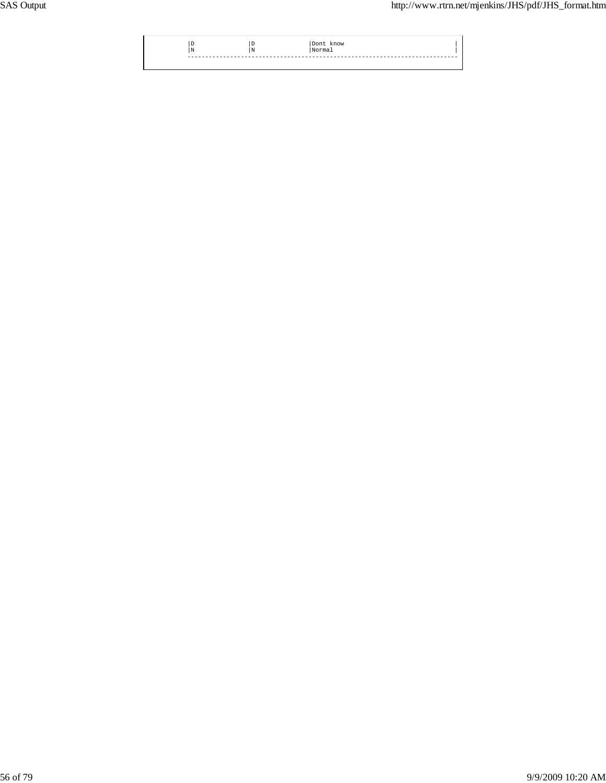|         |                 | Dont know |  |
|---------|-----------------|-----------|--|
| <br>-43 | <b>IV</b><br>-- | Normal    |  |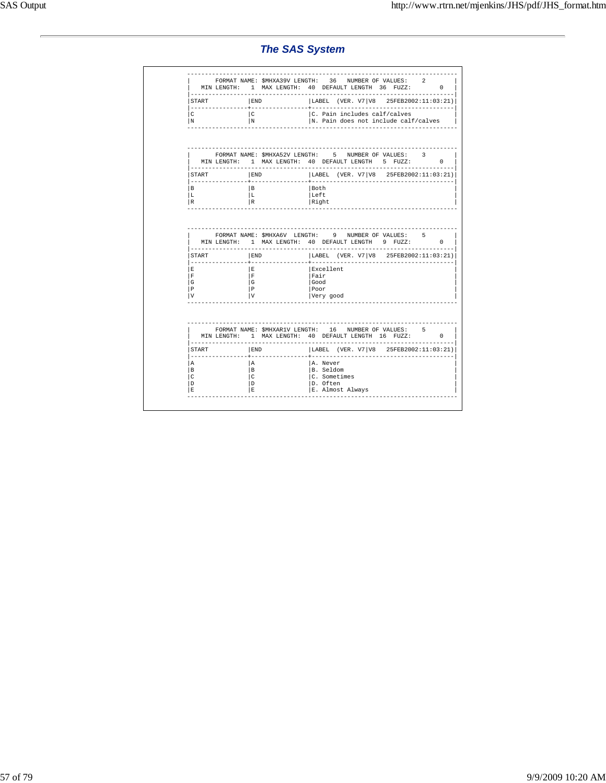|              |                 | --------------------------------                 | FORMAT NAME: \$MHXA39V LENGTH: 36 NUMBER OF VALUES:<br>MIN LENGTH: 1 MAX LENGTH: 40 DEFAULT LENGTH 36 FUZZ: | 2                   | $\Omega$ |
|--------------|-----------------|--------------------------------------------------|-------------------------------------------------------------------------------------------------------------|---------------------|----------|
| <b>START</b> |                 | END<br>- + - - - - -                             | LABEL (VER. V7 V8<br>-----------------                                                                      | 25FEB2002:11:03:21) |          |
| C<br>l N     | l c<br>  N      |                                                  | C. Pain includes calf/calves<br>N. Pain does not include calf/calves                                        |                     |          |
|              |                 |                                                  |                                                                                                             |                     |          |
|              |                 |                                                  | FORMAT NAME: \$MHXA52V LENGTH: 5 NUMBER OF VALUES:<br>MIN LENGTH: 1 MAX LENGTH: 40 DEFAULT LENGTH 5 FUZZ:   | $\mathbf{3}$        | $\Omega$ |
| START        | --------------- | <b>END</b><br><b>Address - - - - - - - - -</b> - | $ LABEL$ (VER. V7 V8 25FEB2002:11:03:21)<br>-+-------------------------                                     |                     |          |
| B<br>L       | l B<br>lL.      |                                                  | Both<br>lLeft                                                                                               |                     |          |
| l R          | R               |                                                  | Right                                                                                                       |                     |          |
|              |                 | FORMAT NAME: \$MHXA6V LENGTH:                    | 9 NUMBER OF VALUES:<br>MIN LENGTH: 1 MAX LENGTH: 40 DEFAULT LENGTH 9 FUZZ:                                  | - 5                 |          |
| <b>START</b> |                 | END<br>$- + - - - - -$                           | LABEL (VER. V7   V8 25FEB2002:11:03:21)<br>-----------+------------------------                             |                     |          |
| F.           | lΕ.             |                                                  | Excellent                                                                                                   |                     | $\Omega$ |
| F            | l F             |                                                  | Fair                                                                                                        |                     |          |
| G<br>P       | l G<br>l P      |                                                  | Good<br>Poor                                                                                                |                     |          |
| l V          | l V             |                                                  | Very good                                                                                                   |                     |          |
|              |                 | MIN LENGTH: 1 MAX LENGTH:                        | FORMAT NAME: \$MHXAR1V LENGTH: 16 NUMBER OF VALUES:<br>40 DEFAULT LENGTH 16 FUZZ:                           | - 5                 |          |
| START        |                 | <b>END</b>                                       | LABEL (VER. V7   V8 25FEB2002:11:03:21)                                                                     |                     |          |
| Α            | l A             |                                                  | A. Never                                                                                                    |                     |          |
| B            | lв.             |                                                  | B. Seldom                                                                                                   |                     |          |
| C<br>D       | l C<br>l D      |                                                  | IC. Sometimes<br>D. Often                                                                                   |                     |          |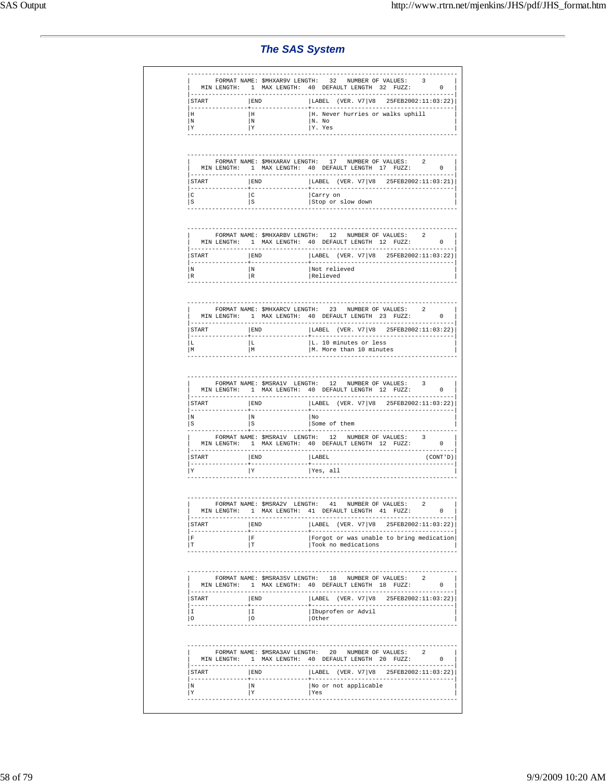| START<br>$ $ END<br>LABEL (VER. V7 V8<br>--------------<br>H. Never hurries or walks uphill<br>Н<br> H<br> N. N <sub>O</sub><br>N<br>  N<br>Y.<br>Y. Yes<br> Y <br>----------------<br>FORMAT NAME: \$MHXARAV LENGTH: 17 NUMBER OF VALUES:<br>$\overline{2}$<br>MIN LENGTH: 1 MAX LENGTH: 40 DEFAULT LENGTH 17 FUZZ:<br>0<br>LABEL (VER. V7 V8<br><b>START</b><br>END<br>.<br>-------<br> c <br>$\mathbf C$<br>Carry on<br>l S<br> S <br>Stop or slow down<br>FORMAT NAME: \$MHXARBV LENGTH: 12 NUMBER OF VALUES: 2<br>MIN LENGTH: 1 MAX LENGTH: 40 DEFAULT LENGTH 12 FUZZ:<br> LABEL (VER. V7   V8 25FEB2002:11:03:22)<br>START<br>END<br>$\mathbb{N}$<br>Not relieved<br>N<br>Relieved<br> R<br> R<br>----------------------------------<br>FORMAT NAME: \$MHXARCV LENGTH: 23 NUMBER OF VALUES:<br>$\overline{2}$<br>MIN LENGTH: 1 MAX LENGTH: 40 DEFAULT LENGTH 23 FUZZ:<br>$- - - - - -$<br> LABEL (VER. V7   V8 25FEB2002:11:03:22)<br>START<br>END<br>-----------<br>İΙ<br>L<br>L. 10 minutes or less<br>M<br>M. More than 10 minutes<br>M<br>.<br>.<br>FORMAT NAME: \$MSRA1V LENGTH: 12 NUMBER OF VALUES: 3<br>MIN LENGTH: 1 MAX LENGTH: 40 DEFAULT LENGTH 12 FUZZ:<br>-------------<br>START<br>END<br>LABEL<br>(VER. V7 V8)<br>-----------+-----<br>-----------+<br>$\lfloor N \rfloor$<br>N<br>  No<br>l s<br> S <br>Some of them<br>$- + - -$<br>-----+-------------<br>FORMAT NAME: \$MSRA1V LENGTH: 12 NUMBER OF VALUES:<br>3<br>MIN LENGTH: 1 MAX LENGTH: 40 DEFAULT LENGTH 12 FUZZ:<br>0<br>START<br>END<br>LABEL<br> Y <br>ΙY.<br>Yes, all<br>----------------<br>-----------------------<br>FORMAT NAME: \$MSRA2V LENGTH: 41 NUMBER OF VALUES: 2<br>1 MAX LENGTH: 41 DEFAULT LENGTH 41 FUZZ:<br>MIN LENGTH:<br>LABEL (VER. V7 V8<br>START<br>$ $ END<br>--------<br>--------<br>F<br>ΙF<br>IΤ<br> T <br>Took no medications<br>FORMAT NAME: \$MSRA35V LENGTH: 18 NUMBER OF VALUES:<br>MIN LENGTH: 1 MAX LENGTH: 40 DEFAULT LENGTH 18 FUZZ:<br>LABEL (VER. V7 V8<br>START<br>  END<br>----------+-------------------<br>$- + - - -$<br>$\mathbbm{1}$<br> I <br>Ibuprofen or Advil<br>  O<br>$ 0\rangle$ | FORMAT NAME: \$MHXAR9V LENGTH: 32 NUMBER OF VALUES: |                  | MIN LENGTH: 1 MAX LENGTH: 40 DEFAULT LENGTH 32 FUZZ:<br>$\Omega$ |
|-------------------------------------------------------------------------------------------------------------------------------------------------------------------------------------------------------------------------------------------------------------------------------------------------------------------------------------------------------------------------------------------------------------------------------------------------------------------------------------------------------------------------------------------------------------------------------------------------------------------------------------------------------------------------------------------------------------------------------------------------------------------------------------------------------------------------------------------------------------------------------------------------------------------------------------------------------------------------------------------------------------------------------------------------------------------------------------------------------------------------------------------------------------------------------------------------------------------------------------------------------------------------------------------------------------------------------------------------------------------------------------------------------------------------------------------------------------------------------------------------------------------------------------------------------------------------------------------------------------------------------------------------------------------------------------------------------------------------------------------------------------------------------------------------------------------------------------------------------------------------------------------------------------------------------------------------------------------------------------------------------------------------------------------------------------------------------------------------------------------------|-----------------------------------------------------|------------------|------------------------------------------------------------------|
|                                                                                                                                                                                                                                                                                                                                                                                                                                                                                                                                                                                                                                                                                                                                                                                                                                                                                                                                                                                                                                                                                                                                                                                                                                                                                                                                                                                                                                                                                                                                                                                                                                                                                                                                                                                                                                                                                                                                                                                                                                                                                                                         |                                                     |                  | 25FEB2002:11:03:22)                                              |
|                                                                                                                                                                                                                                                                                                                                                                                                                                                                                                                                                                                                                                                                                                                                                                                                                                                                                                                                                                                                                                                                                                                                                                                                                                                                                                                                                                                                                                                                                                                                                                                                                                                                                                                                                                                                                                                                                                                                                                                                                                                                                                                         |                                                     |                  |                                                                  |
|                                                                                                                                                                                                                                                                                                                                                                                                                                                                                                                                                                                                                                                                                                                                                                                                                                                                                                                                                                                                                                                                                                                                                                                                                                                                                                                                                                                                                                                                                                                                                                                                                                                                                                                                                                                                                                                                                                                                                                                                                                                                                                                         |                                                     |                  | 25FEB2002:11:03:21)<br>0                                         |
|                                                                                                                                                                                                                                                                                                                                                                                                                                                                                                                                                                                                                                                                                                                                                                                                                                                                                                                                                                                                                                                                                                                                                                                                                                                                                                                                                                                                                                                                                                                                                                                                                                                                                                                                                                                                                                                                                                                                                                                                                                                                                                                         |                                                     |                  |                                                                  |
|                                                                                                                                                                                                                                                                                                                                                                                                                                                                                                                                                                                                                                                                                                                                                                                                                                                                                                                                                                                                                                                                                                                                                                                                                                                                                                                                                                                                                                                                                                                                                                                                                                                                                                                                                                                                                                                                                                                                                                                                                                                                                                                         |                                                     |                  |                                                                  |
|                                                                                                                                                                                                                                                                                                                                                                                                                                                                                                                                                                                                                                                                                                                                                                                                                                                                                                                                                                                                                                                                                                                                                                                                                                                                                                                                                                                                                                                                                                                                                                                                                                                                                                                                                                                                                                                                                                                                                                                                                                                                                                                         |                                                     |                  | $\overline{0}$                                                   |
|                                                                                                                                                                                                                                                                                                                                                                                                                                                                                                                                                                                                                                                                                                                                                                                                                                                                                                                                                                                                                                                                                                                                                                                                                                                                                                                                                                                                                                                                                                                                                                                                                                                                                                                                                                                                                                                                                                                                                                                                                                                                                                                         |                                                     |                  | 25FEB2002:11:03:22)                                              |
|                                                                                                                                                                                                                                                                                                                                                                                                                                                                                                                                                                                                                                                                                                                                                                                                                                                                                                                                                                                                                                                                                                                                                                                                                                                                                                                                                                                                                                                                                                                                                                                                                                                                                                                                                                                                                                                                                                                                                                                                                                                                                                                         |                                                     |                  |                                                                  |
|                                                                                                                                                                                                                                                                                                                                                                                                                                                                                                                                                                                                                                                                                                                                                                                                                                                                                                                                                                                                                                                                                                                                                                                                                                                                                                                                                                                                                                                                                                                                                                                                                                                                                                                                                                                                                                                                                                                                                                                                                                                                                                                         |                                                     |                  |                                                                  |
|                                                                                                                                                                                                                                                                                                                                                                                                                                                                                                                                                                                                                                                                                                                                                                                                                                                                                                                                                                                                                                                                                                                                                                                                                                                                                                                                                                                                                                                                                                                                                                                                                                                                                                                                                                                                                                                                                                                                                                                                                                                                                                                         |                                                     |                  | (CONT'D)                                                         |
|                                                                                                                                                                                                                                                                                                                                                                                                                                                                                                                                                                                                                                                                                                                                                                                                                                                                                                                                                                                                                                                                                                                                                                                                                                                                                                                                                                                                                                                                                                                                                                                                                                                                                                                                                                                                                                                                                                                                                                                                                                                                                                                         |                                                     |                  |                                                                  |
|                                                                                                                                                                                                                                                                                                                                                                                                                                                                                                                                                                                                                                                                                                                                                                                                                                                                                                                                                                                                                                                                                                                                                                                                                                                                                                                                                                                                                                                                                                                                                                                                                                                                                                                                                                                                                                                                                                                                                                                                                                                                                                                         |                                                     |                  | --------                                                         |
|                                                                                                                                                                                                                                                                                                                                                                                                                                                                                                                                                                                                                                                                                                                                                                                                                                                                                                                                                                                                                                                                                                                                                                                                                                                                                                                                                                                                                                                                                                                                                                                                                                                                                                                                                                                                                                                                                                                                                                                                                                                                                                                         |                                                     |                  |                                                                  |
|                                                                                                                                                                                                                                                                                                                                                                                                                                                                                                                                                                                                                                                                                                                                                                                                                                                                                                                                                                                                                                                                                                                                                                                                                                                                                                                                                                                                                                                                                                                                                                                                                                                                                                                                                                                                                                                                                                                                                                                                                                                                                                                         |                                                     |                  | 25FEB2002:11:03:22)<br>Forgot or was unable to bring medication  |
|                                                                                                                                                                                                                                                                                                                                                                                                                                                                                                                                                                                                                                                                                                                                                                                                                                                                                                                                                                                                                                                                                                                                                                                                                                                                                                                                                                                                                                                                                                                                                                                                                                                                                                                                                                                                                                                                                                                                                                                                                                                                                                                         |                                                     |                  |                                                                  |
|                                                                                                                                                                                                                                                                                                                                                                                                                                                                                                                                                                                                                                                                                                                                                                                                                                                                                                                                                                                                                                                                                                                                                                                                                                                                                                                                                                                                                                                                                                                                                                                                                                                                                                                                                                                                                                                                                                                                                                                                                                                                                                                         |                                                     |                  | $\circ$<br>25FEB2002:11:03:22)                                   |
|                                                                                                                                                                                                                                                                                                                                                                                                                                                                                                                                                                                                                                                                                                                                                                                                                                                                                                                                                                                                                                                                                                                                                                                                                                                                                                                                                                                                                                                                                                                                                                                                                                                                                                                                                                                                                                                                                                                                                                                                                                                                                                                         |                                                     |                  | Other                                                            |
| FORMAT NAME: \$MSRA3AV LENGTH: 20 NUMBER OF VALUES:<br>MIN LENGTH: 1 MAX LENGTH: 40 DEFAULT LENGTH 20 FUZZ:                                                                                                                                                                                                                                                                                                                                                                                                                                                                                                                                                                                                                                                                                                                                                                                                                                                                                                                                                                                                                                                                                                                                                                                                                                                                                                                                                                                                                                                                                                                                                                                                                                                                                                                                                                                                                                                                                                                                                                                                             |                                                     | ---------------- | $\Omega$                                                         |
| START<br>$ $ END<br> LABEL (VER. V7   V8 25 FEB 2002:11:03:22)                                                                                                                                                                                                                                                                                                                                                                                                                                                                                                                                                                                                                                                                                                                                                                                                                                                                                                                                                                                                                                                                                                                                                                                                                                                                                                                                                                                                                                                                                                                                                                                                                                                                                                                                                                                                                                                                                                                                                                                                                                                          |                                                     |                  |                                                                  |
| N<br>$\lfloor N \rfloor$<br>No or not applicable<br>Y.<br> Y <br>Yes                                                                                                                                                                                                                                                                                                                                                                                                                                                                                                                                                                                                                                                                                                                                                                                                                                                                                                                                                                                                                                                                                                                                                                                                                                                                                                                                                                                                                                                                                                                                                                                                                                                                                                                                                                                                                                                                                                                                                                                                                                                    |                                                     |                  |                                                                  |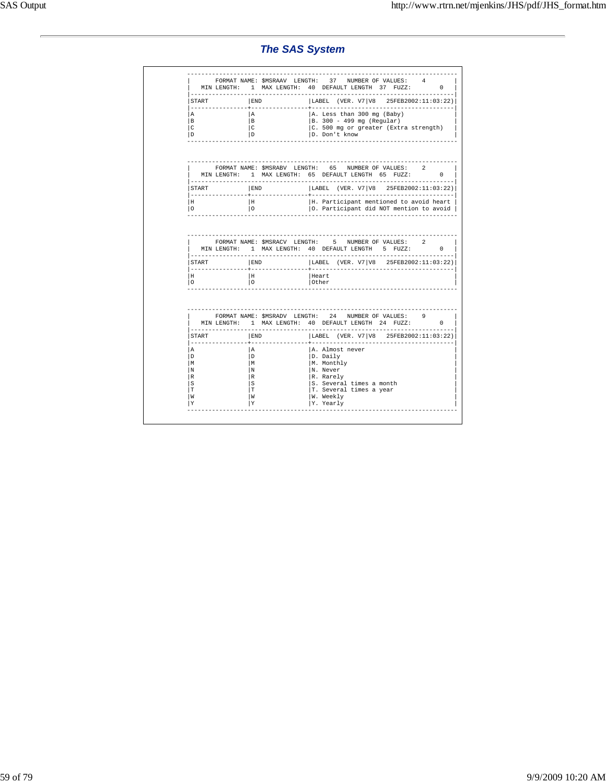|          | ------------------------------------- | FORMAT NAME: \$MSRAAV LENGTH: 37 NUMBER OF VALUES:<br>4<br>MIN LENGTH: 1 MAX LENGTH: 40 DEFAULT LENGTH 37 FUZZ:<br>$\Omega$            |
|----------|---------------------------------------|----------------------------------------------------------------------------------------------------------------------------------------|
| START    | END                                   | LABEL (VER. V7   V8 25FEB2002:11:03:22)<br>--------                                                                                    |
| Α        | l A                                   | A. Less than 300 mg (Baby)                                                                                                             |
| B        | lв.                                   | B. 300 - 499 mg (Regular)                                                                                                              |
| C        | $ c -$                                | C. 500 mg or greater (Extra strength)                                                                                                  |
| l D      | l D                                   | D. Don't know<br>--------                                                                                                              |
|          |                                       | FORMAT NAME: \$MSRABV LENGTH: 65 NUMBER OF VALUES:<br>2<br>MIN LENGTH: 1 MAX LENGTH: 65 DEFAULT LENGTH 65 FUZZ:<br>$\bigcirc$          |
|          |                                       | ----------                                                                                                                             |
| START    | END                                   | LABEL (VER. V7   V8 25FEB2002:11:03:22)<br>-------------------                                                                         |
| $\,$ H   | H                                     | H. Participant mentioned to avoid heart                                                                                                |
| lo –     | $ 0 \rangle$                          | 0. Participant did NOT mention to avoid                                                                                                |
|          |                                       | FORMAT NAME: \$MSRACV LENGTH: 5 NUMBER OF VALUES:<br>$\overline{2}$<br>MIN LENGTH: 1 MAX LENGTH: 40 DEFAULT LENGTH 5 FUZZ:<br>$\Omega$ |
| START    | END                                   | LABEL (VER. V7   V8 25FEB2002:11:03:22)                                                                                                |
| H        | I H                                   | Heart                                                                                                                                  |
| $\circ$  | $ 0 \rangle$                          | Other                                                                                                                                  |
| START    |                                       | FORMAT NAME: \$MSRADV LENGTH: 24 NUMBER OF VALUES:<br>9<br>MIN LENGTH: 1 MAX LENGTH: 40 DEFAULT LENGTH 24 FUZZ:                        |
|          | $ $ END                               | $\Omega$<br> LABEL (VER. V7   V8 25FEB2002:11:03:22)                                                                                   |
| Α        | ΙA                                    | A. Almost never                                                                                                                        |
| D        | l D                                   | D. Daily                                                                                                                               |
| М        | l M<br>١N                             | M. Monthly                                                                                                                             |
| N<br>R   | l R                                   | N. Never<br>R. Rarely                                                                                                                  |
| S        | S                                     | S. Several times a month                                                                                                               |
| T        | ١T                                    | T. Several times a year                                                                                                                |
| W<br>l Y | l W<br>ΙY                             | W. Weekly<br>Y. Yearly                                                                                                                 |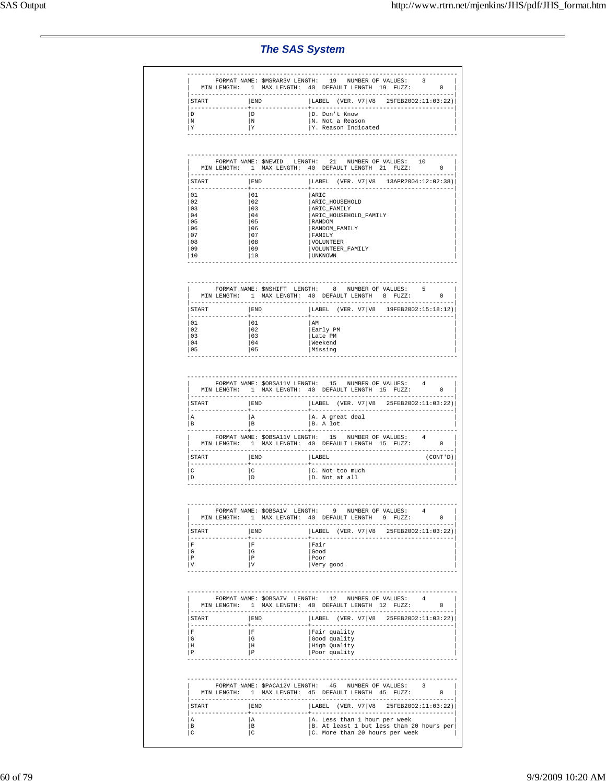|              |                 | MIN LENGTH: 1 MAX LENGTH: 40 DEFAULT LENGTH 19 FUZZ: |                                                                                                                                      |
|--------------|-----------------|------------------------------------------------------|--------------------------------------------------------------------------------------------------------------------------------------|
| START        | --------------- | END                                                  | LABEL (VER. V7   V8 25FEB2002:11:03:22)                                                                                              |
| D            |                 | $\mathsf{D}$                                         | D. Don't Know                                                                                                                        |
| N<br>ΙY      |                 | N<br> Y                                              | N. Not a Reason<br> Y. Reason Indicated                                                                                              |
|              |                 |                                                      |                                                                                                                                      |
|              |                 |                                                      | FORMAT NAME: \$NEWID LENGTH: 21 NUMBER OF VALUES: 10<br>MIN LENGTH: 1 MAX LENGTH: 40 DEFAULT LENGTH 21 FUZZ:<br>0                    |
| START        |                 | END                                                  | -------------------<br>------------<br>LABEL (VER. V7 V8<br>13APR2004:12:02:38)<br>--------                                          |
| 01           |                 | 01                                                   | ARIC                                                                                                                                 |
| 02<br>03     |                 | 02<br>03                                             | ARIC_HOUSEHOLD<br>ARIC_FAMILY                                                                                                        |
| 04           |                 | 04                                                   | ARIC HOUSEHOLD FAMILY                                                                                                                |
| 05<br>06     |                 | 05<br>  06                                           | RANDOM<br>RANDOM FAMILY                                                                                                              |
| 07           |                 | 07                                                   | FAMILY                                                                                                                               |
| 08<br>  0 9  |                 | 08<br>  09                                           | VOLUNTEER<br>VOLUNTEER_FAMILY                                                                                                        |
| $ 10\rangle$ |                 | 10                                                   | UNKNOWN                                                                                                                              |
|              |                 | ----------------------------                         | ------------------                                                                                                                   |
|              |                 |                                                      | FORMAT NAME: \$NSHIFT LENGTH: 8 NUMBER OF VALUES:<br>5<br>MIN LENGTH: 1 MAX LENGTH: 40 DEFAULT LENGTH 8 FUZZ:<br>$^{\circ}$          |
| START        |                 | END                                                  | LABEL (VER. V7 V8 19FEB2002:15:18:12)                                                                                                |
| 01           |                 | 01                                                   | AM                                                                                                                                   |
| 02<br>03     |                 | $ 02\rangle$<br>$ 03\rangle$                         | Early PM<br>Late PM                                                                                                                  |
| 04           |                 | $ 04\rangle$                                         | Weekend                                                                                                                              |
| $ 05\rangle$ |                 | $ 05\rangle$                                         | Missing                                                                                                                              |
|              |                 |                                                      | FORMAT NAME: \$OBSA11V LENGTH: 15 NUMBER OF VALUES:<br>$\overline{4}$                                                                |
|              |                 |                                                      | MIN LENGTH: 1 MAX LENGTH: 40 DEFAULT LENGTH 15 FUZZ:<br>$\mathbf{0}$                                                                 |
| START        |                 | END                                                  | LABEL (VER. V7   V8 25FEB2002:11:03:22)                                                                                              |
| l A<br> B    |                 | A <br> B <br>-------+----------------+---------      | A. A great deal<br>B. A lot                                                                                                          |
|              |                 |                                                      | FORMAT NAME: \$OBSA11V LENGTH: 15 NUMBER OF VALUES:<br>-4<br>MIN LENGTH: 1 MAX LENGTH: 40 DEFAULT LENGTH 15 FUZZ:<br>$\Omega$        |
| START        |                 | END                                                  | LABEL<br>(CONT'D)                                                                                                                    |
| l c          |                 | $+ - - -$<br> c                                      | C. Not too much                                                                                                                      |
| $\mathsf{D}$ |                 | D                                                    | D. Not at all<br>----------------                                                                                                    |
|              |                 |                                                      |                                                                                                                                      |
|              |                 |                                                      |                                                                                                                                      |
|              |                 | FORMAT NAME: SOBSA1V LENGTH:                         | 9 NUMBER OF VALUES:<br>MIN LENGTH: 1 MAX LENGTH: 40 DEFAULT LENGTH 9 FUZZ:                                                           |
| START        |                 | $ $ END                                              | -------------------<br>----------------                                                                                              |
| F            | ------------+-- | -------------+-<br>ΙF                                | -------<br> Fair                                                                                                                     |
| G<br>P       |                 | G <br>∣₽                                             | Good                                                                                                                                 |
| V            |                 | V                                                    | Poor<br>Very good<br>----------------------                                                                                          |
|              |                 |                                                      |                                                                                                                                      |
|              |                 |                                                      | FORMAT NAME: \$OBSA7V LENGTH: 12 NUMBER OF VALUES:<br>4<br>MIN LENGTH: 1 MAX LENGTH: 40 DEFAULT LENGTH 12 FUZZ:                      |
| START        | --------------  | END                                                  | -------                                                                                                                              |
| F            |                 | F                                                    | LABEL (VER. V7   V8 25FEB2002:11:03:22)<br>$\Omega$<br> LABEL (VER. V7   V8 25FEB2002:11:03:22)<br>Fair quality                      |
| G<br>IН      |                 | G<br> H                                              | Good quality                                                                                                                         |
| ∣₽           |                 | P                                                    | High Quality<br>Poor quality                                                                                                         |
|              |                 |                                                      |                                                                                                                                      |
|              |                 |                                                      | FORMAT NAME: \$PACA12V LENGTH: 45 NUMBER OF VALUES: 3                                                                                |
|              |                 |                                                      | MIN LENGTH: 1 MAX LENGTH: 45 DEFAULT LENGTH 45 FUZZ:                                                                                 |
| START        |                 | END                                                  |                                                                                                                                      |
| Α<br>B       |                 | A<br> B                                              | $\mathbf{0}$<br> LABEL (VER. V7   V8 25FEB2002:11:03:22)<br>A. Less than 1 hour per week<br>B. At least 1 but less than 20 hours per |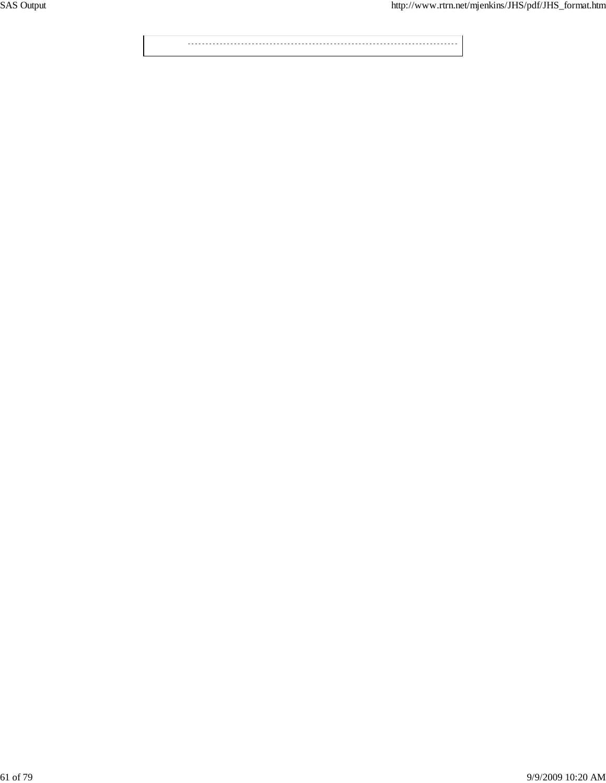----------------------------------------------------------------------------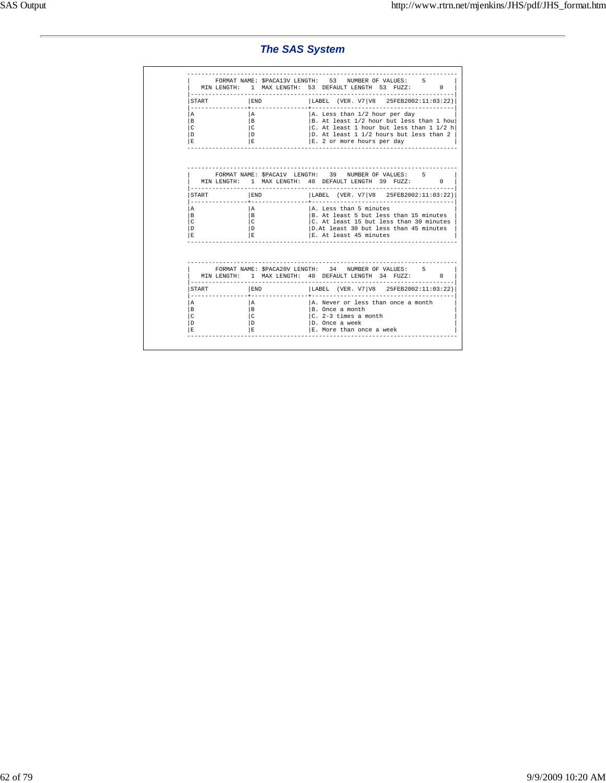|                     |            | MIN LENGTH: 1 MAX LENGTH: 53 DEFAULT LENGTH 53 FUZZ:                                                          |
|---------------------|------------|---------------------------------------------------------------------------------------------------------------|
| START               | END        | LABEL (VER. V7   V8 25FEB2002:11:03:22)                                                                       |
| Α                   | l A        | A. Less than 1/2 hour per day                                                                                 |
| в                   | l B        | B. At least 1/2 hour but less than 1 hou                                                                      |
| C                   | l C        | C. At least 1 hour but less than 1 1/2 h                                                                      |
| D                   | D          | D. At least 1 1/2 hours but less than 2                                                                       |
| E.                  | E          | E. 2 or more hours per day                                                                                    |
| ----------<br>START | <b>END</b> | MIN LENGTH: 1 MAX LENGTH: 40 DEFAULT LENGTH 39 FUZZ:<br> LABEL (VER. V7   V8 25FEB2002:11:03:22)              |
| A                   | l A        | A. Less than 5 minutes                                                                                        |
| <sub>B</sub>        | IB.        | B. At least 5 but less than 15 minutes                                                                        |
|                     | l C        | C. At least 15 but less than 30 minutes                                                                       |
| C                   |            |                                                                                                               |
| D                   | l D.       |                                                                                                               |
| E                   | E          | E. At least 45 minutes                                                                                        |
| START               | END        | FORMAT NAME: \$PACA20V LENGTH: 34 NUMBER OF VALUES: 5<br>MIN LENGTH: 1 MAX LENGTH: 40 DEFAULT LENGTH 34 FUZZ: |
| Α                   | l A        | A. Never or less than once a month                                                                            |
| B                   | l B        | D.At least 30 but less than 45 minutes<br> LABEL (VER. V7   V8 25FEB2002:11:03:22)<br>B. Once a month         |
| C                   | C          | C. 2-3 times a month                                                                                          |
| D                   | l D        | D. Once a week                                                                                                |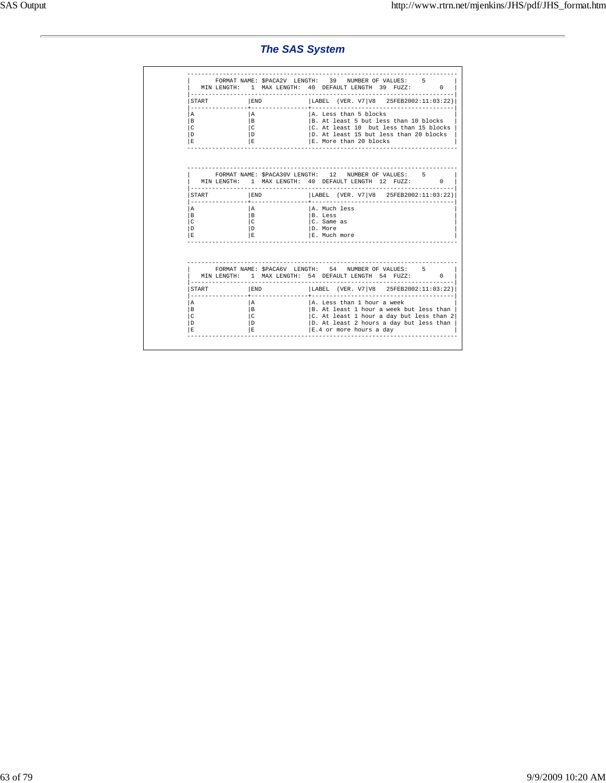|              |               | MIN LENGTH: 1 MAX LENGTH: 40 DEFAULT LENGTH 39 FUZZ:<br>$\Omega$                                                                                          |
|--------------|---------------|-----------------------------------------------------------------------------------------------------------------------------------------------------------|
| START        | <b>END</b>    | LABEL (VER. V7   V8 25FEB2002:11:03:22)                                                                                                                   |
| Α            | l A           | A. Less than 5 blocks                                                                                                                                     |
| <sub>R</sub> | ΙB.           | B. At least 5 but less than 10 blocks                                                                                                                     |
| C            | C             | C. At least 10 but less than 15 blocks                                                                                                                    |
| $\mathsf{D}$ | D             | D. At least 15 but less than 20 blocks                                                                                                                    |
| Е            | Е             | E. More than 20 blocks                                                                                                                                    |
| START        | <b>END</b>    | FORMAT NAME: \$PACA30V LENGTH: 12 NUMBER OF VALUES: 5<br>MIN LENGTH: 1 MAX LENGTH: 40 DEFAULT LENGTH 12 FUZZ:<br> LABEL (VER. V7   V8 25FEB2002:11:03:22) |
|              |               | <b>+-----------</b> -<br>A. Much less                                                                                                                     |
| Α<br>B       | l A<br>l B    | B. Less                                                                                                                                                   |
| C            | l C           | IC. Same as                                                                                                                                               |
| $\mathsf{D}$ | l D.          | D. More                                                                                                                                                   |
| E            | E             | E. Much more                                                                                                                                              |
|              |               | FORMAT NAME: \$PACA6V LENGTH: 54 NUMBER OF VALUES: 5<br>MIN LENGTH: 1 MAX LENGTH: 54 DEFAULT LENGTH 54 FUZZ:                                              |
| START        | <b>END</b>    | LABEL (VER. V7   V8 25FEB2002:11:03:22)                                                                                                                   |
|              | l A           | A. Less than 1 hour a week                                                                                                                                |
| Α            |               |                                                                                                                                                           |
| в            | l B           | B. At least 1 hour a week but less than                                                                                                                   |
| C            | $\mathcal{C}$ | C. At least 1 hour a day but less than 2                                                                                                                  |
| $\mathsf{D}$ | D             | D. At least 2 hours a day but less than                                                                                                                   |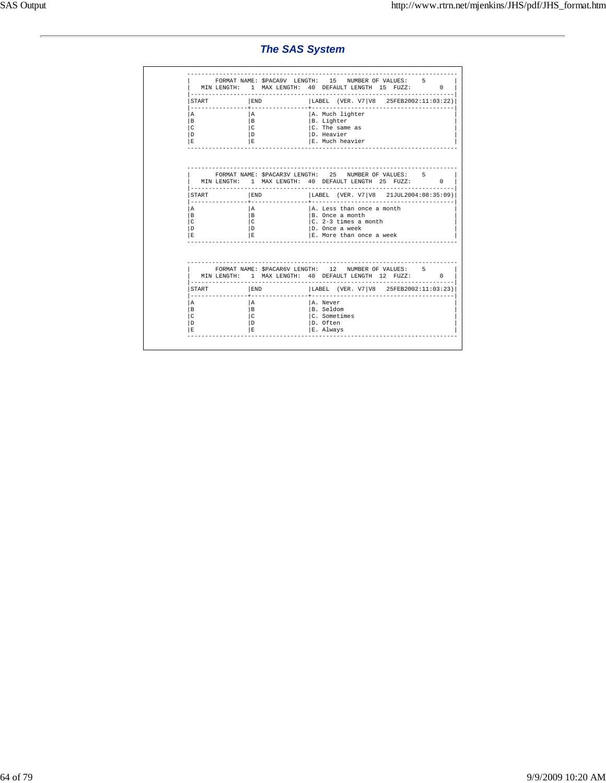|              |               | MIN LENGTH: 1 MAX LENGTH: 40 DEFAULT LENGTH 15 FUZZ:                                                                                                      |
|--------------|---------------|-----------------------------------------------------------------------------------------------------------------------------------------------------------|
| START        | <b>END</b>    | LABEL (VER. V7   V8 25FEB2002:11:03:22)<br>----------                                                                                                     |
| A            | l A           | A. Much lighter                                                                                                                                           |
| <sub>R</sub> | l B           | B. Lighter                                                                                                                                                |
| C            | C             | C. The same as                                                                                                                                            |
| D            | D             | D. Heavier                                                                                                                                                |
| Е            | E.            | E. Much heavier                                                                                                                                           |
|              | <b>END</b>    | FORMAT NAME: \$PACAR3V LENGTH: 25 NUMBER OF VALUES: 5<br>MIN LENGTH: 1 MAX LENGTH: 40 DEFAULT LENGTH 25 FUZZ:<br> LABEL (VER. V7   V8 21JUL2004:08:35:09) |
| START        |               | --------------------                                                                                                                                      |
| Α            | l A           | A. Less than once a month                                                                                                                                 |
| в            | l B           | B. Once a month                                                                                                                                           |
| C            | l C           | C. 2-3 times a month                                                                                                                                      |
| $\mathsf{D}$ | l D.          | D. Once a week                                                                                                                                            |
| E            | E             | E. More than once a week                                                                                                                                  |
|              |               | FORMAT NAME: \$PACAR6V LENGTH: 12 NUMBER OF VALUES: 5<br>MIN LENGTH: 1 MAX LENGTH: 40 DEFAULT LENGTH 12 FUZZ:                                             |
| START        | <b>END</b>    | LABEL (VER. V7   V8 25FEB2002:11:03:23)<br>.                                                                                                              |
| Α            | l A           | A. Never                                                                                                                                                  |
|              | l B           | B. Seldom                                                                                                                                                 |
| в            |               | C. Sometimes                                                                                                                                              |
| C            | $\mathcal{C}$ |                                                                                                                                                           |
| $\mathsf{D}$ | D             | D. Often<br>E. Always                                                                                                                                     |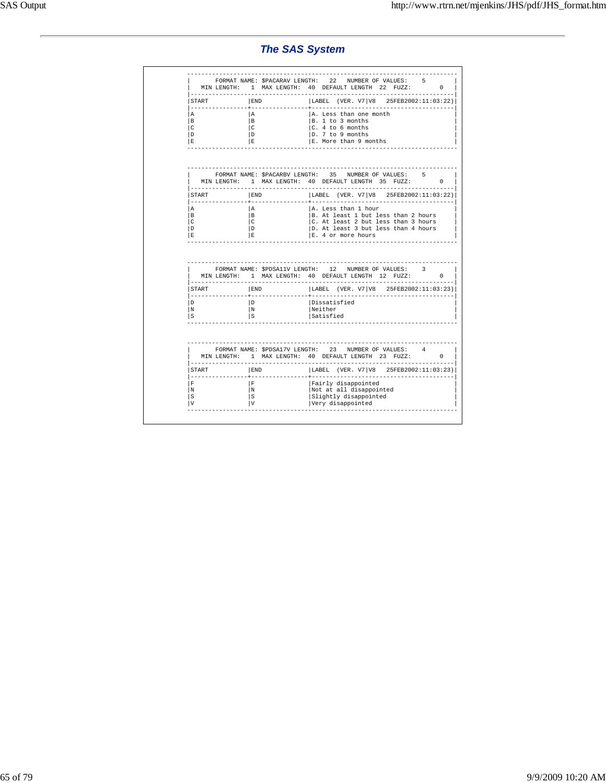|              | FORMAT NAME: \$PACARAV LENGTH: 22 NUMBER OF VALUES:<br>______________________ | MIN LENGTH: 1 MAX LENGTH: 40 DEFAULT LENGTH 22 FUZZ: |                                                                                                                              |
|--------------|-------------------------------------------------------------------------------|------------------------------------------------------|------------------------------------------------------------------------------------------------------------------------------|
| START        |                                                                               | END                                                  | $ LABEL$ (VER. V7 V8 25FEB2002:11:03:22)                                                                                     |
| Α            |                                                                               | A                                                    | A. Less than one month                                                                                                       |
| в            |                                                                               | l B                                                  | B. 1 to 3 months                                                                                                             |
| C            |                                                                               | l C                                                  | C. 4 to 6 months                                                                                                             |
| $\mathsf{D}$ |                                                                               | l D                                                  | $ D. 7$ to 9 months                                                                                                          |
| E            |                                                                               | lΕ                                                   | E. More than 9 months                                                                                                        |
|              |                                                                               |                                                      |                                                                                                                              |
|              |                                                                               | ----------------------------------                   | FORMAT NAME: \$PACARBV LENGTH: 35 NUMBER OF VALUES:<br>5<br>MIN LENGTH: 1 MAX LENGTH: 40 DEFAULT LENGTH 35 FUZZ:<br>$\Omega$ |
| START        |                                                                               | END                                                  | LABEL (VER. V7   V8 25FEB2002:11:03:22)                                                                                      |
| Α            |                                                                               | A                                                    | A. Less than 1 hour                                                                                                          |
| в            |                                                                               | l B                                                  | B. At least 1 but less than 2 hours                                                                                          |
| C            |                                                                               |                                                      |                                                                                                                              |
|              |                                                                               |                                                      |                                                                                                                              |
|              |                                                                               | l C                                                  | C. At least 2 but less than 3 hours                                                                                          |
| D<br>E.      |                                                                               | l D<br>lΕ                                            | D. At least 3 but less than 4 hours<br>E. 4 or more hours                                                                    |
|              |                                                                               |                                                      | FORMAT NAME: \$PDSA11V LENGTH: 12 NUMBER OF VALUES:<br>$\overline{\mathbf{3}}$                                               |
|              | MIN LENGTH:                                                                   |                                                      | 1 MAX LENGTH: 40 DEFAULT LENGTH 12 FUZZ:                                                                                     |
| START        |                                                                               | END                                                  | $ LABEL$ (VER. V7   V8 25FEB2002:11:03:23)                                                                                   |
| D.           |                                                                               | D.                                                   | Dissatisfied                                                                                                                 |
| N            |                                                                               | $\mathbb{N}$                                         | Neither                                                                                                                      |
| S            |                                                                               | l s                                                  | Satisfied                                                                                                                    |
|              |                                                                               |                                                      | FORMAT NAME: \$PDSA17V LENGTH: 23 NUMBER OF VALUES:<br>MIN LENGTH: 1 MAX LENGTH: 40 DEFAULT LENGTH 23 FUZZ:                  |
| START        |                                                                               | END                                                  | $\Omega$<br>LABEL (VER. V7 V8<br>25FEB2002:11:03:23)                                                                         |
|              |                                                                               |                                                      | --------------------                                                                                                         |
| F            |                                                                               | l F.                                                 | Fairly disappointed                                                                                                          |
| N<br>S       |                                                                               | l N<br>l s                                           | Not at all disappointed<br>Slightly disappointed                                                                             |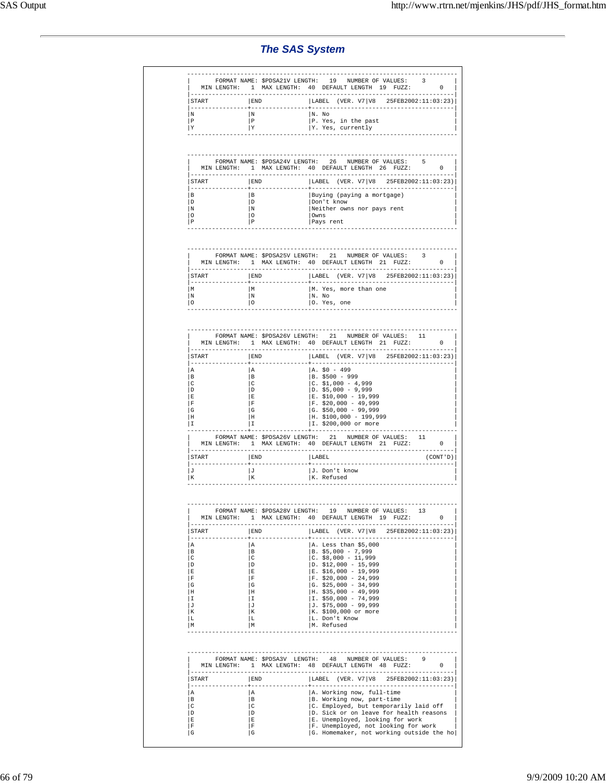|              |                   | FORMAT NAME: \$PDSA21V LENGTH: 19 NUMBER OF VALUES: | $\overline{\mathbf{3}}$<br>MIN LENGTH: 1 MAX LENGTH: 40 DEFAULT LENGTH 19 FUZZ:<br>$\Omega$                                                                      |
|--------------|-------------------|-----------------------------------------------------|------------------------------------------------------------------------------------------------------------------------------------------------------------------|
| START        |                   | END                                                 | LABEL (VER. V7 V8 25FEB2002:11:03:23)                                                                                                                            |
|              | ---------------   |                                                     |                                                                                                                                                                  |
| N<br>∣P      |                   | N<br> P                                             | N. N <sub>O</sub>  <br>P. Yes, in the past                                                                                                                       |
| ΙY.          |                   | Y                                                   | Y. Yes, currently                                                                                                                                                |
|              |                   |                                                     |                                                                                                                                                                  |
|              |                   |                                                     | FORMAT NAME: \$PDSA24V LENGTH: 26 NUMBER OF VALUES:<br>5<br>MIN LENGTH: 1 MAX LENGTH: 40 DEFAULT LENGTH 26 FUZZ:<br>0                                            |
| START        |                   | $ $ END                                             | $- - -$<br>. <b>.</b> .<br>LABEL (VER. V7   V8<br>25FEB2002:11:03:23)                                                                                            |
|              |                   |                                                     | ____________________________                                                                                                                                     |
| B<br>D       |                   | B<br> D                                             | Buying (paying a mortgage)<br>Don't know                                                                                                                         |
| N            |                   | N                                                   | Neither owns nor pays rent                                                                                                                                       |
| 10<br>∣P.    |                   | $\circ$<br> P                                       | <b>Owns</b><br>Pays rent                                                                                                                                         |
|              |                   | ---------------                                     |                                                                                                                                                                  |
|              |                   |                                                     | FORMAT NAME: \$PDSA25V LENGTH: 21 NUMBER OF VALUES:<br>$\overline{\mathbf{3}}$                                                                                   |
|              |                   |                                                     | MIN LENGTH: 1 MAX LENGTH: 40 DEFAULT LENGTH 21 FUZZ:                                                                                                             |
| <b>START</b> |                   | $ $ END                                             | LABEL (VER. V7 V8<br>25FEB2002:11:03:23)                                                                                                                         |
| M            |                   | $+ - -$<br>$\vert$ M                                | --+----------------------<br>M. Yes, more than one                                                                                                               |
| N            |                   | $\lfloor N \rfloor$                                 | N. NQ                                                                                                                                                            |
| 10           |                   | $  \circ  $                                         | $\vert$ 0. Yes, one                                                                                                                                              |
|              |                   |                                                     | .<br>FORMAT NAME: \$PDSA26V LENGTH: 21 NUMBER OF VALUES: 11<br>MIN LENGTH: 1 MAX LENGTH: 40 DEFAULT LENGTH 21 FUZZ:<br>$\Omega$                                  |
| START        |                   | END                                                 | LABEL (VER. V7 V8<br>25FEB2002:11:03:23)                                                                                                                         |
| $\mathbb{A}$ |                   | A                                                   | $A. $0 - 499$                                                                                                                                                    |
| B            |                   | B                                                   | B. \$500 - 999                                                                                                                                                   |
| C<br>  D     |                   | c <br> D                                            | $ C. $1,000 - 4,999$<br>D. \$5,000 - 9,999                                                                                                                       |
| ΙE           |                   | IΕ                                                  | $E. $10,000 - 19,999$                                                                                                                                            |
| F<br>l G     |                   | ΙF<br>  G                                           | F. \$20,000 - 49,999<br> G. \$50,000 - 99,999                                                                                                                    |
| ΙH           |                   | IН                                                  | $ H. $100,000 - 199,999$                                                                                                                                         |
| $\mathbb{I}$ | $- + - + -$       | ΙI                                                  | I. \$200,000 or more<br>-------+---------------------                                                                                                            |
|              |                   |                                                     | FORMAT NAME: \$PDSA26V LENGTH: 21 NUMBER OF VALUES: 11<br>MIN LENGTH: 1 MAX LENGTH: 40 DEFAULT LENGTH 21 FUZZ:<br>$\Omega$<br>---------------------------------- |
|              |                   | <b>END</b>                                          | <b>LABEL</b><br>(CONT'D)                                                                                                                                         |
| START        |                   |                                                     |                                                                                                                                                                  |
| --------     |                   | $+ - - -$                                           |                                                                                                                                                                  |
| l J<br>  K   |                   | J<br>$\vert K \vert$                                | J. Don't know<br>K. Refused                                                                                                                                      |
|              |                   |                                                     |                                                                                                                                                                  |
|              |                   | FORMAT NAME: SPDSA28V LENGTH:                       | 19 NUMBER OF VALUES:<br>13                                                                                                                                       |
|              |                   |                                                     | MIN LENGTH: 1 MAX LENGTH: 40 DEFAULT LENGTH 19 FUZZ:<br>0<br>----                                                                                                |
| <b>START</b> |                   | END                                                 | ---------<br>LABEL (VER. V7 V8<br>25FEB2002:11:03:23)                                                                                                            |
| $\mathbb{A}$ |                   | A                                                   | A. Less than \$5,000                                                                                                                                             |
| В            |                   | B                                                   | $ B.$ \$5,000 - 7,999                                                                                                                                            |
| C            |                   | c                                                   | $ C. $8,000 - 11,999$                                                                                                                                            |
| D<br>E       |                   | D <br>İΕ                                            | $ D. $12,000 - 15,999$<br>$ E. $16,000 - 19,999$                                                                                                                 |
| F            |                   | F                                                   | F. \$20,000 - 24,999                                                                                                                                             |
| G<br>IН      |                   | G<br>  H                                            | $ G. $25,000 - 34,999$<br>$ H. $35,000 - 49,999$                                                                                                                 |
| ΙI           |                   | ΙI                                                  | $ I. $50,000 - 74,999$                                                                                                                                           |
| l J<br>ΙK    |                   | ۱J<br> K                                            | $J. $75,000 - 99,999$<br>K. \$100,000 or more                                                                                                                    |
| L            |                   | ΙL                                                  | L. Don't Know                                                                                                                                                    |
| M            |                   | M                                                   | M. Refused<br>------------------                                                                                                                                 |
|              |                   |                                                     |                                                                                                                                                                  |
|              |                   |                                                     | FORMAT NAME: \$PDSA3V LENGTH: 48 NUMBER OF VALUES: 9<br>MIN LENGTH: 1 MAX LENGTH: 48 DEFAULT LENGTH 48 FUZZ:                                                     |
| START        |                   | END                                                 | -------------------------<br> LABEL (VER. V7   V8 25FEB2002:11:03:23)                                                                                            |
| Α            | ---------------+- |                                                     |                                                                                                                                                                  |
| B            |                   | A<br> B                                             | A. Working now, full-time<br>B. Working now, part-time                                                                                                           |
| C            |                   | c                                                   | C. Employed, but temporarily laid off                                                                                                                            |
| D<br>IΕ      |                   | D <br>İΕ                                            | D. Sick or on leave for health reasons<br>E. Unemployed, looking for work<br> F. Unemployed, not looking for work                                                |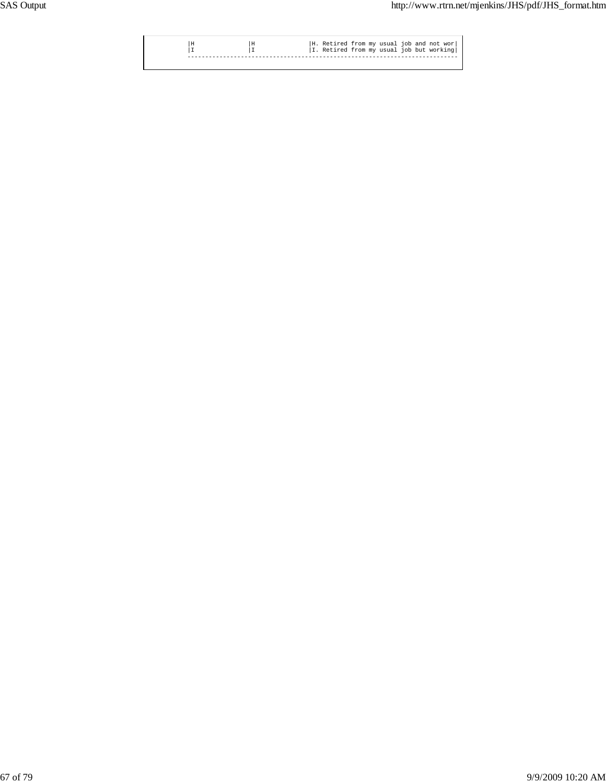|  |  | H. Retired from my usual job and not wor<br>I. Retired from my usual job but working |  |  |  |  |
|--|--|--------------------------------------------------------------------------------------|--|--|--|--|
|  |  |                                                                                      |  |  |  |  |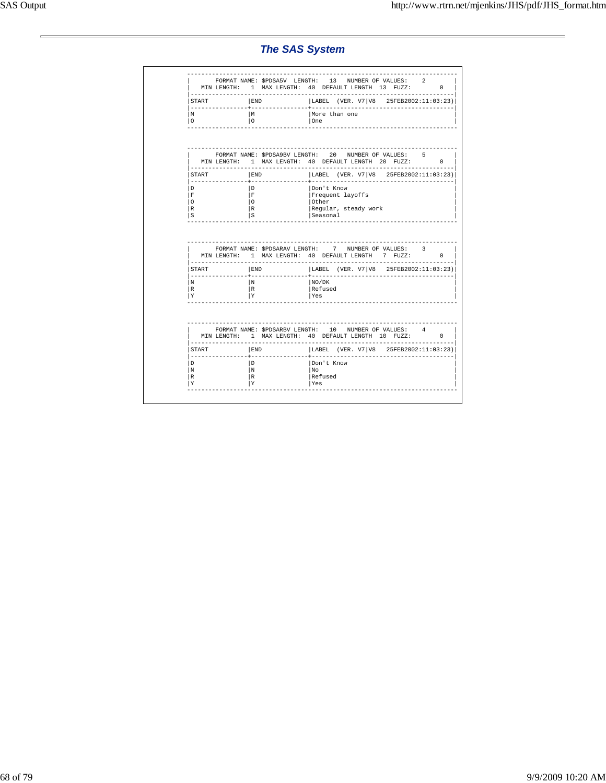|              | ----------------- | FORMAT NAME: \$PDSA5V LENGTH: 13 NUMBER OF VALUES: | MIN LENGTH: 1 MAX LENGTH: 40 DEFAULT LENGTH 13 FUZZ:<br>$\Omega$                                                                          |
|--------------|-------------------|----------------------------------------------------|-------------------------------------------------------------------------------------------------------------------------------------------|
| <b>START</b> |                   | <b>END</b>                                         | LABEL (VER. V7 V8<br>25FEB2002:11:03:23)                                                                                                  |
| М<br>O       |                   | l M<br>10                                          | More than one<br>  One                                                                                                                    |
|              |                   |                                                    |                                                                                                                                           |
|              |                   | FORMAT NAME: \$PDSA9BV LENGTH:                     | - 20<br>NUMBER OF VALUES:<br>5.<br>MIN LENGTH: 1 MAX LENGTH: 40 DEFAULT LENGTH 20 FUZZ:<br>$\Omega$                                       |
| START        |                   | END                                                | LABEL (VER. V7   V8 25FEB2002:11:03:23)<br>---------------                                                                                |
| <sup>D</sup> |                   | ۱D.                                                | Don't Know                                                                                                                                |
| F            |                   | l F                                                | Frequent layoffs                                                                                                                          |
| O            |                   | 1 O                                                | Other                                                                                                                                     |
| R            |                   | l R                                                | Regular, steady work                                                                                                                      |
|              |                   | l S                                                | Seasonal<br>FORMAT NAME: \$PDSARAV LENGTH: 7 NUMBER OF VALUES: 3                                                                          |
| S<br>START   | ---------------   | END                                                | MIN LENGTH: 1 MAX LENGTH: 40 DEFAULT LENGTH<br>7 FUZZ:<br>$\Omega$                                                                        |
|              |                   |                                                    | LABEL (VER. V7   V8 25FEB2002:11:03:23)                                                                                                   |
| N            |                   | $\mathbb{N}$                                       | NO/DK                                                                                                                                     |
| R<br>ΙY      |                   | l R<br> Y                                          | Refused<br> Yes                                                                                                                           |
|              |                   |                                                    | FORMAT NAME: \$PDSARBV LENGTH: 10 NUMBER OF VALUES:<br>$\overline{4}$<br>MIN LENGTH: 1 MAX LENGTH: 40 DEFAULT LENGTH 10 FUZZ:<br>$\Omega$ |
| START        |                   | END<br>-----------+--                              | $ LABEL$ (VER. V7 V8 25FEB2002:11:03:23)<br>--------                                                                                      |
| D            |                   | l D                                                | Don't Know                                                                                                                                |
| N            |                   | l N                                                | l No                                                                                                                                      |
| R<br>Υ       |                   | l R<br>ΙY                                          | Refused<br> Yes                                                                                                                           |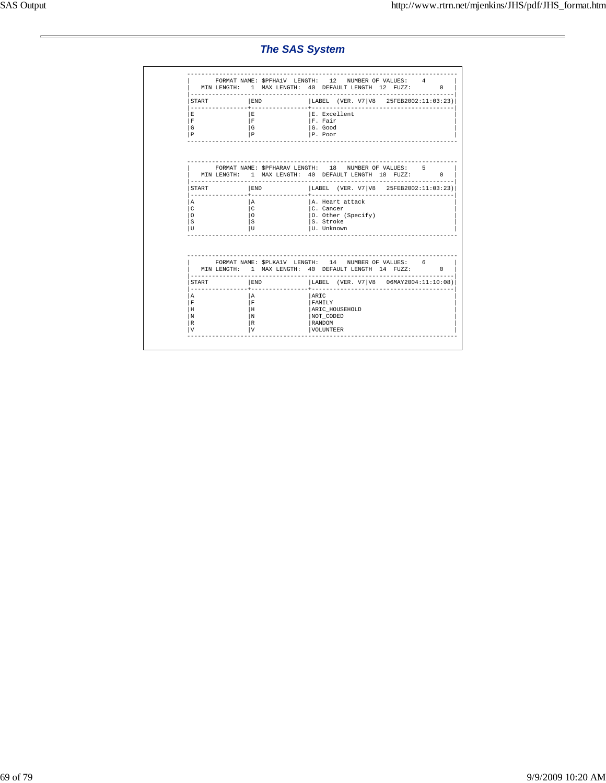| START        | <b>END</b> | LABEL (VER. V7   V8 25FEB2002:11:03:23)                                                                                                                   |
|--------------|------------|-----------------------------------------------------------------------------------------------------------------------------------------------------------|
| E.           | lЕ.        | IE. Excellent                                                                                                                                             |
| F            | l F        | F. Fair                                                                                                                                                   |
| G            | l G        | G. Good                                                                                                                                                   |
| P            | l P        | P. Poor                                                                                                                                                   |
|              |            | FORMAT NAME: \$PFHARAV LENGTH: 18 NUMBER OF VALUES: 5<br>MIN LENGTH: 1 MAX LENGTH: 40 DEFAULT LENGTH 18 FUZZ:                                             |
| START        | END        | LABEL (VER. V7   V8 25FEB2002:11:03:23)                                                                                                                   |
| Α            | l A        | .<br>A. Heart attack                                                                                                                                      |
| C            | l C        | C. Cancer                                                                                                                                                 |
| $\circ$      | $\circ$    | O. Other (Specify)                                                                                                                                        |
| S            | S          | S. Stroke                                                                                                                                                 |
| U            | U          | lU. Unknown                                                                                                                                               |
| <b>START</b> | <b>END</b> | FORMAT NAME: \$PLKA1V LENGTH: 14 NUMBER OF VALUES: 6<br>MIN LENGTH: 1 MAX LENGTH: 40 DEFAULT LENGTH 14 FUZZ:<br> LABEL (VER. V7   V8  06MAY2004:11:10:08) |
|              |            |                                                                                                                                                           |
|              | l A<br>١F  | <b>ARIC</b><br>FAMILY                                                                                                                                     |
| Α            |            |                                                                                                                                                           |
| F            |            |                                                                                                                                                           |
| Н            | H          | ARIC HOUSEHOLD                                                                                                                                            |
| N<br>R       | N<br>l R   | NOT CODED<br>RANDOM                                                                                                                                       |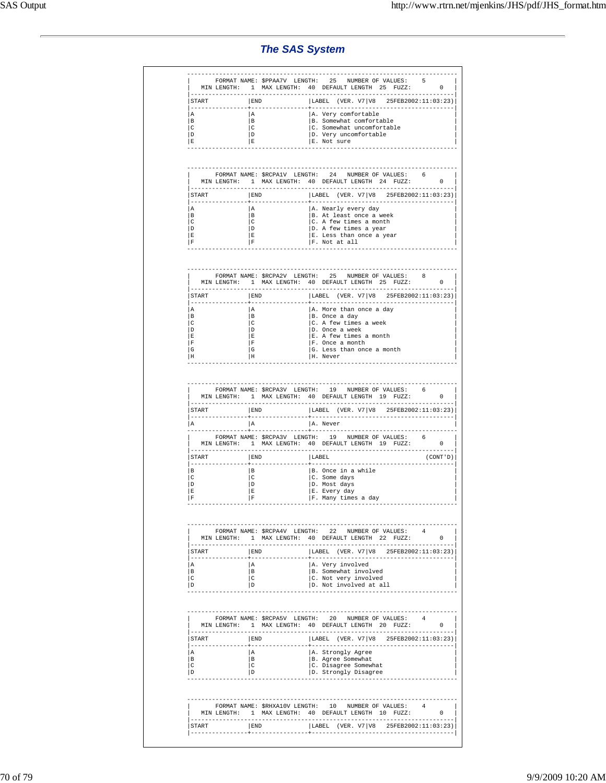|                     |                      |                                  | MIN LENGTH: 1 MAX LENGTH: 40 DEFAULT LENGTH 25 FUZZ:<br>0                                                                                                        |
|---------------------|----------------------|----------------------------------|------------------------------------------------------------------------------------------------------------------------------------------------------------------|
| START               |                      | END                              | LABEL (VER. V7   V8 25FEB2002:11:03:23)                                                                                                                          |
| Α                   |                      | A                                | . <u>.</u><br>A. Very comfortable                                                                                                                                |
| В                   |                      | B                                | B. Somewhat comfortable                                                                                                                                          |
| $\mathtt{C}$        |                      | c                                | C. Somewhat uncomfortable                                                                                                                                        |
| $\mathsf{D}$<br>ΙE  |                      | D <br>IΕ                         | D. Very uncomfortable<br>E. Not sure                                                                                                                             |
|                     |                      |                                  |                                                                                                                                                                  |
|                     |                      |                                  |                                                                                                                                                                  |
|                     |                      |                                  | FORMAT NAME: \$RCPA1V LENGTH: 24 NUMBER OF VALUES:<br>$6\overline{6}$<br>MIN LENGTH: 1 MAX LENGTH: 40 DEFAULT LENGTH 24 FUZZ:<br>0                               |
| START               |                      | END                              | LABEL (VER. V7 V8 25FEB2002:11:03:23)                                                                                                                            |
| A<br>B              |                      | A<br> B                          | A. Nearly every day<br>B. At least once a week                                                                                                                   |
| C                   |                      | l C                              | C. A few times a month                                                                                                                                           |
| D                   |                      | D                                | D. A few times a year                                                                                                                                            |
| İΕ<br>ΙF            |                      | İΕ<br>  F                        | E. Less than once a year<br>F. Not at all                                                                                                                        |
|                     |                      |                                  | .                                                                                                                                                                |
|                     |                      |                                  | FORMAT NAME: \$RCPA2V LENGTH: 25 NUMBER OF VALUES:<br>8<br>MIN LENGTH: 1 MAX LENGTH: 40 DEFAULT LENGTH 25 FUZZ:<br>$\overline{0}$                                |
| START               |                      |                                  | LABEL (VER. V7   V8 25FEB2002:11:03:23)                                                                                                                          |
|                     |                      | $ $ END                          |                                                                                                                                                                  |
| Α<br>В              |                      | A<br> B                          | A. More than once a day<br>B. Once a day                                                                                                                         |
| C                   |                      | l C                              | C. A few times a week                                                                                                                                            |
| D                   |                      | D                                | D. Once a week                                                                                                                                                   |
| E<br>F              |                      | İΕ<br>  F                        | E. A few times a month<br>F. Once a month                                                                                                                        |
| l G                 |                      | G                                | G. Less than once a month                                                                                                                                        |
| IН                  |                      | H                                | H. Never                                                                                                                                                         |
| START               |                      | END                              | FORMAT NAME: \$RCPA3V LENGTH: 19 NUMBER OF VALUES:<br>- 6<br>MIN LENGTH: 1 MAX LENGTH: 40 DEFAULT LENGTH 19 FUZZ:<br>0                                           |
| --------<br>A       |                      | -+----<br> A                     | LABEL (VER. V7   V8 25FEB2002:11:03:23)<br>--------+---------<br>A. Never                                                                                        |
|                     |                      |                                  | FORMAT NAME: \$RCPA3V LENGTH: 19 NUMBER OF VALUES:<br>6<br>MIN LENGTH: 1 MAX LENGTH: 40 DEFAULT LENGTH 19 FUZZ:<br>0                                             |
| START               |                      | END                              | LABEL                                                                                                                                                            |
|                     |                      |                                  |                                                                                                                                                                  |
| В<br>C              |                      | B<br>l C                         | B. Once in a while                                                                                                                                               |
| D                   |                      | D                                | C. Some days<br>D. Most days                                                                                                                                     |
| ΙE                  |                      | E                                | E. Every day                                                                                                                                                     |
| ١F                  |                      | F                                | -----------<br>(CONT'D)<br>F. Many times a day                                                                                                                   |
|                     |                      | FORMAT NAME: \$RCPA4V LENGTH: 22 | --------------<br>NUMBER OF VALUES:                                                                                                                              |
| START               |                      | END                              | MIN LENGTH: 1 MAX LENGTH: 40 DEFAULT LENGTH 22 FUZZ:<br>$\Omega$<br> LABEL (VER. V7   V8 25FEB2002:11:03:23)                                                     |
| A                   |                      | +----------------+--             | --------------------------------                                                                                                                                 |
| B                   |                      | A<br> B                          | A. Very involved<br>B. Somewhat involved                                                                                                                         |
| l C                 |                      | c                                | C. Not very involved                                                                                                                                             |
| D                   |                      | D                                | D. Not involved at all                                                                                                                                           |
|                     |                      |                                  |                                                                                                                                                                  |
|                     |                      |                                  | FORMAT NAME: \$RCPA5V LENGTH: 20 NUMBER OF VALUES:<br>$\overline{4}$<br>MIN LENGTH: 1 MAX LENGTH: 40 DEFAULT LENGTH 20 FUZZ:<br>$\Omega$<br>-------------------- |
| START               | ----------------+--- | $ $ END                          |                                                                                                                                                                  |
| Α                   |                      | A                                | A. Strongly Agree                                                                                                                                                |
| B                   |                      | B                                | B. Agree Somewhat                                                                                                                                                |
| l c<br>$\mathsf{D}$ |                      | c <br>$\mathsf{D}$               | C. Disagree Somewhat                                                                                                                                             |
|                     |                      |                                  | D. Strongly Disagree                                                                                                                                             |
|                     |                      |                                  | ---------<br>FORMAT NAME: \$RHXA10V LENGTH: 10 NUMBER OF VALUES:<br>-4<br>0                                                                                      |
|                     | --------------       |                                  | LABEL (VER. V7   V8 25FEB2002:11:03:23)<br>MIN LENGTH: 1 MAX LENGTH: 40 DEFAULT LENGTH 10 FUZZ:<br>LABEL (VER. V7   V8                                           |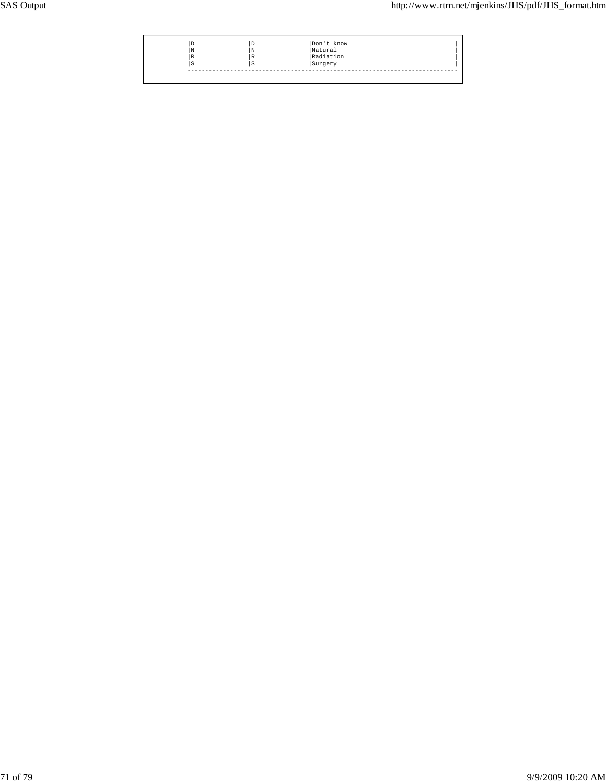| υ |   | Don't know |  |
|---|---|------------|--|
| N | N | Natural    |  |
| R | R | Radiation  |  |
| S | ∘ | Surgery    |  |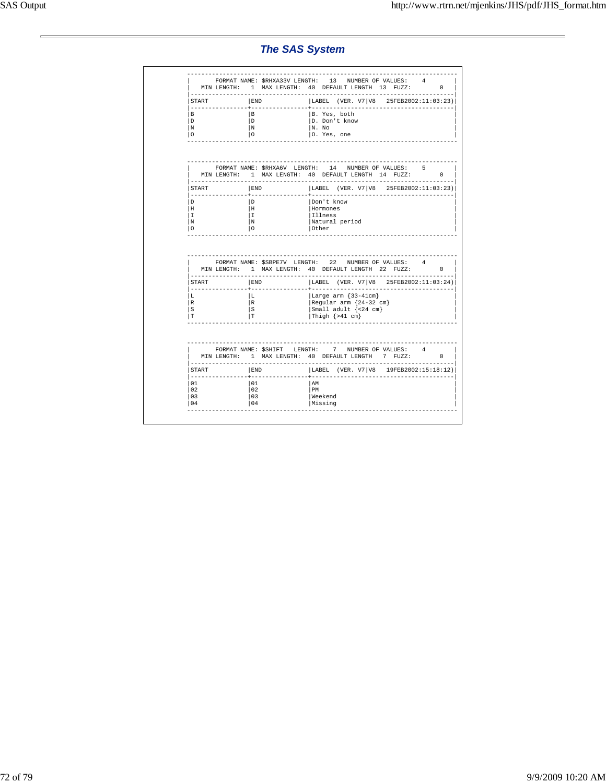|                | FORMAT NAME: \$RHXA33V LENGTH: 13 NUMBER OF VALUES: | --------------------------------- | MIN LENGTH: 1 MAX LENGTH: 40 DEFAULT LENGTH 13 FUZZ:                                                                 |
|----------------|-----------------------------------------------------|-----------------------------------|----------------------------------------------------------------------------------------------------------------------|
| START          |                                                     | <b>END</b>                        | LABEL (VER. V7 V8<br>25FEB2002:11:03:23)                                                                             |
| ---------<br>в |                                                     | l B                               | ---------------------<br>B. Yes, both                                                                                |
| D              |                                                     | D                                 | D. Don't know                                                                                                        |
| $\, {\rm N}$   |                                                     | l N                               | N. No                                                                                                                |
| ۱o             |                                                     | 10                                | 0. Yes, one                                                                                                          |
|                |                                                     |                                   | FORMAT NAME: \$RHXA6V LENGTH: 14 NUMBER OF VALUES:<br>5                                                              |
|                |                                                     |                                   | MIN LENGTH: 1 MAX LENGTH: 40 DEFAULT LENGTH 14 FUZZ:<br>$\Omega$<br>------------------------                         |
| START          |                                                     | END                               | LABEL (VER. V7   V8 25FEB2002:11:03:23)                                                                              |
| D              |                                                     | l D                               | Don't know                                                                                                           |
| H              |                                                     | lн                                | Hormones                                                                                                             |
| I              |                                                     | ΙI                                | Illness                                                                                                              |
| N              |                                                     |                                   |                                                                                                                      |
|                |                                                     | l N                               | Natural period                                                                                                       |
|                |                                                     | 10                                | Other<br>4                                                                                                           |
| ۱o             |                                                     | ----------                        | FORMAT NAME: \$SBPE7V LENGTH: 22 NUMBER OF VALUES:<br>MIN LENGTH: 1 MAX LENGTH: 40 DEFAULT LENGTH 22 FUZZ:<br>$\cap$ |
| <b>START</b>   | ---------------------                               | <b>END</b>                        | LABEL (VER. V7 V8<br>25FEB2002:11:03:24)                                                                             |
| L              |                                                     | lL.                               | +-----------------------<br>$\vert$ Large arm $\{33-41cm\}$                                                          |
| R              |                                                     | l R                               | $ Regular arm {24-32 cm}$                                                                                            |
| S              |                                                     | l s                               | $ Small adult \{<24 cm\}$                                                                                            |
| T              |                                                     | ١T                                | $\lfloor$ Thigh $\{ > 41 \}$ cm}                                                                                     |
|                |                                                     |                                   | FORMAT NAME: \$SHIFT LENGTH: 7 NUMBER OF VALUES:<br>$\overline{4}$<br>$\Omega$                                       |
| START          |                                                     |                                   | MIN LENGTH: 1 MAX LENGTH: 40 DEFAULT LENGTH 7 FUZZ:<br>.                                                             |
|                |                                                     | END                               | LABEL (VER. V7   V8 19FEB2002:15:18:12)                                                                              |
| 01             |                                                     | 01                                | l AM                                                                                                                 |
| 02             |                                                     | 102                               | PM                                                                                                                   |
| 03<br>04       |                                                     | 103                               | Weekend                                                                                                              |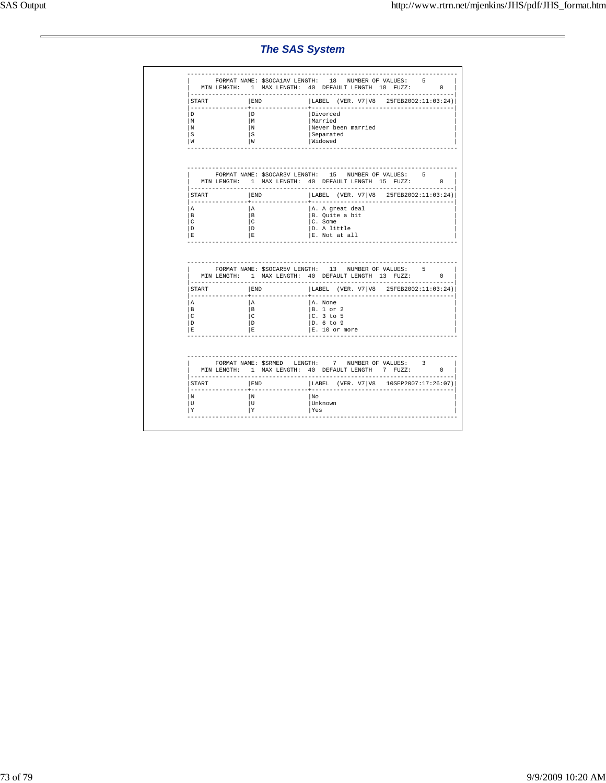|       |                |                                   | MIN LENGTH: 1 MAX LENGTH: 40 DEFAULT LENGTH 18 FUZZ:<br>0                        |
|-------|----------------|-----------------------------------|----------------------------------------------------------------------------------|
| START |                | <b>END</b>                        | LABEL (VER. V7 V8 25FEB2002:11:03:24)                                            |
|       |                |                                   |                                                                                  |
| D     |                | D                                 | Divorced                                                                         |
| М     |                | l M                               | Married                                                                          |
| N     |                | ΙN.                               | Never been married                                                               |
| S     |                | l s                               | Separated                                                                        |
| W     |                | W                                 | Widowed                                                                          |
|       |                |                                   | FORMAT NAME: \$SOCAR3V LENGTH: 15 NUMBER OF VALUES:<br>5                         |
|       |                |                                   | MIN LENGTH: 1 MAX LENGTH: 40 DEFAULT LENGTH 15 FUZZ:<br>$\overline{\phantom{0}}$ |
| START |                | END                               | LABEL (VER. V7 V8 25FEB2002:11:03:24)<br>-----------------------                 |
| A     |                | l A                               | A. A great deal                                                                  |
|       |                |                                   |                                                                                  |
| B     |                | IB.                               | B. Quite a bit                                                                   |
| C     |                | l C                               |                                                                                  |
|       |                |                                   | C. Some                                                                          |
| D     |                | l D                               | D. A little                                                                      |
|       |                | IΕ                                | E. Not at all                                                                    |
| Е     |                | FORMAT NAME: \$SOCAR5V LENGTH: 13 | NUMBER OF VALUES:<br>5<br>MIN LENGTH: 1 MAX LENGTH: 40 DEFAULT LENGTH 13 FUZZ:   |
| START |                | END                               |                                                                                  |
| Α     |                | ------------------------<br>I A   | --------------                                                                   |
|       |                |                                   | $^{\circ}$<br>LABEL (VER. V7 V8 25FEB2002:11:03:24)<br>A. None                   |
| B     |                | B                                 | $ B. 1$ or 2                                                                     |
| C     |                | c                                 | $ C.3$ to 5                                                                      |
| D     |                | ID.                               | D. 6 to 9                                                                        |
| lΕ.   |                | ΙE.                               | E. 10 or more                                                                    |
|       |                |                                   | FORMAT NAME: \$SRMED LENGTH: 7 NUMBER OF VALUES: 3                               |
|       | -------------- |                                   | MIN LENGTH: 1 MAX LENGTH: 40 DEFAULT LENGTH 7 FUZZ:                              |
| START |                | END                               | --------                                                                         |
| N     |                | l N                               | l No                                                                             |
| U     |                | U                                 | $\Omega$<br>LABEL (VER. V7 V8 10SEP2007:17:26:07)<br>Unknown                     |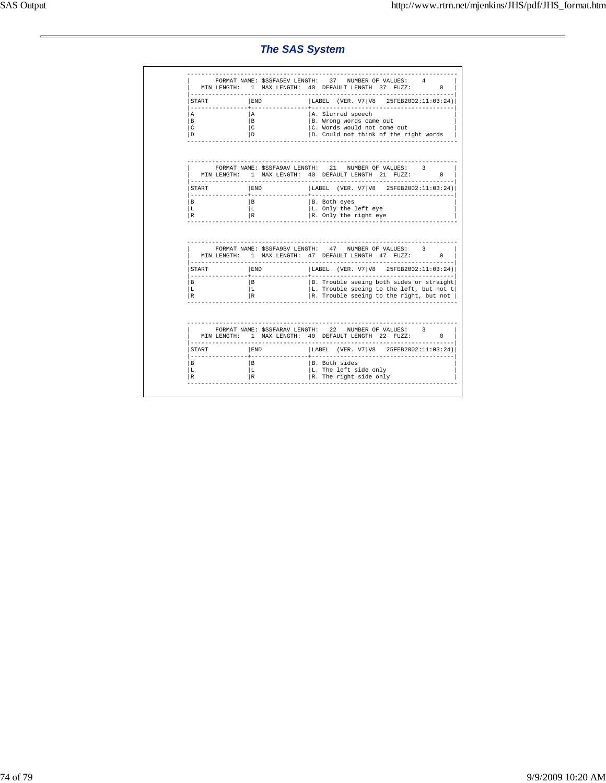| START<br>A<br><sub>B</sub><br>C<br>D | .<br><b>END</b><br>$- + - - - -$<br>I A<br>IB.<br>l c<br>ID.                                                |                                                     | LABEL (VER. V7 V8<br>--------+---------------------------<br>A. Slurred speech<br>B. Wrong words came out |             | 25FEB2002:11:03:24) |                         |          |
|--------------------------------------|-------------------------------------------------------------------------------------------------------------|-----------------------------------------------------|-----------------------------------------------------------------------------------------------------------|-------------|---------------------|-------------------------|----------|
|                                      |                                                                                                             |                                                     |                                                                                                           |             |                     |                         |          |
|                                      |                                                                                                             |                                                     |                                                                                                           |             |                     |                         |          |
|                                      |                                                                                                             |                                                     |                                                                                                           |             |                     |                         |          |
|                                      |                                                                                                             |                                                     | C. Words would not come out                                                                               |             |                     |                         |          |
|                                      |                                                                                                             |                                                     | D. Could not think of the right words                                                                     |             |                     |                         |          |
|                                      |                                                                                                             |                                                     |                                                                                                           |             |                     |                         |          |
|                                      | MIN LENGTH: 1 MAX LENGTH:                                                                                   | FORMAT NAME: \$SSFA9AV LENGTH: 21 NUMBER OF VALUES: | 40 DEFAULT LENGTH 21 FUZZ:                                                                                |             |                     | $\overline{\mathbf{3}}$ | $\Omega$ |
| START                                | END                                                                                                         |                                                     | LABEL (VER. V7 V8 25FEB2002:11:03:24)<br>--------                                                         | ----------- |                     |                         |          |
| B                                    | B                                                                                                           |                                                     | B. Both eyes                                                                                              |             |                     |                         |          |
| L                                    | L                                                                                                           |                                                     | L. Only the left eye                                                                                      |             |                     |                         |          |
| R                                    | R                                                                                                           |                                                     |                                                                                                           |             |                     |                         |          |
|                                      |                                                                                                             |                                                     | R. Only the right eye                                                                                     |             |                     |                         |          |
|                                      | FORMAT NAME: \$SSFA9BV LENGTH: 47 NUMBER OF VALUES:<br>MIN LENGTH: 1 MAX LENGTH: 47 DEFAULT LENGTH 47 FUZZ: |                                                     |                                                                                                           |             |                     | 3                       | $\Omega$ |
| START<br>----------                  | <b>END</b>                                                                                                  |                                                     | LABEL (VER. V7   V8 25FEB2002:11:03:24)                                                                   |             |                     |                         |          |
| <sub>B</sub>                         | B                                                                                                           |                                                     | B. Trouble seeing both sides or straight                                                                  |             |                     |                         |          |
| L<br>l R                             | IL.<br>$\overline{R}$                                                                                       |                                                     | L. Trouble seeing to the left, but not t<br>R. Trouble seeing to the right, but not                       |             |                     |                         |          |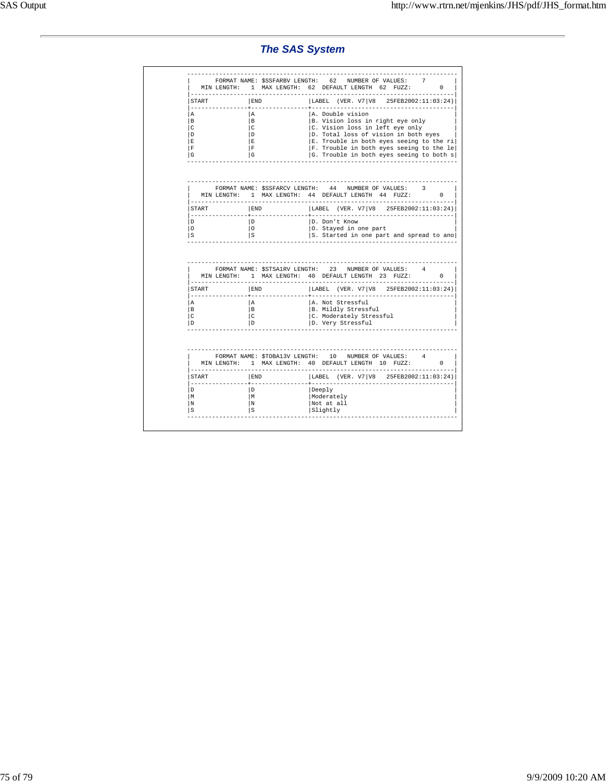|              | MIN LENGTH:<br>--------------- |                                              | FORMAT NAME: \$SSFARBV LENGTH: 62 NUMBER OF VALUES:<br>1 MAX LENGTH: 62 DEFAULT LENGTH 62 FUZZ:                                          |
|--------------|--------------------------------|----------------------------------------------|------------------------------------------------------------------------------------------------------------------------------------------|
| START        |                                | END                                          | (VER. $V7$ $V8$<br>LABEL<br>25FEB2002:11:03:24)                                                                                          |
| Α            |                                | l A                                          | A. Double vision                                                                                                                         |
| B            |                                | B                                            | B. Vision loss in right eye only                                                                                                         |
| C            |                                | l C                                          | C. Vision loss in left eye only                                                                                                          |
| D            |                                | l D                                          | D. Total loss of vision in both eyes                                                                                                     |
| E            |                                | lΕ                                           | E. Trouble in both eyes seeing to the ri                                                                                                 |
| F            |                                | ١F                                           | F. Trouble in both eyes seeing to the le                                                                                                 |
| l G          |                                | l G                                          | G. Trouble in both eyes seeing to both s                                                                                                 |
| START        |                                | FORMAT NAME: \$SSFARCV LENGTH:<br><b>END</b> | 44 NUMBER OF VALUES:<br>MIN LENGTH: 1 MAX LENGTH: 44 DEFAULT LENGTH 44 FUZZ:<br>$\mathbf{0}$<br> LABEL (VER. V7   V8 25FEB2002:11:03:24) |
| ------------ |                                | -+-----                                      |                                                                                                                                          |
| D            |                                | ID.                                          | D. Don't Know                                                                                                                            |
| $\circ$      |                                | l o                                          |                                                                                                                                          |
|              |                                |                                              | 0. Stayed in one part                                                                                                                    |
|              |                                | l S                                          |                                                                                                                                          |
| S            |                                |                                              | FORMAT NAME: \$STSA1RV LENGTH: 23 NUMBER OF VALUES: 4<br>MIN LENGTH: 1 MAX LENGTH: 40 DEFAULT LENGTH 23 FUZZ:                            |
| START        | -------------                  | <b>END</b>                                   |                                                                                                                                          |
| Α            |                                | l A                                          | A. Not Stressful                                                                                                                         |
| B            |                                | l B                                          | S. Started in one part and spread to ano<br>$\Omega$<br> LABEL (VER. V7   V8 25FEB2002:11:03:24)<br>B. Mildly Stressful                  |
| C            |                                | c                                            | C. Moderately Stressful                                                                                                                  |
| l D.         |                                | ID.                                          | D. Very Stressful                                                                                                                        |
|              |                                | FORMAT NAME: \$TOBA13V LENGTH:               | 10<br>NUMBER OF VALUES:<br>MIN LENGTH: 1 MAX LENGTH: 40 DEFAULT LENGTH 10 FUZZ:                                                          |
|              |                                | END<br>-----------+---------                 |                                                                                                                                          |
| D            |                                | l D                                          | $^{\circ}$<br> LABEL (VER. V7   V8 25FEB2002:11:03:24)<br>Deeply                                                                         |
| М            |                                | l M                                          | Moderately                                                                                                                               |
| N            |                                | ١N                                           | Not at all                                                                                                                               |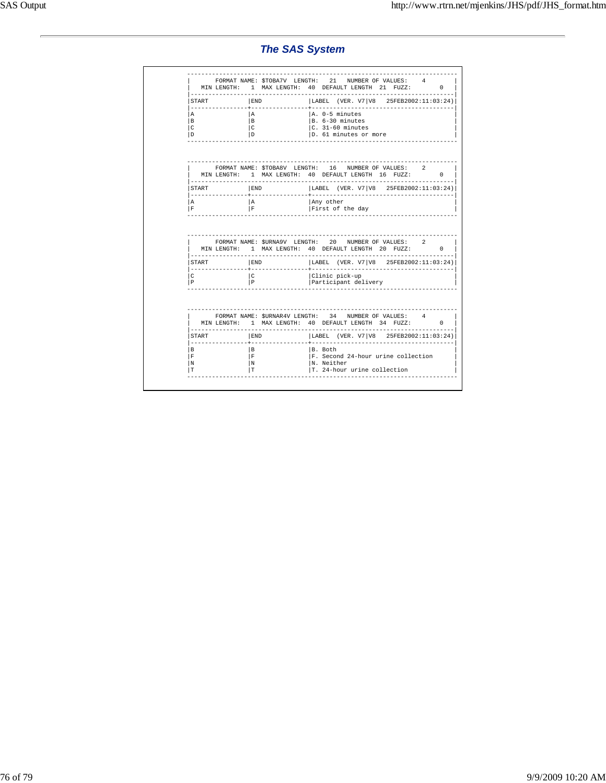|                   | MIN LENGTH:<br>------------- | 1 MAX LENGTH:        | FORMAT NAME: \$TOBA7V LENGTH: 21 NUMBER OF VALUES:<br>$\overline{4}$<br>40 DEFAULT LENGTH 21 FUZZ:<br>$\Omega$                                |
|-------------------|------------------------------|----------------------|-----------------------------------------------------------------------------------------------------------------------------------------------|
| <b>START</b>      |                              | END<br>$+ - - - - -$ | LABEL (VER. V7 V8<br>25FEB2002:11:03:24)<br>-+-------------------------                                                                       |
| Α                 |                              | l A                  | A. 0-5 minutes                                                                                                                                |
| B                 |                              | l B                  | B. 6-30 minutes                                                                                                                               |
| C                 |                              | l c                  | $ C. 31-60$ minutes                                                                                                                           |
| D                 |                              | ID.                  | D. 61 minutes or more                                                                                                                         |
|                   |                              |                      |                                                                                                                                               |
|                   |                              |                      | FORMAT NAME: STOBA8V LENGTH: 16 NUMBER OF VALUES:<br>$\mathbf{2}^{\circ}$<br>MIN LENGTH: 1 MAX LENGTH: 40 DEFAULT LENGTH 16 FUZZ:<br>$\Omega$ |
| START<br>-------- |                              | END                  | LABEL (VER. V7   V8 25FEB2002:11:03:24)                                                                                                       |
|                   |                              |                      |                                                                                                                                               |
|                   |                              |                      |                                                                                                                                               |
| A<br>F            |                              | l A<br>$ F -$        | Any other<br>First of the day<br>FORMAT NAME: \$URNA9V LENGTH: 20 NUMBER OF VALUES: 2                                                         |
| <b>START</b>      | -------------------          | <b>END</b>           | MIN LENGTH: 1 MAX LENGTH: 40 DEFAULT LENGTH 20 FUZZ:<br>$\Omega$<br> LABEL (VER. V7   V8 25FEB2002:11:03:24)                                  |
| C                 |                              |                      |                                                                                                                                               |
| P.                |                              | c <br> P             | Clinic pick-up<br>Participant delivery                                                                                                        |
|                   |                              |                      | FORMAT NAME: \$URNAR4V LENGTH: 34 NUMBER OF VALUES:<br>4                                                                                      |
| START             |                              | END                  | MIN LENGTH: 1 MAX LENGTH: 40 DEFAULT LENGTH 34 FUZZ:                                                                                          |
|                   |                              |                      | LABEL (VER. V7   V8 25FEB2002:11:03:24)                                                                                                       |
| B<br>F            |                              | l B<br>l F           | B. Both<br>F. Second 24-hour urine collection                                                                                                 |
| N                 |                              | l N                  | N. Neither                                                                                                                                    |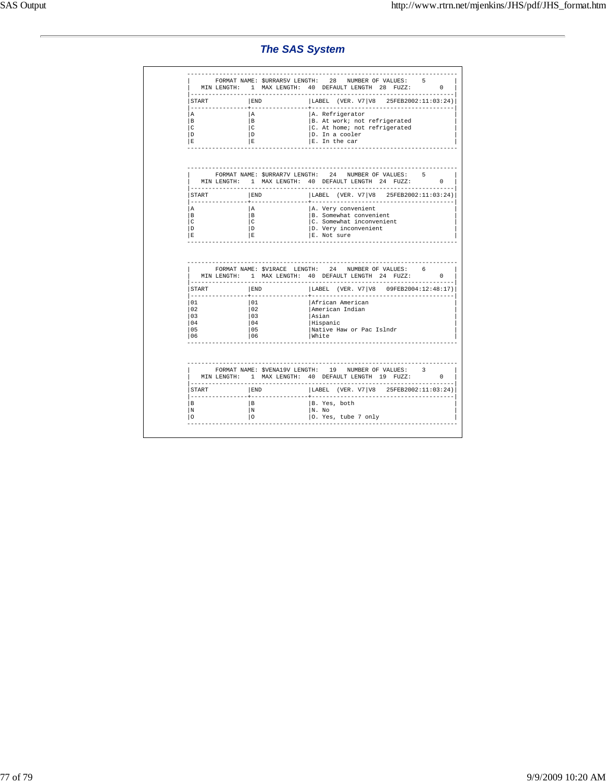|               | FORMAT NAME: \$URRAR5V LENGTH: 28 | NUMBER OF VALUES:<br>MIN LENGTH: 1 MAX LENGTH: 40 DEFAULT LENGTH 28 FUZZ:                                         |
|---------------|-----------------------------------|-------------------------------------------------------------------------------------------------------------------|
| <b>START</b>  | END                               | LABEL (VER. V7 V8 25FEB2002:11:03:24)<br>.                                                                        |
| A             | l A                               | A. Refrigerator                                                                                                   |
| B             | B                                 | B. At work; not refrigerated                                                                                      |
| C             | c                                 | C. At home; not refrigerated                                                                                      |
| $\mathcal{D}$ | l D.                              | D. In a cooler                                                                                                    |
| ΙE            | IΕ                                | E. In the car                                                                                                     |
|               |                                   | FORMAT NAME: \$URRAR7V LENGTH: 24 NUMBER OF VALUES:<br>5<br>MIN LENGTH: 1 MAX LENGTH: 40 DEFAULT LENGTH 24 FUZZ:  |
| START         | END                               | LABEL (VER. V7   V8 25FEB2002:11:03:24)                                                                           |
|               |                                   | _____________________<br>.                                                                                        |
| A             | l A                               | A. Very convenient                                                                                                |
| B             | IB.                               | B. Somewhat convenient                                                                                            |
| C             | l c                               | C. Somewhat inconvenient<br>D. Very inconvenient                                                                  |
| $\mathcal{D}$ | I D.                              |                                                                                                                   |
|               |                                   |                                                                                                                   |
| E             | İΕ                                | E. Not sure                                                                                                       |
|               |                                   | FORMAT NAME: \$V1RACE LENGTH: 24 NUMBER OF VALUES:<br>- 6<br>MIN LENGTH: 1 MAX LENGTH: 40 DEFAULT LENGTH 24 FUZZ: |
| START         | END                               | LABEL (VER. V7 V8<br>------------                                                                                 |
| 01            | 01                                | African American                                                                                                  |
| 02            | 102                               | American Indian                                                                                                   |
| 03            | $ 03\rangle$                      | lAsian                                                                                                            |
| 04            | 104                               | Hispanic                                                                                                          |
| 05            | 105                               | Native Haw or Pac Islndr                                                                                          |
|               |                                   |                                                                                                                   |
| 06            | 106                               | White<br>FORMAT NAME: \$VENA19V LENGTH: 19 NUMBER OF VALUES:                                                      |
|               |                                   | $\overline{\mathbf{3}}$<br>MIN LENGTH: 1 MAX LENGTH: 40 DEFAULT LENGTH 19 FUZZ:<br>---------                      |
| START         | END                               | .                                                                                                                 |
| B             | lв.                               | B. Yes, both                                                                                                      |
| l N<br>l o    | IN.<br>10                         | 09FEB2004:12:48:17)<br> LABEL (VER. V7   V8 25FEB2002:11:03:24)<br>N. No<br>0. Yes, tube 7 only                   |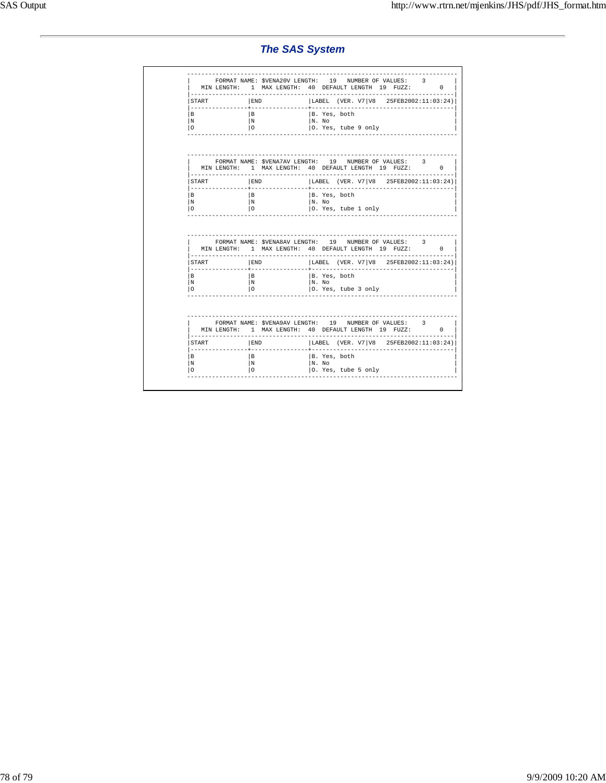|                     |                    | FORMAT NAME: \$VENA20V LENGTH: 19 NUMBER OF VALUES:<br>MIN LENGTH: 1 MAX LENGTH: 40 DEFAULT LENGTH 19 FUZZ: |                                                                           |                       |         | $\overline{\mathbf{3}}$ | $\Omega$ |
|---------------------|--------------------|-------------------------------------------------------------------------------------------------------------|---------------------------------------------------------------------------|-----------------------|---------|-------------------------|----------|
| START<br>---------- |                    | END<br>$+ - - - - -$                                                                                        | LABEL (VER. V7   V8 25FEB2002:11:03:24)<br>-+------------------------     |                       |         |                         |          |
| B                   |                    | IB.                                                                                                         | B. Yes, both                                                              |                       |         |                         |          |
| N                   |                    | N                                                                                                           | N. No                                                                     |                       |         |                         |          |
| $\circ$             |                    | $\circ$                                                                                                     | O. Yes, tube 9 only                                                       |                       |         |                         |          |
|                     |                    |                                                                                                             |                                                                           |                       |         |                         |          |
|                     |                    | FORMAT NAME: \$VENA7AV LENGTH: 19 NUMBER OF VALUES:<br>MIN LENGTH: 1 MAX LENGTH: 40 DEFAULT LENGTH 19 FUZZ: |                                                                           |                       |         | $\overline{\mathbf{3}}$ | $\cap$   |
| START               |                    | <b>END</b>                                                                                                  | LABEL (VER. V7   V8 25FEB2002:11:03:24)<br>and the company of the company |                       |         |                         |          |
| в                   |                    | l B                                                                                                         | B. Yes, both                                                              |                       |         |                         |          |
| N                   |                    | l N                                                                                                         | N. N <sub>O</sub>                                                         |                       |         |                         |          |
|                     |                    |                                                                                                             |                                                                           |                       |         |                         |          |
| $\circ$             |                    | 10<br>FORMAT NAME: \$VENA8AV LENGTH: 19 NUMBER OF VALUES: 3                                                 | 0. Yes, tube 1 only                                                       |                       |         |                         |          |
| START               | ------------------ | MIN LENGTH: 1 MAX LENGTH: 40 DEFAULT LENGTH 19 FUZZ:<br>--------------<br>  END                             | LABEL (VER. V7   V8 25FEB2002:11:03:24)                                   |                       | ------- |                         |          |
|                     |                    |                                                                                                             |                                                                           | --------------------- |         |                         |          |
| B.                  |                    | B                                                                                                           | B. Yes, both                                                              |                       |         |                         |          |
| N<br>O              |                    | l N<br>l O                                                                                                  | N. No<br>0. Yes, tube 3 only                                              |                       |         |                         |          |
|                     |                    | FORMAT NAME: \$VENA9AV LENGTH: 19 NUMBER OF VALUES:<br>MIN LENGTH: 1 MAX LENGTH: 40 DEFAULT LENGTH 19 FUZZ: |                                                                           |                       |         | $\overline{3}$          |          |
| START               |                    | <b>END</b>                                                                                                  | LABEL (VER. V7   V8 25FEB2002:11:03:24)                                   |                       |         |                         |          |
| В                   |                    | l B                                                                                                         | the company's company's company's<br>B. Yes, both                         |                       |         |                         |          |
| N                   |                    | l N                                                                                                         | N. NQ                                                                     |                       |         |                         | 0        |